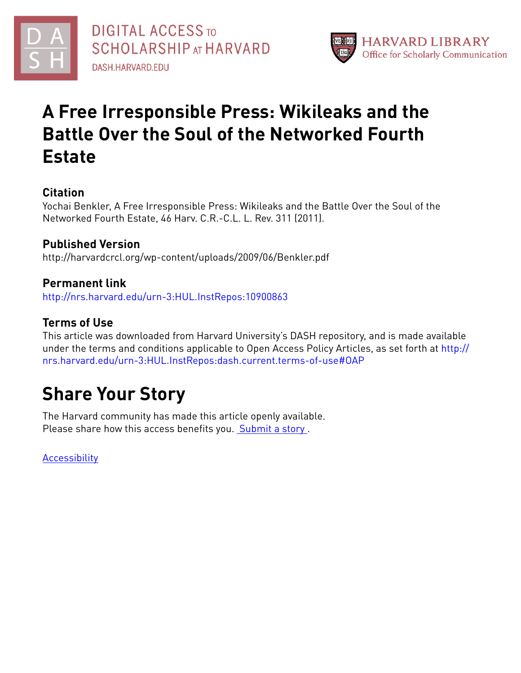



## **A Free Irresponsible Press: Wikileaks and the Battle Over the Soul of the Networked Fourth Estate**

## **Citation**

Yochai Benkler, A Free Irresponsible Press: Wikileaks and the Battle Over the Soul of the Networked Fourth Estate, 46 Harv. C.R.-C.L. L. Rev. 311 (2011).

## **Published Version**

http://harvardcrcl.org/wp-content/uploads/2009/06/Benkler.pdf

### **Permanent link** <http://nrs.harvard.edu/urn-3:HUL.InstRepos:10900863>

## **Terms of Use**

This article was downloaded from Harvard University's DASH repository, and is made available under the terms and conditions applicable to Open Access Policy Articles, as set forth at [http://](http://nrs.harvard.edu/urn-3:HUL.InstRepos:dash.current.terms-of-use#OAP) [nrs.harvard.edu/urn-3:HUL.InstRepos:dash.current.terms-of-use#OAP](http://nrs.harvard.edu/urn-3:HUL.InstRepos:dash.current.terms-of-use#OAP)

# **Share Your Story**

The Harvard community has made this article openly available. Please share how this access benefits you. [Submit](http://osc.hul.harvard.edu/dash/open-access-feedback?handle=&title=A%20Free%20Irresponsible%20Press:%20Wikileaks%20and%20the%20Battle%20Over%20the%20Soul%20of%20the%20Networked%20Fourth%20Estate&community=1/7&collection=1/8&owningCollection1/8&harvardAuthors=319e8b6ea614cafc696e743cf0a7ea75&department) a story.

**[Accessibility](https://dash.harvard.edu/pages/accessibility)**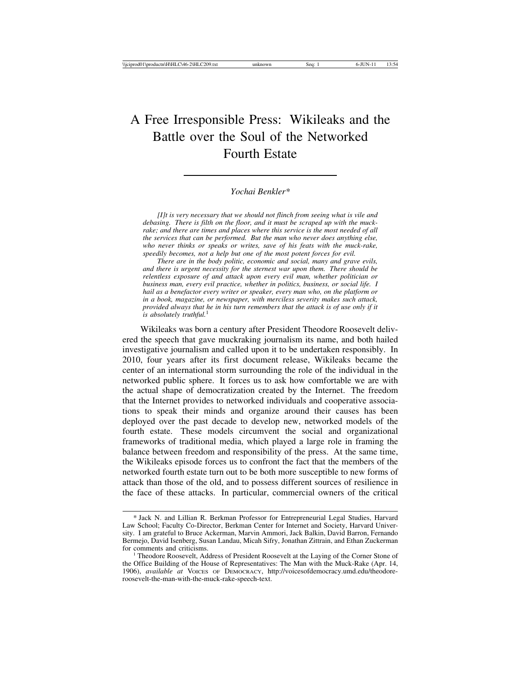## A Free Irresponsible Press: Wikileaks and the Battle over the Soul of the Networked Fourth Estate

#### *Yochai Benkler\**

*[I]t is very necessary that we should not flinch from seeing what is vile and debasing. There is filth on the floor, and it must be scraped up with the muckrake; and there are times and places where this service is the most needed of all the services that can be performed. But the man who never does anything else, who never thinks or speaks or writes, save of his feats with the muck-rake, speedily becomes, not a help but one of the most potent forces for evil.*

*There are in the body politic, economic and social, many and grave evils, and there is urgent necessity for the sternest war upon them. There should be relentless exposure of and attack upon every evil man, whether politician or business man, every evil practice, whether in politics, business, or social life. I hail as a benefactor every writer or speaker, every man who, on the platform or in a book, magazine, or newspaper, with merciless severity makes such attack, provided always that he in his turn remembers that the attack is of use only if it is absolutely truthful.*<sup>1</sup>

Wikileaks was born a century after President Theodore Roosevelt delivered the speech that gave muckraking journalism its name, and both hailed investigative journalism and called upon it to be undertaken responsibly. In 2010, four years after its first document release, Wikileaks became the center of an international storm surrounding the role of the individual in the networked public sphere. It forces us to ask how comfortable we are with the actual shape of democratization created by the Internet. The freedom that the Internet provides to networked individuals and cooperative associations to speak their minds and organize around their causes has been deployed over the past decade to develop new, networked models of the fourth estate. These models circumvent the social and organizational frameworks of traditional media, which played a large role in framing the balance between freedom and responsibility of the press. At the same time, the Wikileaks episode forces us to confront the fact that the members of the networked fourth estate turn out to be both more susceptible to new forms of attack than those of the old, and to possess different sources of resilience in the face of these attacks. In particular, commercial owners of the critical

<sup>\*</sup> Jack N. and Lillian R. Berkman Professor for Entrepreneurial Legal Studies, Harvard Law School; Faculty Co-Director, Berkman Center for Internet and Society, Harvard University. I am grateful to Bruce Ackerman, Marvin Ammori, Jack Balkin, David Barron, Fernando Bermejo, David Isenberg, Susan Landau, Micah Sifry, Jonathan Zittrain, and Ethan Zuckerman for comments and criticisms. <sup>1</sup> Theodore Roosevelt, Address of President Roosevelt at the Laying of the Corner Stone of

the Office Building of the House of Representatives: The Man with the Muck-Rake (Apr. 14, 1906), *available at* VOICES OF DEMOCRACY, http://voicesofdemocracy.umd.edu/theodoreroosevelt-the-man-with-the-muck-rake-speech-text.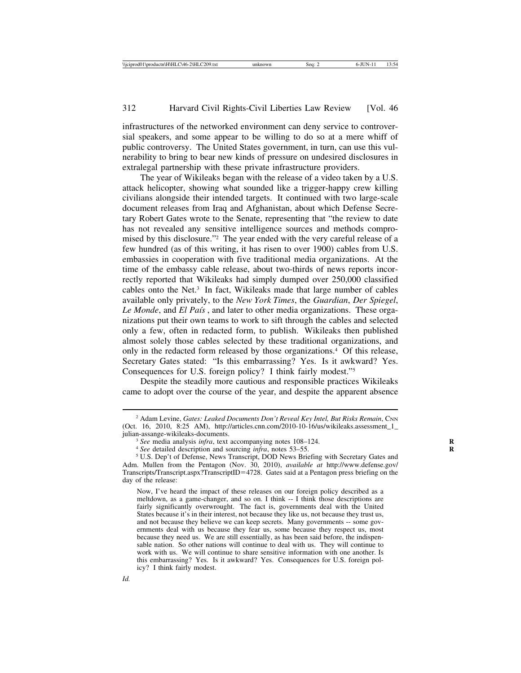infrastructures of the networked environment can deny service to controversial speakers, and some appear to be willing to do so at a mere whiff of public controversy. The United States government, in turn, can use this vulnerability to bring to bear new kinds of pressure on undesired disclosures in extralegal partnership with these private infrastructure providers.

The year of Wikileaks began with the release of a video taken by a U.S. attack helicopter, showing what sounded like a trigger-happy crew killing civilians alongside their intended targets. It continued with two large-scale document releases from Iraq and Afghanistan, about which Defense Secretary Robert Gates wrote to the Senate, representing that "the review to date has not revealed any sensitive intelligence sources and methods compromised by this disclosure."2 The year ended with the very careful release of a few hundred (as of this writing, it has risen to over 1900) cables from U.S. embassies in cooperation with five traditional media organizations. At the time of the embassy cable release, about two-thirds of news reports incorrectly reported that Wikileaks had simply dumped over 250,000 classified cables onto the Net.3 In fact, Wikileaks made that large number of cables available only privately, to the *New York Times*, the *Guardian*, *Der Spiegel*, *Le Monde*, and *El País*, and later to other media organizations. These organizations put their own teams to work to sift through the cables and selected only a few, often in redacted form, to publish. Wikileaks then published almost solely those cables selected by these traditional organizations, and only in the redacted form released by those organizations.4 Of this release, Secretary Gates stated: "Is this embarrassing? Yes. Is it awkward? Yes. Consequences for U.S. foreign policy? I think fairly modest."5

Despite the steadily more cautious and responsible practices Wikileaks came to adopt over the course of the year, and despite the apparent absence

Now, I've heard the impact of these releases on our foreign policy described as a meltdown, as a game-changer, and so on. I think -- I think those descriptions are fairly significantly overwrought. The fact is, governments deal with the United States because it's in their interest, not because they like us, not because they trust us, and not because they believe we can keep secrets. Many governments -- some governments deal with us because they fear us, some because they respect us, most because they need us. We are still essentially, as has been said before, the indispensable nation. So other nations will continue to deal with us. They will continue to work with us. We will continue to share sensitive information with one another. Is this embarrassing? Yes. Is it awkward? Yes. Consequences for U.S. foreign policy? I think fairly modest.

<sup>&</sup>lt;sup>2</sup> Adam Levine, *Gates: Leaked Documents Don't Reveal Key Intel, But Risks Remain*, CNN (Oct. 16, 2010, 8:25 AM), http://articles.cnn.com/2010-10-16/us/wikileaks.assessment\_1\_<br>julian-assange-wikileaks-documents.

<sup>&</sup>lt;sup>3</sup> See media analysis *infra*, text accompanying notes 108–124.<br>
<sup>4</sup> See detailed description and sourcing *infra*, notes 53–55.<br>
<sup>5</sup> U.S. Dep't of Defense, News Transcript, DOD News Briefing with Secretary Gates and Adm. Mullen from the Pentagon (Nov. 30, 2010), *available at* http://www.defense.gov/ Transcripts/Transcript.aspx?TranscriptID=4728. Gates said at a Pentagon press briefing on the day of the release: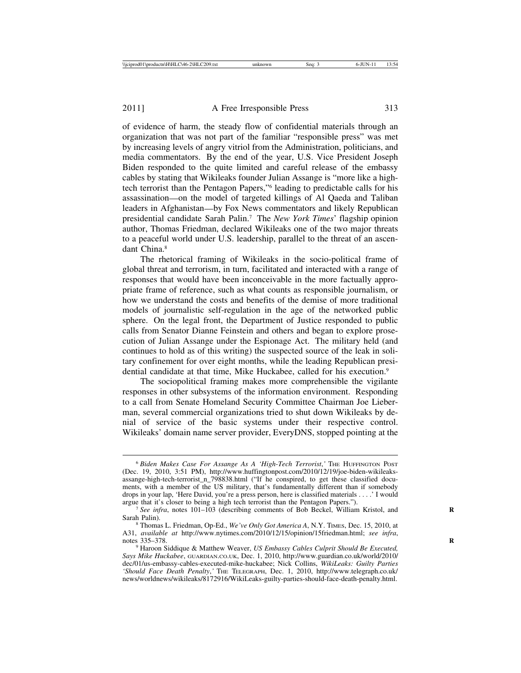of evidence of harm, the steady flow of confidential materials through an organization that was not part of the familiar "responsible press" was met by increasing levels of angry vitriol from the Administration, politicians, and media commentators. By the end of the year, U.S. Vice President Joseph Biden responded to the quite limited and careful release of the embassy cables by stating that Wikileaks founder Julian Assange is "more like a hightech terrorist than the Pentagon Papers,"6 leading to predictable calls for his assassination—on the model of targeted killings of Al Qaeda and Taliban leaders in Afghanistan—by Fox News commentators and likely Republican presidential candidate Sarah Palin.7 The *New York Times*' flagship opinion author, Thomas Friedman, declared Wikileaks one of the two major threats to a peaceful world under U.S. leadership, parallel to the threat of an ascendant China.<sup>8</sup>

The rhetorical framing of Wikileaks in the socio-political frame of global threat and terrorism, in turn, facilitated and interacted with a range of responses that would have been inconceivable in the more factually appropriate frame of reference, such as what counts as responsible journalism, or how we understand the costs and benefits of the demise of more traditional models of journalistic self-regulation in the age of the networked public sphere. On the legal front, the Department of Justice responded to public calls from Senator Dianne Feinstein and others and began to explore prosecution of Julian Assange under the Espionage Act. The military held (and continues to hold as of this writing) the suspected source of the leak in solitary confinement for over eight months, while the leading Republican presidential candidate at that time, Mike Huckabee, called for his execution.<sup>9</sup>

The sociopolitical framing makes more comprehensible the vigilante responses in other subsystems of the information environment. Responding to a call from Senate Homeland Security Committee Chairman Joe Lieberman, several commercial organizations tried to shut down Wikileaks by denial of service of the basic systems under their respective control. Wikileaks' domain name server provider, EveryDNS, stopped pointing at the

<sup>6</sup> *Biden Makes Case For Assange As A 'High-Tech Terrorist*,*'* THE HUFFINGTON POST (Dec. 19, 2010, 3:51 PM), http://www.huffingtonpost.com/2010/12/19/joe-biden-wikileaksassange-high-tech-terrorist\_n\_798838.html ("If he conspired, to get these classified documents, with a member of the US military, that's fundamentally different than if somebody drops in your lap, 'Here David, you're a press person, here is classified materials . . . .' I would argue that it's closer to being a high tech terrorist than the Pentagon Papers.").

<sup>&</sup>lt;sup>7</sup> *See infra*, notes 101–103 (describing comments of Bob Beckel, William Kristol, and Sarah Palin).

<sup>&</sup>lt;sup>8</sup> Thomas L. Friedman, Op-Ed., *We've Only Got America A*, N.Y. TIMES, Dec. 15, 2010, at A31, *available at* http://www.nytimes.com/2010/12/15/opinion/15friedman.html; *see infra*,

<sup>&</sup>lt;sup>9</sup> Haroon Siddique & Matthew Weaver, *US Embassy Cables Culprit Should Be Executed*, *Says Mike Huckabee*, GUARDIAN.CO.UK, Dec. 1, 2010, http://www.guardian.co.uk/world/2010/ dec/01/us-embassy-cables-executed-mike-huckabee; Nick Collins, *WikiLeaks: Guilty Parties 'Should Face Death Penalty*,*'* THE TELEGRAPH, Dec. 1, 2010, http://www.telegraph.co.uk/ news/worldnews/wikileaks/8172916/WikiLeaks-guilty-parties-should-face-death-penalty.html.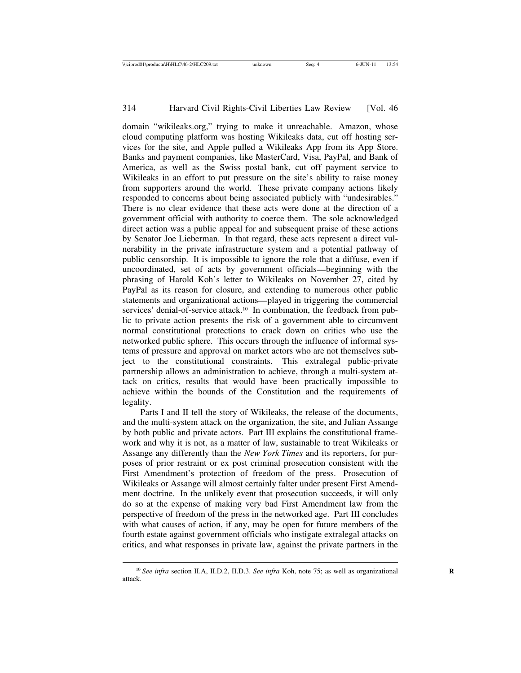domain "wikileaks.org," trying to make it unreachable. Amazon, whose cloud computing platform was hosting Wikileaks data, cut off hosting services for the site, and Apple pulled a Wikileaks App from its App Store. Banks and payment companies, like MasterCard, Visa, PayPal, and Bank of America, as well as the Swiss postal bank, cut off payment service to Wikileaks in an effort to put pressure on the site's ability to raise money from supporters around the world. These private company actions likely responded to concerns about being associated publicly with "undesirables." There is no clear evidence that these acts were done at the direction of a government official with authority to coerce them. The sole acknowledged direct action was a public appeal for and subsequent praise of these actions by Senator Joe Lieberman. In that regard, these acts represent a direct vulnerability in the private infrastructure system and a potential pathway of public censorship. It is impossible to ignore the role that a diffuse, even if uncoordinated, set of acts by government officials—beginning with the phrasing of Harold Koh's letter to Wikileaks on November 27, cited by PayPal as its reason for closure, and extending to numerous other public statements and organizational actions—played in triggering the commercial services' denial-of-service attack.<sup>10</sup> In combination, the feedback from public to private action presents the risk of a government able to circumvent normal constitutional protections to crack down on critics who use the networked public sphere. This occurs through the influence of informal systems of pressure and approval on market actors who are not themselves subject to the constitutional constraints. This extralegal public-private partnership allows an administration to achieve, through a multi-system attack on critics, results that would have been practically impossible to achieve within the bounds of the Constitution and the requirements of legality.

Parts I and II tell the story of Wikileaks, the release of the documents, and the multi-system attack on the organization, the site, and Julian Assange by both public and private actors. Part III explains the constitutional framework and why it is not, as a matter of law, sustainable to treat Wikileaks or Assange any differently than the *New York Times* and its reporters, for purposes of prior restraint or ex post criminal prosecution consistent with the First Amendment's protection of freedom of the press. Prosecution of Wikileaks or Assange will almost certainly falter under present First Amendment doctrine. In the unlikely event that prosecution succeeds, it will only do so at the expense of making very bad First Amendment law from the perspective of freedom of the press in the networked age. Part III concludes with what causes of action, if any, may be open for future members of the fourth estate against government officials who instigate extralegal attacks on critics, and what responses in private law, against the private partners in the

<sup>&</sup>lt;sup>10</sup> *See infra* section II.A, II.D.2, II.D.3. *See infra* Koh, note 75; as well as organizational attack.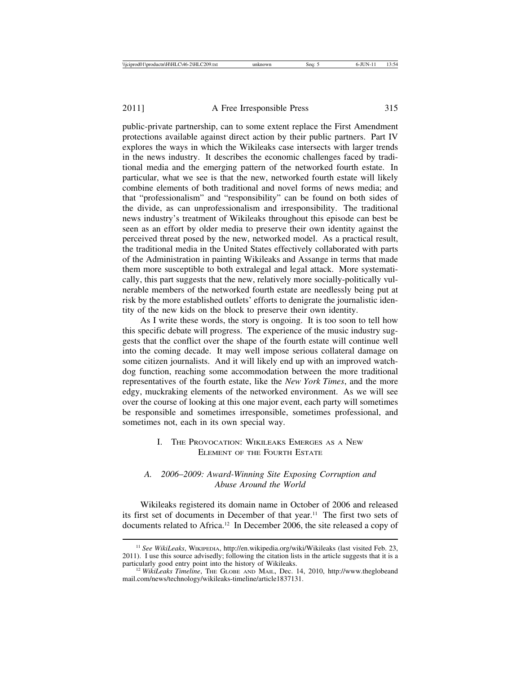public-private partnership, can to some extent replace the First Amendment protections available against direct action by their public partners. Part IV explores the ways in which the Wikileaks case intersects with larger trends in the news industry. It describes the economic challenges faced by traditional media and the emerging pattern of the networked fourth estate. In particular, what we see is that the new, networked fourth estate will likely combine elements of both traditional and novel forms of news media; and that "professionalism" and "responsibility" can be found on both sides of the divide, as can unprofessionalism and irresponsibility. The traditional news industry's treatment of Wikileaks throughout this episode can best be seen as an effort by older media to preserve their own identity against the perceived threat posed by the new, networked model. As a practical result, the traditional media in the United States effectively collaborated with parts of the Administration in painting Wikileaks and Assange in terms that made them more susceptible to both extralegal and legal attack. More systematically, this part suggests that the new, relatively more socially-politically vulnerable members of the networked fourth estate are needlessly being put at risk by the more established outlets' efforts to denigrate the journalistic identity of the new kids on the block to preserve their own identity.

As I write these words, the story is ongoing. It is too soon to tell how this specific debate will progress. The experience of the music industry suggests that the conflict over the shape of the fourth estate will continue well into the coming decade. It may well impose serious collateral damage on some citizen journalists. And it will likely end up with an improved watchdog function, reaching some accommodation between the more traditional representatives of the fourth estate, like the *New York Times*, and the more edgy, muckraking elements of the networked environment. As we will see over the course of looking at this one major event, each party will sometimes be responsible and sometimes irresponsible, sometimes professional, and sometimes not, each in its own special way.

#### I. THE PROVOCATION: WIKILEAKS EMERGES AS A NEW ELEMENT OF THE FOURTH ESTATE

#### *A. 2006*–*2009: Award-Winning Site Exposing Corruption and Abuse Around the World*

Wikileaks registered its domain name in October of 2006 and released its first set of documents in December of that year.11 The first two sets of documents related to Africa.12 In December 2006, the site released a copy of

<sup>11</sup> *See WikiLeaks*, WIKIPEDIA, http://en.wikipedia.org/wiki/Wikileaks (last visited Feb. 23, 2011). I use this source advisedly; following the citation lists in the article suggests that it is a

<sup>&</sup>lt;sup>12</sup> WikiLeaks Timeline, THE GLOBE AND MAIL, Dec. 14, 2010, http://www.theglobeand mail.com/news/technology/wikileaks-timeline/article1837131.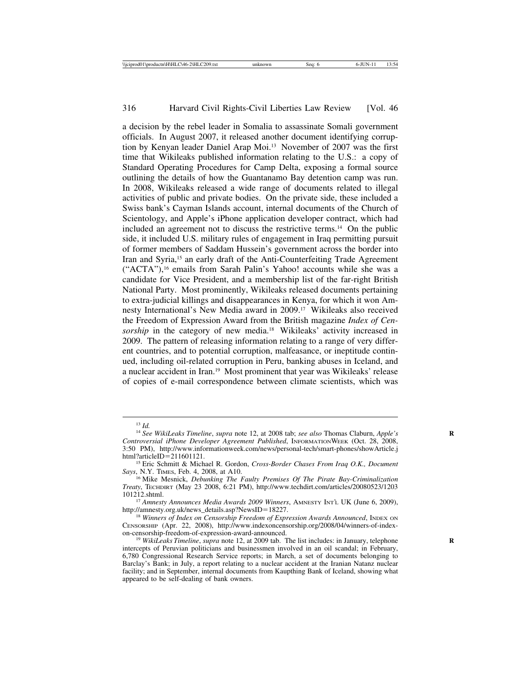a decision by the rebel leader in Somalia to assassinate Somali government officials. In August 2007, it released another document identifying corruption by Kenyan leader Daniel Arap Moi.13 November of 2007 was the first time that Wikileaks published information relating to the U.S.: a copy of Standard Operating Procedures for Camp Delta, exposing a formal source outlining the details of how the Guantanamo Bay detention camp was run. In 2008, Wikileaks released a wide range of documents related to illegal activities of public and private bodies. On the private side, these included a Swiss bank's Cayman Islands account, internal documents of the Church of Scientology, and Apple's iPhone application developer contract, which had included an agreement not to discuss the restrictive terms.14 On the public side, it included U.S. military rules of engagement in Iraq permitting pursuit of former members of Saddam Hussein's government across the border into Iran and Syria,15 an early draft of the Anti-Counterfeiting Trade Agreement ("ACTA"),16 emails from Sarah Palin's Yahoo! accounts while she was a candidate for Vice President, and a membership list of the far-right British National Party. Most prominently, Wikileaks released documents pertaining to extra-judicial killings and disappearances in Kenya, for which it won Amnesty International's New Media award in 2009.17 Wikileaks also received the Freedom of Expression Award from the British magazine *Index of Censorship* in the category of new media.<sup>18</sup> Wikileaks' activity increased in 2009. The pattern of releasing information relating to a range of very different countries, and to potential corruption, malfeasance, or ineptitude continued, including oil-related corruption in Peru, banking abuses in Iceland, and a nuclear accident in Iran.19 Most prominent that year was Wikileaks' release of copies of e-mail correspondence between climate scientists, which was

<sup>&</sup>lt;sup>13</sup> *Id.* 14 *See WikiLeaks Timeline, supra* note 12, at 2008 tab; *see also* Thomas Claburn, *Apple's Controversial iPhone Developer Agreement Published*, INFORMATIONWEEK (Oct. 28, 2008, 3:50 PM), http://www.informationweek.com/news/personal-tech/smart-phones/showArticle.j

<sup>&</sup>lt;sup>15</sup> Eric Schmitt & Michael R. Gordon, *Cross-Border Chases From Iraq O.K., Document Says*, N.Y. TIMES, Feb. 4, 2008, at A10. <sup>16</sup> Mike Mesnick, *Debunking The Faulty Premises Of The Pirate Bay-Criminalization*

*Treaty*, TECHDIRT (May 23 2008, 6:21 PM), http://www.techdirt.com/articles/20080523/1203

<sup>101212.</sup>shtml.<br><sup>17</sup> *Amnesty Announces Media Awards 2009 Winners*, AMNESTY INTL UK (June 6, 2009),<br>http://amnesty.org.uk/news\_details.asp?NewsID=18227.

<sup>&</sup>lt;sup>18</sup> Winners of Index on Censorship Freedom of Expression Awards Announced, INDEX ON CENSORSHIP (Apr. 22, 2008), http://www.indexoncensorship.org/2008/04/winners-of-index-

<sup>&</sup>lt;sup>19</sup> WikiLeaks Timeline, *supra* note 12, at 2009 tab. The list includes: in January, telephone intercepts of Peruvian politicians and businessmen involved in an oil scandal; in February, 6,780 Congressional Research Service reports; in March, a set of documents belonging to Barclay's Bank; in July, a report relating to a nuclear accident at the Iranian Natanz nuclear facility; and in September, internal documents from Kaupthing Bank of Iceland, showing what appeared to be self-dealing of bank owners.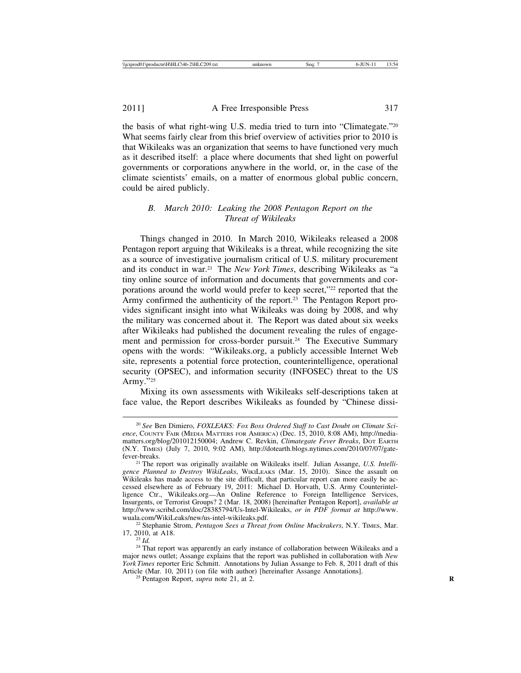the basis of what right-wing U.S. media tried to turn into "Climategate."20 What seems fairly clear from this brief overview of activities prior to 2010 is that Wikileaks was an organization that seems to have functioned very much as it described itself: a place where documents that shed light on powerful governments or corporations anywhere in the world, or, in the case of the climate scientists' emails, on a matter of enormous global public concern, could be aired publicly.

#### *B. March 2010: Leaking the 2008 Pentagon Report on the Threat of Wikileaks*

Things changed in 2010. In March 2010, Wikileaks released a 2008 Pentagon report arguing that Wikileaks is a threat, while recognizing the site as a source of investigative journalism critical of U.S. military procurement and its conduct in war.21 The *New York Times*, describing Wikileaks as "a tiny online source of information and documents that governments and corporations around the world would prefer to keep secret,"<sup>22</sup> reported that the Army confirmed the authenticity of the report.<sup>23</sup> The Pentagon Report provides significant insight into what Wikileaks was doing by 2008, and why the military was concerned about it. The Report was dated about six weeks after Wikileaks had published the document revealing the rules of engagement and permission for cross-border pursuit.<sup>24</sup> The Executive Summary opens with the words: "Wikileaks.org, a publicly accessible Internet Web site, represents a potential force protection, counterintelligence, operational security (OPSEC), and information security (INFOSEC) threat to the US Army."25

Mixing its own assessments with Wikileaks self-descriptions taken at face value, the Report describes Wikileaks as founded by "Chinese dissi-

<sup>22</sup> Stephanie Strom, *Pentagon Sees a Threat from Online Muckrakers*, N.Y. TIMES, Mar. 17, 2010, at A18.

<sup>20</sup> *See* Ben Dimiero, *FOXLEAKS: Fox Boss Ordered Staff to Cast Doubt on Climate Science*, COUNTY FAIR (MEDIA MATTERS FOR AMERICA) (Dec. 15, 2010, 8:08 AM), http://mediamatters.org/blog/201012150004; Andrew C. Revkin, *Climategate Fever Breaks*, DOT EARTH (N.Y. TIMES) (July 7, 2010, 9:02 AM), http://dotearth.blogs.nytimes.com/2010/07/07/gate-

fever-breaks. <sup>21</sup> The report was originally available on Wikileaks itself. Julian Assange, *U.S. Intelligence Planned to Destroy WikiLeaks*, WIKILEAKS (Mar. 15, 2010). Since the assault on Wikileaks has made access to the site difficult, that particular report can more easily be accessed elsewhere as of February 19, 2011: Michael D. Horvath, U.S. Army Counterintelligence Ctr., Wikileaks.org—An Online Reference to Foreign Intelligence Services, Insurgents, or Terrorist Groups? 2 (Mar. 18, 2008) [hereinafter Pentagon Report], *available at* http://www.scribd.com/doc/28385794/Us-Intel-Wikileaks, *or in PDF format at* http://www.

<sup>&</sup>lt;sup>23</sup> *Id.* <sup>24</sup> That report was apparently an early instance of collaboration between Wikileaks and a major news outlet; Assange explains that the report was published in collaboration with *New York Times* reporter Eric Schmitt. Annotations by Julian Assange to Feb. 8, 2011 draft of this Article (Mar. 10, 2011) (on file with author) [hereinafter Assange Annotations]. <sup>25</sup> Pentagon Report, *supra* note 21, at 2.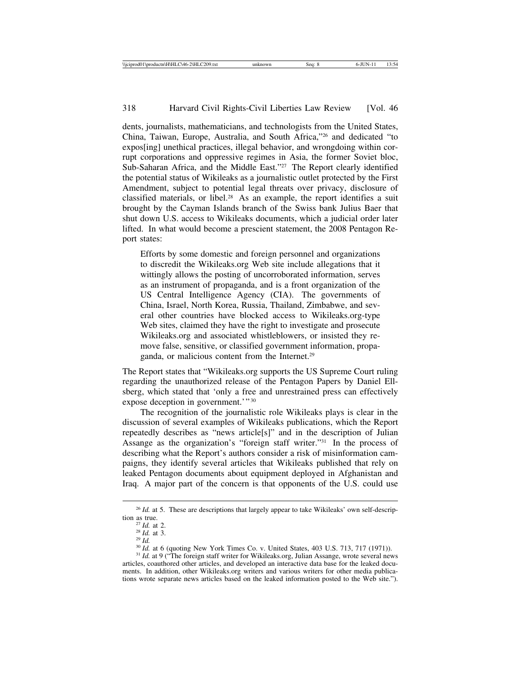dents, journalists, mathematicians, and technologists from the United States, China, Taiwan, Europe, Australia, and South Africa,"26 and dedicated "to expos[ing] unethical practices, illegal behavior, and wrongdoing within corrupt corporations and oppressive regimes in Asia, the former Soviet bloc, Sub-Saharan Africa, and the Middle East."<sup>27</sup> The Report clearly identified the potential status of Wikileaks as a journalistic outlet protected by the First Amendment, subject to potential legal threats over privacy, disclosure of classified materials, or libel.28 As an example, the report identifies a suit brought by the Cayman Islands branch of the Swiss bank Julius Baer that shut down U.S. access to Wikileaks documents, which a judicial order later lifted. In what would become a prescient statement, the 2008 Pentagon Report states:

Efforts by some domestic and foreign personnel and organizations to discredit the Wikileaks.org Web site include allegations that it wittingly allows the posting of uncorroborated information, serves as an instrument of propaganda, and is a front organization of the US Central Intelligence Agency (CIA). The governments of China, Israel, North Korea, Russia, Thailand, Zimbabwe, and several other countries have blocked access to Wikileaks.org-type Web sites, claimed they have the right to investigate and prosecute Wikileaks.org and associated whistleblowers, or insisted they remove false, sensitive, or classified government information, propaganda, or malicious content from the Internet.29

The Report states that "Wikileaks.org supports the US Supreme Court ruling regarding the unauthorized release of the Pentagon Papers by Daniel Ellsberg, which stated that 'only a free and unrestrained press can effectively expose deception in government.'" 30

The recognition of the journalistic role Wikileaks plays is clear in the discussion of several examples of Wikileaks publications, which the Report repeatedly describes as "news article[s]" and in the description of Julian Assange as the organization's "foreign staff writer."31 In the process of describing what the Report's authors consider a risk of misinformation campaigns, they identify several articles that Wikileaks published that rely on leaked Pentagon documents about equipment deployed in Afghanistan and Iraq. A major part of the concern is that opponents of the U.S. could use

articles, coauthored other articles, and developed an interactive data base for the leaked documents. In addition, other Wikileaks.org writers and various writers for other media publications wrote separate news articles based on the leaked information posted to the Web site.").

 $^{26}$  *Id.* at 5. These are descriptions that largely appear to take Wikileaks' own self-description as true.

<sup>&</sup>lt;sup>27</sup> *Id.* at 2.<br><sup>28</sup> *Id.* at 3.<br><sup>29</sup> *Id.* at 6 (quoting New York Times Co. v. United States, 403 U.S. 713, 717 (1971)).<br><sup>31</sup> *Id.* at 9 ("The foreign staff writer for Wikileaks.org, Julian Assange, wrote several news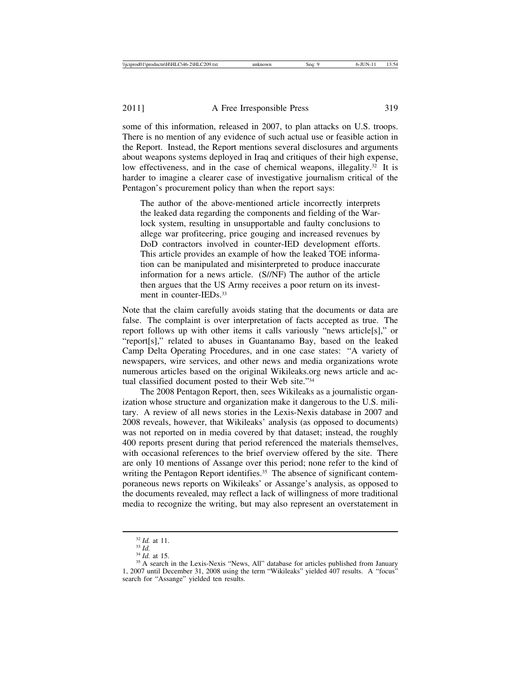some of this information, released in 2007, to plan attacks on U.S. troops. There is no mention of any evidence of such actual use or feasible action in the Report. Instead, the Report mentions several disclosures and arguments about weapons systems deployed in Iraq and critiques of their high expense, low effectiveness, and in the case of chemical weapons, illegality.<sup>32</sup> It is harder to imagine a clearer case of investigative journalism critical of the Pentagon's procurement policy than when the report says:

The author of the above-mentioned article incorrectly interprets the leaked data regarding the components and fielding of the Warlock system, resulting in unsupportable and faulty conclusions to allege war profiteering, price gouging and increased revenues by DoD contractors involved in counter-IED development efforts. This article provides an example of how the leaked TOE information can be manipulated and misinterpreted to produce inaccurate information for a news article. (S//NF) The author of the article then argues that the US Army receives a poor return on its investment in counter-IEDs.<sup>33</sup>

Note that the claim carefully avoids stating that the documents or data are false. The complaint is over interpretation of facts accepted as true. The report follows up with other items it calls variously "news article[s]," or "report[s]," related to abuses in Guantanamo Bay, based on the leaked Camp Delta Operating Procedures, and in one case states: "A variety of newspapers, wire services, and other news and media organizations wrote numerous articles based on the original Wikileaks.org news article and actual classified document posted to their Web site."34

The 2008 Pentagon Report, then, sees Wikileaks as a journalistic organization whose structure and organization make it dangerous to the U.S. military. A review of all news stories in the Lexis-Nexis database in 2007 and 2008 reveals, however, that Wikileaks' analysis (as opposed to documents) was not reported on in media covered by that dataset; instead, the roughly 400 reports present during that period referenced the materials themselves, with occasional references to the brief overview offered by the site. There are only 10 mentions of Assange over this period; none refer to the kind of writing the Pentagon Report identifies.<sup>35</sup> The absence of significant contemporaneous news reports on Wikileaks' or Assange's analysis, as opposed to the documents revealed, may reflect a lack of willingness of more traditional media to recognize the writing, but may also represent an overstatement in

<sup>&</sup>lt;sup>32</sup> *Id.* at 11.<br><sup>33</sup> *Id.* 34 *Id.* at 15.<br><sup>35</sup> A search in the Lexis-Nexis "News, All" database for articles published from January 1, 2007 until December 31, 2008 using the term "Wikileaks" yielded 407 results. A "focus" search for "Assange" yielded ten results.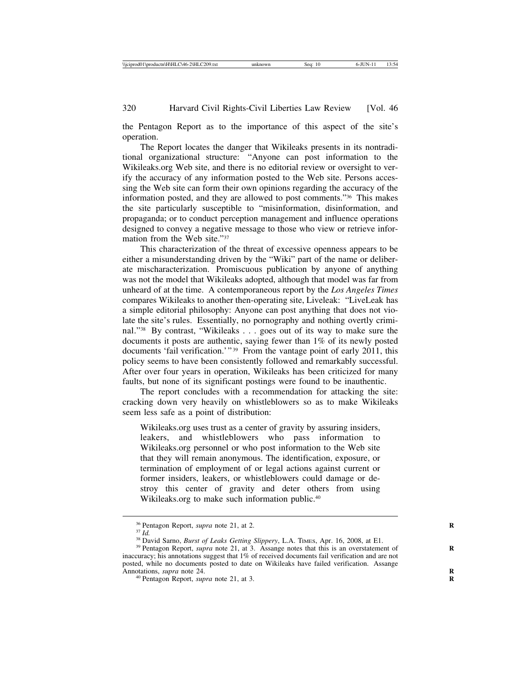the Pentagon Report as to the importance of this aspect of the site's operation.

The Report locates the danger that Wikileaks presents in its nontraditional organizational structure: "Anyone can post information to the Wikileaks.org Web site, and there is no editorial review or oversight to verify the accuracy of any information posted to the Web site. Persons accessing the Web site can form their own opinions regarding the accuracy of the information posted, and they are allowed to post comments."36 This makes the site particularly susceptible to "misinformation, disinformation, and propaganda; or to conduct perception management and influence operations designed to convey a negative message to those who view or retrieve information from the Web site."37

This characterization of the threat of excessive openness appears to be either a misunderstanding driven by the "Wiki" part of the name or deliberate mischaracterization. Promiscuous publication by anyone of anything was not the model that Wikileaks adopted, although that model was far from unheard of at the time. A contemporaneous report by the *Los Angeles Times* compares Wikileaks to another then-operating site, Liveleak: "LiveLeak has a simple editorial philosophy: Anyone can post anything that does not violate the site's rules. Essentially, no pornography and nothing overtly criminal."38 By contrast, "Wikileaks . . . goes out of its way to make sure the documents it posts are authentic, saying fewer than 1% of its newly posted documents 'fail verification.'"<sup>39</sup> From the vantage point of early 2011, this policy seems to have been consistently followed and remarkably successful. After over four years in operation, Wikileaks has been criticized for many faults, but none of its significant postings were found to be inauthentic.

The report concludes with a recommendation for attacking the site: cracking down very heavily on whistleblowers so as to make Wikileaks seem less safe as a point of distribution:

Wikileaks.org uses trust as a center of gravity by assuring insiders, leakers, and whistleblowers who pass information to Wikileaks.org personnel or who post information to the Web site that they will remain anonymous. The identification, exposure, or termination of employment of or legal actions against current or former insiders, leakers, or whistleblowers could damage or destroy this center of gravity and deter others from using Wikileaks.org to make such information public.<sup>40</sup>

<sup>&</sup>lt;sup>36</sup> Pentagon Report, *supra* note 21, at 2.<br><sup>37</sup> *Id.*<br><sup>38</sup> David Sarno, *Burst of Leaks Getting Slippery*, L.A. TIMES, Apr. 16, 2008, at E1.<br><sup>39</sup> Pentagon Report, *supra* note 21, at 3. Assange notes that this is an ove inaccuracy; his annotations suggest that 1% of received documents fail verification and are not posted, while no documents posted to date on Wikileaks have failed verification. Assange Annotations, *supra* note 24.

<sup>&</sup>lt;sup>40</sup> Pentagon Report, *supra* note 21, at 3.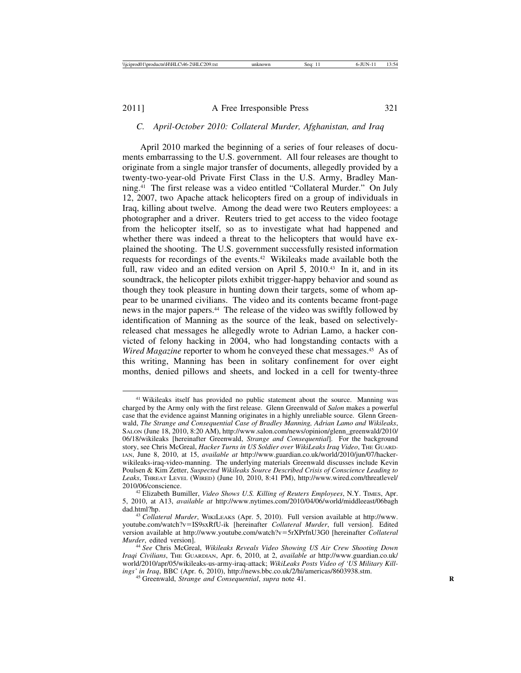#### *C. April-October 2010: Collateral Murder, Afghanistan, and Iraq*

April 2010 marked the beginning of a series of four releases of documents embarrassing to the U.S. government. All four releases are thought to originate from a single major transfer of documents, allegedly provided by a twenty-two-year-old Private First Class in the U.S. Army, Bradley Manning.41 The first release was a video entitled "Collateral Murder." On July 12, 2007, two Apache attack helicopters fired on a group of individuals in Iraq, killing about twelve. Among the dead were two Reuters employees: a photographer and a driver. Reuters tried to get access to the video footage from the helicopter itself, so as to investigate what had happened and whether there was indeed a threat to the helicopters that would have explained the shooting. The U.S. government successfully resisted information requests for recordings of the events.42 Wikileaks made available both the full, raw video and an edited version on April 5, 2010.<sup>43</sup> In it, and in its soundtrack, the helicopter pilots exhibit trigger-happy behavior and sound as though they took pleasure in hunting down their targets, some of whom appear to be unarmed civilians. The video and its contents became front-page news in the major papers.44 The release of the video was swiftly followed by identification of Manning as the source of the leak, based on selectivelyreleased chat messages he allegedly wrote to Adrian Lamo, a hacker convicted of felony hacking in 2004, who had longstanding contacts with a *Wired Magazine* reporter to whom he conveyed these chat messages.<sup>45</sup> As of this writing, Manning has been in solitary confinement for over eight months, denied pillows and sheets, and locked in a cell for twenty-three

<sup>41</sup> Wikileaks itself has provided no public statement about the source. Manning was charged by the Army only with the first release. Glenn Greenwald of *Salon* makes a powerful case that the evidence against Manning originates in a highly unreliable source. Glenn Greenwald, *The Strange and Consequential Case of Bradley Manning, Adrian Lamo and Wikileaks*, SALON (June 18, 2010, 8:20 AM), http://www.salon.com/news/opinion/glenn\_greenwald/2010/ 06/18/wikileaks [hereinafter Greenwald, *Strange and Consequential*]. For the background story, see Chris McGreal, *Hacker Turns in US Soldier over WikiLeaks Iraq Video*, THE GUARD-IAN, June 8, 2010, at 15, *available at* http://www.guardian.co.uk/world/2010/jun/07/hackerwikileaks-iraq-video-manning. The underlying materials Greenwald discusses include Kevin Poulsen & Kim Zetter, *Suspected Wikileaks Source Described Crisis of Conscience Leading to Leaks*, THREAT LEVEL (WIRED) (June 10, 2010, 8:41 PM), http://www.wired.com/threatlevel/ 2010/06/conscience. <sup>42</sup> Elizabeth Bumiller, *Video Shows U.S. Killing of Reuters Employees*, N.Y. TIMES, Apr.

<sup>5, 2010,</sup> at A13, *available at* http://www.nytimes.com/2010/04/06/world/middleeast/06bagh dad.html?hp. <sup>43</sup> *Collateral Murder*, WIKILEAKS (Apr. 5, 2010). Full version available at http://www.

youtube.com/watch?v=IS9sxRfU-ik [hereinafter *Collateral Murder*, full version]. Edited version available at http://www.youtube.com/watch?v=5rXPrfnU3G0 [hereinafter *Collateral*

<sup>&</sup>lt;sup>44</sup> See Chris McGreal, *Wikileaks Reveals Video Showing US Air Crew Shooting Down Iraqi Civilians*, THE GUARDIAN, Apr. 6, 2010, at 2, *available at* http://www.guardian.co.uk/ world/2010/apr/05/wikileaks-us-army-iraq-attack; *WikiLeaks Posts Video of 'US Military Killings' in Iraq*, BBC (Apr. 6, 2010), http://news.bbc.co.uk/2/hi/americas/8603938.stm. <sup>45</sup> Greenwald, *Strange and Consequential*, *supra* note 41. **<sup>R</sup>**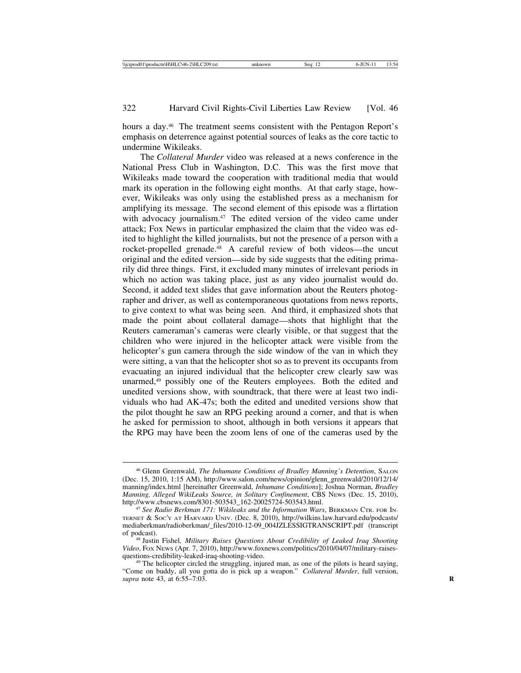hours a day.46 The treatment seems consistent with the Pentagon Report's emphasis on deterrence against potential sources of leaks as the core tactic to undermine Wikileaks.

The *Collateral Murder* video was released at a news conference in the National Press Club in Washington, D.C. This was the first move that Wikileaks made toward the cooperation with traditional media that would mark its operation in the following eight months. At that early stage, however, Wikileaks was only using the established press as a mechanism for amplifying its message. The second element of this episode was a flirtation with advocacy journalism.<sup>47</sup> The edited version of the video came under attack; Fox News in particular emphasized the claim that the video was edited to highlight the killed journalists, but not the presence of a person with a rocket-propelled grenade.48 A careful review of both videos—the uncut original and the edited version—side by side suggests that the editing primarily did three things. First, it excluded many minutes of irrelevant periods in which no action was taking place, just as any video journalist would do. Second, it added text slides that gave information about the Reuters photographer and driver, as well as contemporaneous quotations from news reports, to give context to what was being seen. And third, it emphasized shots that made the point about collateral damage—shots that highlight that the Reuters cameraman's cameras were clearly visible, or that suggest that the children who were injured in the helicopter attack were visible from the helicopter's gun camera through the side window of the van in which they were sitting, a van that the helicopter shot so as to prevent its occupants from evacuating an injured individual that the helicopter crew clearly saw was unarmed,49 possibly one of the Reuters employees. Both the edited and unedited versions show, with soundtrack, that there were at least two individuals who had AK-47s; both the edited and unedited versions show that the pilot thought he saw an RPG peeking around a corner, and that is when he asked for permission to shoot, although in both versions it appears that the RPG may have been the zoom lens of one of the cameras used by the

<sup>&</sup>lt;sup>46</sup> Glenn Greenwald, *The Inhumane Conditions of Bradley Manning's Detention*, SALON (Dec. 15, 2010, 1:15 AM), http://www.salon.com/news/opinion/glenn\_greenwald/2010/12/14/ manning/index.html [hereinafter Greenwald, *Inhumane Conditions*]; Joshua Norman, *Bradley Manning, Alleged WikiLeaks Source, in Solitary Confinement*, CBS News (Dec. 15, 2010), http://www.cbsnews.com/8301-503543\_162-20025724-503543.html.

<sup>&</sup>lt;sup>47</sup> See Radio Berkman 171: Wikileaks and the Information Wars, BERKMAN CTR. FOR IN-TERNET & SOC'Y AT HARVARD UNIV. (Dec. 8, 2010), http://wilkins.law.harvard.edu/podcasts/ mediaberkman/radioberkman/\_files/2010-12-09\_004JZLESSIGTRANSCRIPT.pdf (transcript of podcast). <sup>48</sup> Justin Fishel*, Military Raises Questions About Credibility of Leaked Iraq Shooting*

*Video*, FOX NEWS (Apr. 7, 2010), http://www.foxnews.com/politics/2010/04/07/military-raises-

<sup>&</sup>lt;sup>49</sup> The helicopter circled the struggling, injured man, as one of the pilots is heard saying, "Come on buddy, all you gotta do is pick up a weapon." *Collateral Murder*, full version, *supra* note 43, at 6:55–7:03. **R**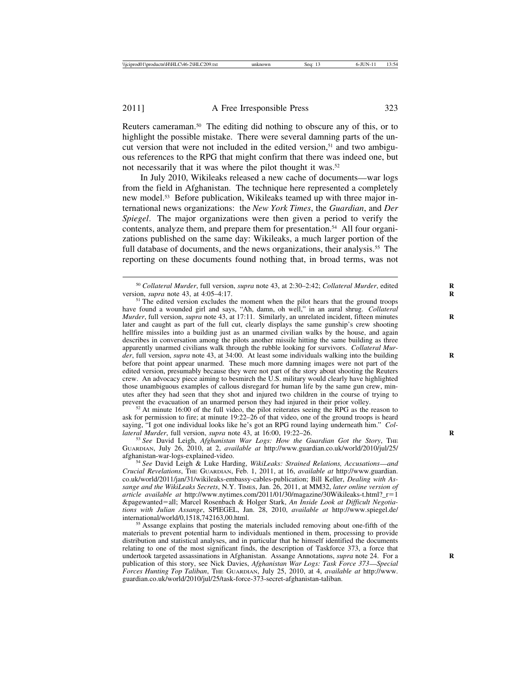Reuters cameraman.<sup>50</sup> The editing did nothing to obscure any of this, or to highlight the possible mistake. There were several damning parts of the uncut version that were not included in the edited version,<sup>51</sup> and two ambiguous references to the RPG that might confirm that there was indeed one, but not necessarily that it was where the pilot thought it was.<sup>52</sup>

In July 2010, Wikileaks released a new cache of documents—war logs from the field in Afghanistan. The technique here represented a completely new model.53 Before publication, Wikileaks teamed up with three major international news organizations: the *New York Times*, the *Guardian*, and *Der Spiegel*. The major organizations were then given a period to verify the contents, analyze them, and prepare them for presentation.<sup>54</sup> All four organizations published on the same day: Wikileaks, a much larger portion of the full database of documents, and the news organizations, their analysis.<sup>55</sup> The reporting on these documents found nothing that, in broad terms, was not

 $52$  At minute 16:00 of the full video, the pilot reiterates seeing the RPG as the reason to ask for permission to fire; at minute 19:22–26 of that video, one of the ground troops is heard saying, "I got one individual looks like he's got an RPG round laying underneath him." *Collateral Murder*, full version, *supra* note 43, at 16:00, 19:22–26.

*lateral Murder*, full version, *supra* note 43, at 16:00, 19:22–26. **<sup>R</sup>** <sup>53</sup> *See* David Leigh, *Afghanistan War Logs: How the Guardian Got the Story*, THE GUARDIAN, July 26, 2010, at 2, *available at* http://www.guardian.co.uk/world/2010/jul/25/

<sup>54</sup> See David Leigh & Luke Harding, WikiLeaks: Strained Relations, Accusations—and *Crucial Revelations*, THE GUARDIAN, Feb. 1, 2011, at 16, *available at* http://www.guardian. co.uk/world/2011/jan/31/wikileaks-embassy-cables-publication; Bill Keller, *Dealing with As-sange and the WikiLeaks Secrets*, N.Y. TIMES, Jan. 26, 2011, at MM32, *later online version of article available at* http://www.nytimes.com/2011/01/30/magazine/30Wikileaks-t.html?\_r=1 &pagewanted=all; Marcel Rosenbach & Holger Stark, *An Inside Look at Difficult Negotiations with Julian Assange*, SPIEGEL, Jan. 28, 2010, *available at* http://www.spiegel.de/

<sup>55</sup> Assange explains that posting the materials included removing about one-fifth of the materials to prevent potential harm to individuals mentioned in them, processing to provide distribution and statistical analyses, and in particular that he himself identified the documents relating to one of the most significant finds, the description of Taskforce 373, a force that undertook targeted assassinations in Afghanistan. Assange Annotations, *supra* note 24. For a publication of this story, see Nick Davies, *Afghanistan War Logs: Task Force 373*—*Special Forces Hunting Top Taliban*, THE GUARDIAN, July 25, 2010, at 4, *available at* http://www. guardian.co.uk/world/2010/jul/25/task-force-373-secret-afghanistan-taliban.

<sup>&</sup>lt;sup>50</sup> *Collateral Murder*, full version, *supra* note 43, at 2:30–2:42; *Collateral Murder*, edited version, *supra* note 43, at 4:05–4:17.

<sup>&</sup>lt;sup>51</sup> The edited version excludes the moment when the pilot hears that the ground troops have found a wounded girl and says, "Ah, damn, oh well," in an aural shrug. *Collateral Murder*, full version, *supra* note 43, at 17:11. Similarly, an unrelated incident, fifteen minutes **R** later and caught as part of the full cut, clearly displays the same gunship's crew shooting hellfire missiles into a building just as an unarmed civilian walks by the house, and again describes in conversation among the pilots another missile hitting the same building as three apparently unarmed civilians walk through the rubble looking for survivors. *Collateral Murder*, full version, *supra* note 43, at 34:00. At least some individuals walking into the building before that point appear unarmed. These much more damning images were not part of the edited version, presumably because they were not part of the story about shooting the Reuters crew. An advocacy piece aiming to besmirch the U.S. military would clearly have highlighted those unambiguous examples of callous disregard for human life by the same gun crew, minutes after they had seen that they shot and injured two children in the course of trying to prevent the evacuation of an unarmed person they had injured in their prior volley.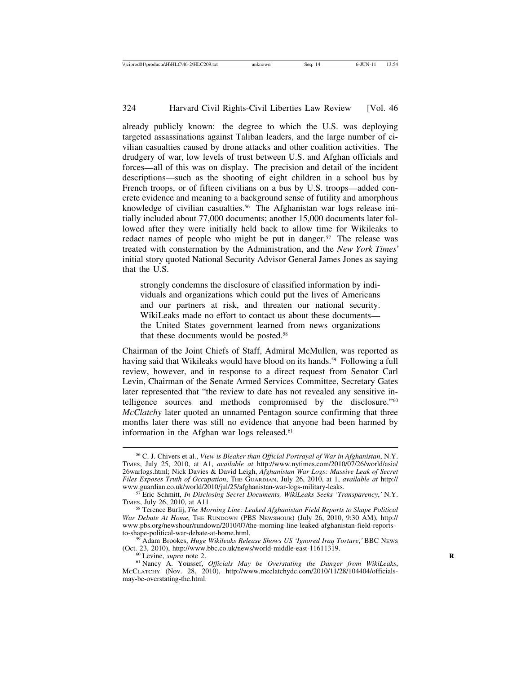already publicly known: the degree to which the U.S. was deploying targeted assassinations against Taliban leaders, and the large number of civilian casualties caused by drone attacks and other coalition activities. The drudgery of war, low levels of trust between U.S. and Afghan officials and forces—all of this was on display. The precision and detail of the incident descriptions—such as the shooting of eight children in a school bus by French troops, or of fifteen civilians on a bus by U.S. troops—added concrete evidence and meaning to a background sense of futility and amorphous knowledge of civilian casualties.<sup>56</sup> The Afghanistan war logs release initially included about 77,000 documents; another 15,000 documents later followed after they were initially held back to allow time for Wikileaks to redact names of people who might be put in danger.<sup>57</sup> The release was treated with consternation by the Administration, and the *New York Times*' initial story quoted National Security Advisor General James Jones as saying that the U.S.

strongly condemns the disclosure of classified information by individuals and organizations which could put the lives of Americans and our partners at risk, and threaten our national security. WikiLeaks made no effort to contact us about these documents the United States government learned from news organizations that these documents would be posted.58

Chairman of the Joint Chiefs of Staff, Admiral McMullen, was reported as having said that Wikileaks would have blood on its hands.<sup>59</sup> Following a full review, however, and in response to a direct request from Senator Carl Levin, Chairman of the Senate Armed Services Committee, Secretary Gates later represented that "the review to date has not revealed any sensitive intelligence sources and methods compromised by the disclosure."60 *McClatchy* later quoted an unnamed Pentagon source confirming that three months later there was still no evidence that anyone had been harmed by information in the Afghan war logs released.<sup>61</sup>

<sup>56</sup> C. J. Chivers et al., *View is Bleaker than Official Portrayal of War in Afghanistan*, N.Y. TIMES, July 25, 2010, at A1, *available at* http://www.nytimes.com/2010/07/26/world/asia/ 26warlogs.html; Nick Davies & David Leigh, *Afghanistan War Logs: Massive Leak of Secret Files Exposes Truth of Occupation*, THE GUARDIAN, July 26, 2010, at 1, *available at* http://

 $^{57}$  Eric Schmitt, *In Disclosing Secret Documents, WikiLeaks Seeks 'Transparency,' N.Y.* TIMES, July 26, 2010, at A11.

<sup>58</sup> Terence Burlij, *The Morning Line: Leaked Afghanistan Field Reports to Shape Political War Debate At Home*, THE RUNDOWN (PBS NEWSHOUR) (July 26, 2010, 9:30 AM), http:// www.pbs.org/newshour/rundown/2010/07/the-morning-line-leaked-afghanistan-field-reports-

<sup>&</sup>lt;sup>59</sup> Adam Brookes, *Huge Wikileaks Release Shows US 'Ignored Iraq Torture*,' BBC News (Oct. 23, 2010), http://www.bbc.co.uk/news/world-middle-east-11611319.

<sup>&</sup>lt;sup>60</sup> Levine, *supra* note 2.<br><sup>61</sup> Nancy A. Youssef, *Officials May be Overstating the Danger from WikiLeaks*, MCCLATCHY (Nov. 28, 2010), http://www.mcclatchydc.com/2010/11/28/104404/officialsmay-be-overstating-the.html.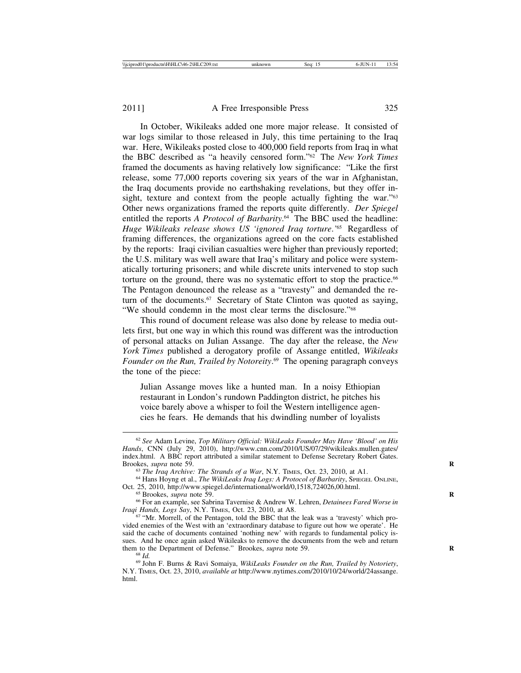In October, Wikileaks added one more major release. It consisted of war logs similar to those released in July, this time pertaining to the Iraq war. Here, Wikileaks posted close to 400,000 field reports from Iraq in what the BBC described as "a heavily censored form."62 The *New York Times* framed the documents as having relatively low significance: "Like the first release, some 77,000 reports covering six years of the war in Afghanistan, the Iraq documents provide no earthshaking revelations, but they offer insight, texture and context from the people actually fighting the war."63 Other news organizations framed the reports quite differently. *Der Spiegel* entitled the reports *A Protocol of Barbarity*. 64 The BBC used the headline: *Huge Wikileaks release shows US 'ignored Iraq torture*.*'*65 Regardless of framing differences, the organizations agreed on the core facts established by the reports: Iraqi civilian casualties were higher than previously reported; the U.S. military was well aware that Iraq's military and police were systematically torturing prisoners; and while discrete units intervened to stop such torture on the ground, there was no systematic effort to stop the practice.<sup>66</sup> The Pentagon denounced the release as a "travesty" and demanded the return of the documents.<sup>67</sup> Secretary of State Clinton was quoted as saying, "We should condemn in the most clear terms the disclosure."68

This round of document release was also done by release to media outlets first, but one way in which this round was different was the introduction of personal attacks on Julian Assange. The day after the release, the *New York Times* published a derogatory profile of Assange entitled, *Wikileaks Founder on the Run, Trailed by Notoreity*. 69 The opening paragraph conveys the tone of the piece:

Julian Assange moves like a hunted man. In a noisy Ethiopian restaurant in London's rundown Paddington district, he pitches his voice barely above a whisper to foil the Western intelligence agencies he fears. He demands that his dwindling number of loyalists

<sup>68</sup> Id.<br><sup>69</sup> John F. Burns & Ravi Somaiya, *WikiLeaks Founder on the Run, Trailed by Notoriety*, N.Y. TIMES, Oct. 23, 2010, *available at* http://www.nytimes.com/2010/10/24/world/24assange. html.

<sup>62</sup> *See* Adam Levine, *Top Military Official: WikiLeaks Founder May Have 'Blood' on His Hands*, CNN (July 29, 2010), http://www.cnn.com/2010/US/07/29/wikileaks.mullen.gates/ index.html. A BBC report attributed a similar statement to Defense Secretary Robert Gates.<br>Brookes, *supra* note 59.

<sup>&</sup>lt;sup>63</sup> *The Iraq Archive: The Strands of a War*, N.Y. TIMES, Oct. 23, 2010, at A1.<br><sup>64</sup> Hans Hoyng et al., *The WikiLeaks Iraq Logs: A Protocol of Barbarity*, SPIEGEL ONLINE, Oct. 25, 2010, http://www.spiegel.de/internationa

<sup>&</sup>lt;sup>65</sup> Brookes, *supra* note 59. <sup>66</sup> For an example, see Sabrina Tavernise & Andrew W. Lehren, *Detainees Fared Worse in Iraqi Hands, Logs Say*, N.Y. TIMES, Oct. 23, 2010, at A8.

<sup>&</sup>lt;sup>67</sup> "Mr. Morrell, of the Pentagon, told the BBC that the leak was a 'travesty' which provided enemies of the West with an 'extraordinary database to figure out how we operate'. He said the cache of documents contained 'nothing new' with regards to fundamental policy issues. And he once again asked Wikileaks to remove the documents from the web and return them to the Department of Defense." Brookes, *supra* note 59.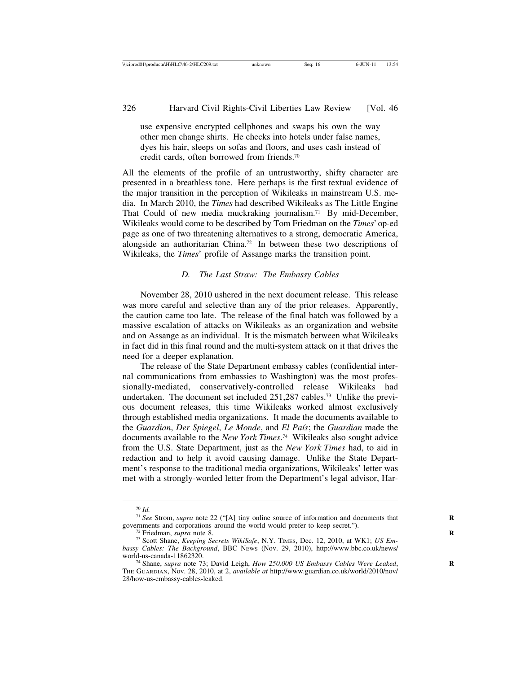use expensive encrypted cellphones and swaps his own the way other men change shirts. He checks into hotels under false names, dyes his hair, sleeps on sofas and floors, and uses cash instead of credit cards, often borrowed from friends.70

All the elements of the profile of an untrustworthy, shifty character are presented in a breathless tone. Here perhaps is the first textual evidence of the major transition in the perception of Wikileaks in mainstream U.S. media. In March 2010, the *Times* had described Wikileaks as The Little Engine That Could of new media muckraking journalism.<sup>71</sup> By mid-December, Wikileaks would come to be described by Tom Friedman on the *Times*' op-ed page as one of two threatening alternatives to a strong, democratic America, alongside an authoritarian China.72 In between these two descriptions of Wikileaks, the *Times*' profile of Assange marks the transition point.

#### *D. The Last Straw: The Embassy Cables*

November 28, 2010 ushered in the next document release. This release was more careful and selective than any of the prior releases. Apparently, the caution came too late. The release of the final batch was followed by a massive escalation of attacks on Wikileaks as an organization and website and on Assange as an individual. It is the mismatch between what Wikileaks in fact did in this final round and the multi-system attack on it that drives the need for a deeper explanation.

The release of the State Department embassy cables (confidential internal communications from embassies to Washington) was the most professionally-mediated, conservatively-controlled release Wikileaks had undertaken. The document set included 251,287 cables.73 Unlike the previous document releases, this time Wikileaks worked almost exclusively through established media organizations. It made the documents available to the *Guardian*, *Der Spiegel*, *Le Monde*, and *El Pa´ıs*; the *Guardian* made the documents available to the *New York Times*. 74 Wikileaks also sought advice from the U.S. State Department, just as the *New York Times* had, to aid in redaction and to help it avoid causing damage. Unlike the State Department's response to the traditional media organizations, Wikileaks' letter was met with a strongly-worded letter from the Department's legal advisor, Har-

<sup>&</sup>lt;sup>70</sup> *Id.* <sup>71</sup> *See* Strom, *supra* note 22 ("[A] tiny online source of information and documents that governments and corporations around the world would prefer to keep secret.").

<sup>&</sup>lt;sup>72</sup> Friedman, *supra* note 8.<br><sup>73</sup> Scott Shane, *Keeping Secrets WikiSafe*, N.Y. TIMES, Dec. 12, 2010, at WK1; *US Embassy Cables: The Background*, BBC NEWS (Nov. 29, 2010), http://www.bbc.co.uk/news/

<sup>&</sup>lt;sup>74</sup> Shane, *supra* note 73; David Leigh, *How 250,000 US Embassy Cables Were Leaked*, THE GUARDIAN, Nov. 28, 2010, at 2, *available at* http://www.guardian.co.uk/world/2010/nov/ 28/how-us-embassy-cables-leaked.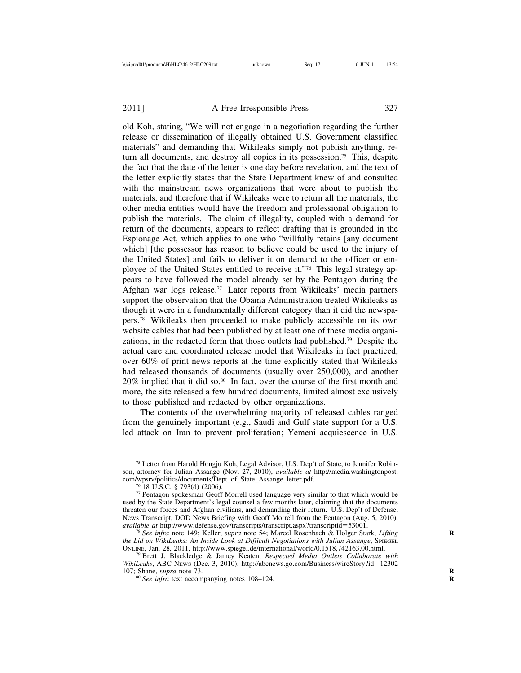old Koh, stating, "We will not engage in a negotiation regarding the further release or dissemination of illegally obtained U.S. Government classified materials" and demanding that Wikileaks simply not publish anything, return all documents, and destroy all copies in its possession.75 This, despite the fact that the date of the letter is one day before revelation, and the text of the letter explicitly states that the State Department knew of and consulted with the mainstream news organizations that were about to publish the materials, and therefore that if Wikileaks were to return all the materials, the other media entities would have the freedom and professional obligation to publish the materials. The claim of illegality, coupled with a demand for return of the documents, appears to reflect drafting that is grounded in the Espionage Act, which applies to one who "willfully retains [any document which] [the possessor has reason to believe could be used to the injury of the United States] and fails to deliver it on demand to the officer or employee of the United States entitled to receive it."76 This legal strategy appears to have followed the model already set by the Pentagon during the Afghan war logs release.77 Later reports from Wikileaks' media partners support the observation that the Obama Administration treated Wikileaks as though it were in a fundamentally different category than it did the newspapers.78 Wikileaks then proceeded to make publicly accessible on its own website cables that had been published by at least one of these media organizations, in the redacted form that those outlets had published.79 Despite the actual care and coordinated release model that Wikileaks in fact practiced, over 60% of print news reports at the time explicitly stated that Wikileaks had released thousands of documents (usually over 250,000), and another 20% implied that it did so.<sup>80</sup> In fact, over the course of the first month and more, the site released a few hundred documents, limited almost exclusively to those published and redacted by other organizations.

The contents of the overwhelming majority of released cables ranged from the genuinely important (e.g., Saudi and Gulf state support for a U.S. led attack on Iran to prevent proliferation; Yemeni acquiescence in U.S.

<sup>75</sup> Letter from Harold Hongju Koh, Legal Advisor, U.S. Dep't of State, to Jennifer Robinson, attorney for Julian Assange (Nov. 27, 2010), *available at* http://media.washingtonpost.

<sup>&</sup>lt;sup>76</sup> 18 U.S.C. § 793(d) (2006). <sup>7</sup> Pentagon spokesman Geoff Morrell used language very similar to that which would be used by the State Department's legal counsel a few months later, claiming that the documents threaten our forces and Afghan civilians, and demanding their return. U.S. Dep't of Defense, News Transcript, DOD News Briefing with Geoff Morrell from the Pentagon (Aug. 5, 2010), *available at http://www.defense.gov/transcripts/transcript.aspx?transcriptid=53001.* 

<sup>&</sup>lt;sup>78</sup> See infra note 149; Keller, *supra* note 54; Marcel Rosenbach & Holger Stark, *Lifting the Lid on WikiLeaks: An Inside Look at Difficult Negotiations with Julian Assange*, SPIEGEL ONLINE, Jan. 28, 2011, http://www.spiegel.de/international/world/0,1518,742163,00.html.

<sup>&</sup>lt;sup>79</sup> Brett J. Blackledge & Jamey Keaten, *Respected Media Outlets Collaborate with WikiLeaks*, ABC NEWS (Dec. 3, 2010), http://abcnews.go.com/Business/wireStory?id=12302 107; Shane, supra note 73.<br><sup>80</sup> *See infra* text accompanying notes 108–124.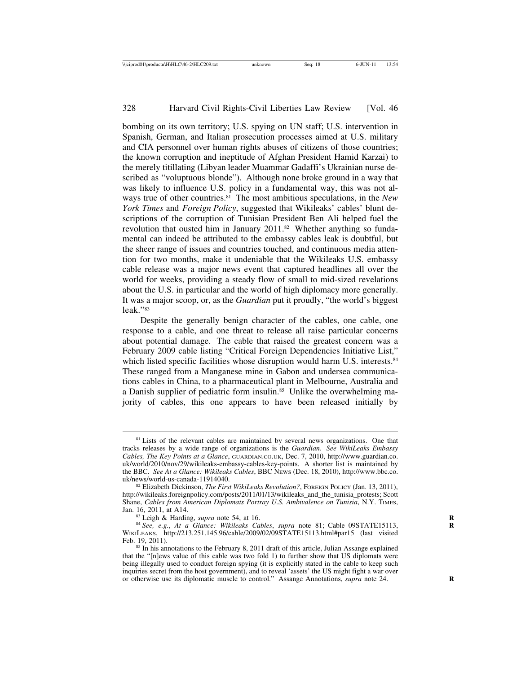bombing on its own territory; U.S. spying on UN staff; U.S. intervention in Spanish, German, and Italian prosecution processes aimed at U.S. military and CIA personnel over human rights abuses of citizens of those countries; the known corruption and ineptitude of Afghan President Hamid Karzai) to the merely titillating (Libyan leader Muammar Gadaffi's Ukrainian nurse described as "voluptuous blonde"). Although none broke ground in a way that was likely to influence U.S. policy in a fundamental way, this was not always true of other countries.81 The most ambitious speculations, in the *New York Times* and *Foreign Policy*, suggested that Wikileaks' cables' blunt descriptions of the corruption of Tunisian President Ben Ali helped fuel the revolution that ousted him in January 2011.<sup>82</sup> Whether anything so fundamental can indeed be attributed to the embassy cables leak is doubtful, but the sheer range of issues and countries touched, and continuous media attention for two months, make it undeniable that the Wikileaks U.S. embassy cable release was a major news event that captured headlines all over the world for weeks, providing a steady flow of small to mid-sized revelations about the U.S. in particular and the world of high diplomacy more generally. It was a major scoop, or, as the *Guardian* put it proudly, "the world's biggest leak."83

Despite the generally benign character of the cables, one cable, one response to a cable, and one threat to release all raise particular concerns about potential damage. The cable that raised the greatest concern was a February 2009 cable listing "Critical Foreign Dependencies Initiative List," which listed specific facilities whose disruption would harm U.S. interests.<sup>84</sup> These ranged from a Manganese mine in Gabon and undersea communications cables in China, to a pharmaceutical plant in Melbourne, Australia and a Danish supplier of pediatric form insulin.<sup>85</sup> Unlike the overwhelming majority of cables, this one appears to have been released initially by

<sup>&</sup>lt;sup>81</sup> Lists of the relevant cables are maintained by several news organizations. One that tracks releases by a wide range of organizations is the *Guardian*. *See WikiLeaks Embassy Cables, The Key Points at a Glance*, GUARDIAN.CO.UK, Dec. 7, 2010, http://www.guardian.co. uk/world/2010/nov/29/wikileaks-embassy-cables-key-points. A shorter list is maintained by the BBC. *See At a Glance: Wikileaks Cables*, BBC NEWS (Dec. 18, 2010), http://www.bbc.co.

<sup>&</sup>lt;sup>82</sup> Elizabeth Dickinson, *The First WikiLeaks Revolution?*, FOREIGN POLICY (Jan. 13, 2011), http://wikileaks.foreignpolicy.com/posts/2011/01/13/wikileaks\_and\_the\_tunisia\_protests; Scott Shane, *Cables from American Diplomats Portray U.S. Ambivalence on Tunisia*, N.Y. TIMES, Jan. 16, 2011, at A14.

<sup>&</sup>lt;sup>83</sup> Leigh & Harding, *supra* note 54, at 16.<br><sup>84</sup> See, e.g., *At a Glance: Wikileaks Cables*, *supra* note 81; Cable 09STATE15113, WIKILEAKS, http://213.251.145.96/cable/2009/02/09STATE15113.html#par15 (last visited Feb. 19. 2011).

 $85$  In his annotations to the February 8, 2011 draft of this article, Julian Assange explained that the "[n]ews value of this cable was two fold 1) to further show that US diplomats were being illegally used to conduct foreign spying (it is explicitly stated in the cable to keep such inquiries secret from the host government), and to reveal 'assets' the US might fight a war over or otherwise use its diplomatic muscle to control." Assange Annotations, *supra* note 24.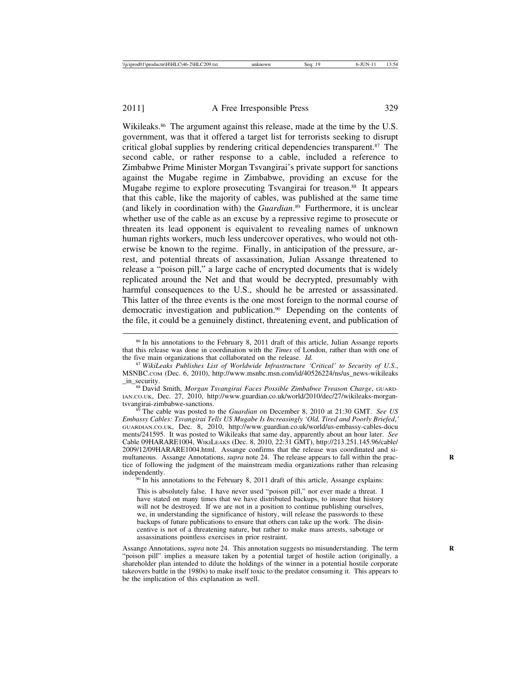Wikileaks.<sup>86</sup> The argument against this release, made at the time by the U.S. government, was that it offered a target list for terrorists seeking to disrupt critical global supplies by rendering critical dependencies transparent.87 The second cable, or rather response to a cable, included a reference to Zimbabwe Prime Minister Morgan Tsvangirai's private support for sanctions against the Mugabe regime in Zimbabwe, providing an excuse for the Mugabe regime to explore prosecuting Tsvangirai for treason.<sup>88</sup> It appears that this cable, like the majority of cables, was published at the same time (and likely in coordination with) the *Guardian*. 89 Furthermore, it is unclear whether use of the cable as an excuse by a repressive regime to prosecute or threaten its lead opponent is equivalent to revealing names of unknown human rights workers, much less undercover operatives, who would not otherwise be known to the regime. Finally, in anticipation of the pressure, arrest, and potential threats of assassination, Julian Assange threatened to release a "poison pill," a large cache of encrypted documents that is widely replicated around the Net and that would be decrypted, presumably with harmful consequences to the U.S., should he be arrested or assassinated. This latter of the three events is the one most foreign to the normal course of democratic investigation and publication.<sup>90</sup> Depending on the contents of the file, it could be a genuinely distinct, threatening event, and publication of

 $\frac{60}{90}$  In his annotations to the February 8, 2011 draft of this article, Assange explains:

This is absolutely false. I have never used "poison pill," nor ever made a threat. I have stated on many times that we have distributed backups, to insure that history will not be destroyed. If we are not in a position to continue publishing ourselves, we, in understanding the significance of history, will release the passwords to these backups of future publications to ensure that others can take up the work. The disincentive is not of a threatening nature, but rather to make mass arrests, sabotage or assassinations pointless exercises in prior restraint.

Assange Annotations, *supra* note 24. This annotation suggests no misunderstanding. The term "poison pill" implies a measure taken by a potential target of hostile action (originally, a shareholder plan intended to dilute the holdings of the winner in a potential hostile corporate takeovers battle in the 1980s) to make itself toxic to the predator consuming it. This appears to be the implication of this explanation as well.

<sup>86</sup> In his annotations to the February 8, 2011 draft of this article, Julian Assange reports that this release was done in coordination with the *Times* of London, rather than with one of the five main organizations that collaborated on the release. *Id*.

<sup>&</sup>lt;sup>87</sup> WikiLeaks Publishes List of Worldwide Infrastructure 'Critical' to Security of U.S., MSNBC.COM (Dec. 6, 2010), http://www.msnbc.msn.com/id/40526224/ns/us\_news-wikileaks

<sup>&</sup>lt;sup>88</sup> David Smith, *Morgan Tsvangirai Faces Possible Zimbabwe Treason Charge*, GUARD-IAN.CO.UK, Dec. 27, 2010, http://www.guardian.co.uk/world/2010/dec/27/wikileaks-morgan-tsvangirai-zimbabwe-sanctions.

<sup>&</sup>lt;sup>89</sup> The cable was posted to the *Guardian* on December 8, 2010 at 21:30 GMT. *See US Embassy Cables: Tsvangirai Tells US Mugabe Is Increasingly 'Old, Tired and Poorly Briefed*,*'* GUARDIAN.CO.UK, Dec. 8, 2010, http://www.guardian.co.uk/world/us-embassy-cables-docu ments/241595. It was posted to Wikileaks that same day, apparently about an hour later. *See* Cable 09HARARE1004, WIKILEAKS (Dec. 8, 2010, 22:31 GMT), http://213.251.145.96/cable/ 2009/12/09HARARE1004.html. Assange confirms that the release was coordinated and simultaneous. Assange Annotations, *supra* note 24. The release appears to fall within the practice of following the judgment of the mainstream media organizations rather than releasing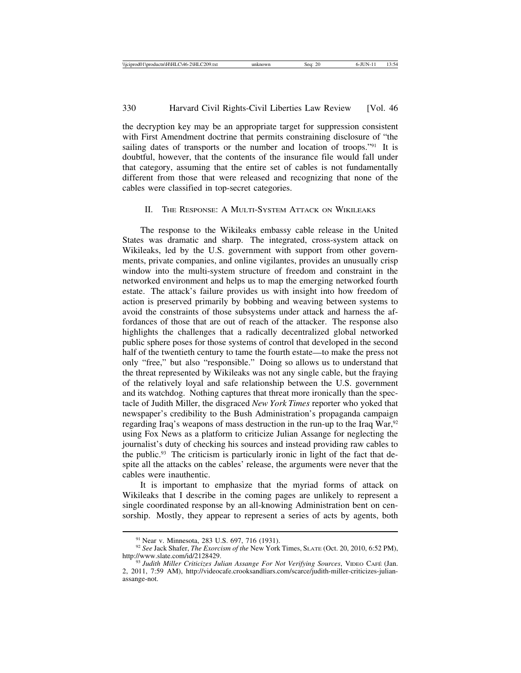the decryption key may be an appropriate target for suppression consistent with First Amendment doctrine that permits constraining disclosure of "the sailing dates of transports or the number and location of troops."<sup>91</sup> It is doubtful, however, that the contents of the insurance file would fall under that category, assuming that the entire set of cables is not fundamentally different from those that were released and recognizing that none of the cables were classified in top-secret categories.

#### II. THE RESPONSE: A MULTI-SYSTEM ATTACK ON WIKILEAKS

The response to the Wikileaks embassy cable release in the United States was dramatic and sharp. The integrated, cross-system attack on Wikileaks, led by the U.S. government with support from other governments, private companies, and online vigilantes, provides an unusually crisp window into the multi-system structure of freedom and constraint in the networked environment and helps us to map the emerging networked fourth estate. The attack's failure provides us with insight into how freedom of action is preserved primarily by bobbing and weaving between systems to avoid the constraints of those subsystems under attack and harness the affordances of those that are out of reach of the attacker. The response also highlights the challenges that a radically decentralized global networked public sphere poses for those systems of control that developed in the second half of the twentieth century to tame the fourth estate—to make the press not only "free," but also "responsible." Doing so allows us to understand that the threat represented by Wikileaks was not any single cable, but the fraying of the relatively loyal and safe relationship between the U.S. government and its watchdog. Nothing captures that threat more ironically than the spectacle of Judith Miller, the disgraced *New York Times* reporter who yoked that newspaper's credibility to the Bush Administration's propaganda campaign regarding Iraq's weapons of mass destruction in the run-up to the Iraq War,<sup>92</sup> using Fox News as a platform to criticize Julian Assange for neglecting the journalist's duty of checking his sources and instead providing raw cables to the public.93 The criticism is particularly ironic in light of the fact that despite all the attacks on the cables' release, the arguments were never that the cables were inauthentic.

It is important to emphasize that the myriad forms of attack on Wikileaks that I describe in the coming pages are unlikely to represent a single coordinated response by an all-knowing Administration bent on censorship. Mostly, they appear to represent a series of acts by agents, both

<sup>&</sup>lt;sup>91</sup> Near v. Minnesota, 283 U.S. 697, 716 (1931).<br><sup>92</sup> *See* Jack Shafer, *The Exorcism of the* New York Times, SLATE (Oct. 20, 2010, 6:52 PM), http://www.slate.com/id/2128429.

<sup>&</sup>lt;sup>93</sup> Judith Miller Criticizes Julian Assange For Not Verifying Sources, VIDEO CAFÉ (Jan. 2, 2011, 7:59 AM), http://videocafe.crooksandliars.com/scarce/judith-miller-criticizes-julianassange-not.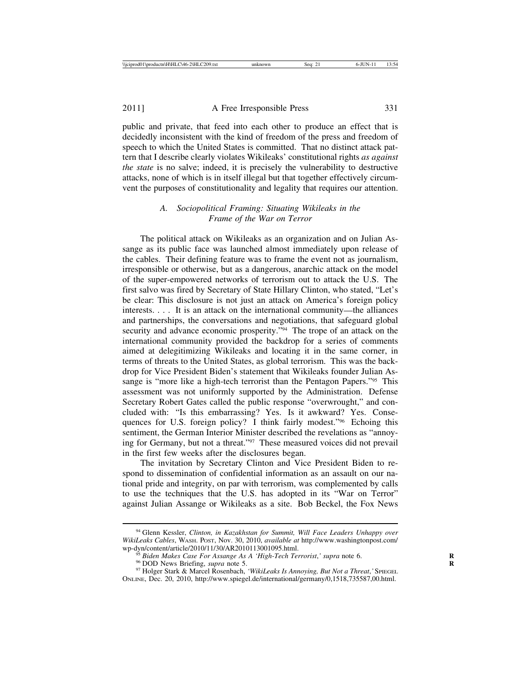public and private, that feed into each other to produce an effect that is decidedly inconsistent with the kind of freedom of the press and freedom of speech to which the United States is committed. That no distinct attack pattern that I describe clearly violates Wikileaks' constitutional rights *as against the state* is no salve; indeed, it is precisely the vulnerability to destructive attacks, none of which is in itself illegal but that together effectively circumvent the purposes of constitutionality and legality that requires our attention.

#### *A. Sociopolitical Framing: Situating Wikileaks in the Frame of the War on Terror*

The political attack on Wikileaks as an organization and on Julian Assange as its public face was launched almost immediately upon release of the cables. Their defining feature was to frame the event not as journalism, irresponsible or otherwise, but as a dangerous, anarchic attack on the model of the super-empowered networks of terrorism out to attack the U.S. The first salvo was fired by Secretary of State Hillary Clinton, who stated, "Let's be clear: This disclosure is not just an attack on America's foreign policy interests. . . . It is an attack on the international community—the alliances and partnerships, the conversations and negotiations, that safeguard global security and advance economic prosperity."<sup>94</sup> The trope of an attack on the international community provided the backdrop for a series of comments aimed at delegitimizing Wikileaks and locating it in the same corner, in terms of threats to the United States, as global terrorism. This was the backdrop for Vice President Biden's statement that Wikileaks founder Julian Assange is "more like a high-tech terrorist than the Pentagon Papers."<sup>95</sup> This assessment was not uniformly supported by the Administration. Defense Secretary Robert Gates called the public response "overwrought," and concluded with: "Is this embarrassing? Yes. Is it awkward? Yes. Consequences for U.S. foreign policy? I think fairly modest."96 Echoing this sentiment, the German Interior Minister described the revelations as "annoying for Germany, but not a threat."97 These measured voices did not prevail in the first few weeks after the disclosures began.

The invitation by Secretary Clinton and Vice President Biden to respond to dissemination of confidential information as an assault on our national pride and integrity, on par with terrorism, was complemented by calls to use the techniques that the U.S. has adopted in its "War on Terror" against Julian Assange or Wikileaks as a site. Bob Beckel, the Fox News

<sup>95</sup> Biden Makes Case For Assange As A 'High-Tech Terrorist,' supra note 6.<br><sup>96</sup> DOD News Briefing, supra note 5.<br><sup>97</sup> Holger Stark & Marcel Rosenbach, 'WikiLeaks Is Annoying, But Not a Threat,' SPIEGEL

<sup>94</sup> Glenn Kessler, *Clinton, in Kazakhstan for Summit, Will Face Leaders Unhappy over WikiLeaks Cables*, WASH. POST, Nov. 30, 2010, *available at* http://www.washingtonpost.com/

ONLINE, Dec. 20, 2010, http://www.spiegel.de/international/germany/0,1518,735587,00.html.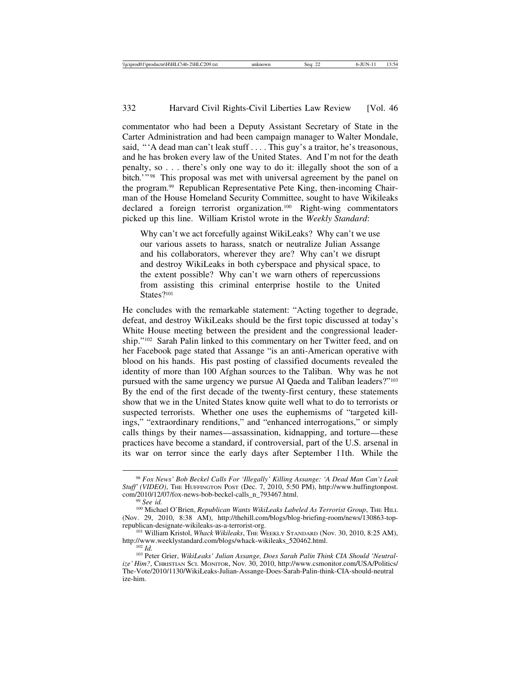commentator who had been a Deputy Assistant Secretary of State in the Carter Administration and had been campaign manager to Walter Mondale, said, "'A dead man can't leak stuff . . . . This guy's a traitor, he's treasonous, and he has broken every law of the United States. And I'm not for the death penalty, so . . . there's only one way to do it: illegally shoot the son of a bitch.'"<sup>98</sup> This proposal was met with universal agreement by the panel on the program.99 Republican Representative Pete King, then-incoming Chairman of the House Homeland Security Committee, sought to have Wikileaks declared a foreign terrorist organization.<sup>100</sup> Right-wing commentators picked up this line. William Kristol wrote in the *Weekly Standard*:

Why can't we act forcefully against WikiLeaks? Why can't we use our various assets to harass, snatch or neutralize Julian Assange and his collaborators, wherever they are? Why can't we disrupt and destroy WikiLeaks in both cyberspace and physical space, to the extent possible? Why can't we warn others of repercussions from assisting this criminal enterprise hostile to the United States?101

He concludes with the remarkable statement: "Acting together to degrade, defeat, and destroy WikiLeaks should be the first topic discussed at today's White House meeting between the president and the congressional leadership."102 Sarah Palin linked to this commentary on her Twitter feed, and on her Facebook page stated that Assange "is an anti-American operative with blood on his hands. His past posting of classified documents revealed the identity of more than 100 Afghan sources to the Taliban. Why was he not pursued with the same urgency we pursue Al Qaeda and Taliban leaders?"103 By the end of the first decade of the twenty-first century, these statements show that we in the United States know quite well what to do to terrorists or suspected terrorists. Whether one uses the euphemisms of "targeted killings," "extraordinary renditions," and "enhanced interrogations," or simply calls things by their names—assassination, kidnapping, and torture—these practices have become a standard, if controversial, part of the U.S. arsenal in its war on terror since the early days after September 11th. While the

<sup>98</sup> *Fox News' Bob Beckel Calls For 'Illegally' Killing Assange: 'A Dead Man Can't Leak Stuff' (VIDEO)*, THE HUFFINGTON POST (Dec. 7, 2010, 5:50 PM), http://www.huffingtonpost. com/2010/12/07/fox-news-bob-beckel-calls n 793467.html.

<sup>&</sup>lt;sup>99</sup> See id.<br><sup>100</sup> Michael O'Brien, *Republican Wants WikiLeaks Labeled As Terrorist Group*, THE HILL (Nov. 29, 2010, 8:38 AM), http://thehill.com/blogs/blog-briefing-room/news/130863-top-

<sup>&</sup>lt;sup>101</sup> William Kristol, *Whack Wikileaks*, THE WEEKLY STANDARD (Nov. 30, 2010, 8:25 AM), http://www.weeklystandard.com/blogs/whack-wikileaks\_520462.html.

<sup>&</sup>lt;sup>102</sup> Id.<br><sup>103</sup> Peter Grier, *WikiLeaks' Julian Assange, Does Sarah Palin Think CIA Should 'Neutralize' Him?*, CHRISTIAN SCI. MONITOR, Nov. 30, 2010, http://www.csmonitor.com/USA/Politics/ The-Vote/2010/1130/WikiLeaks-Julian-Assange-Does-Sarah-Palin-think-CIA-should-neutral ize-him.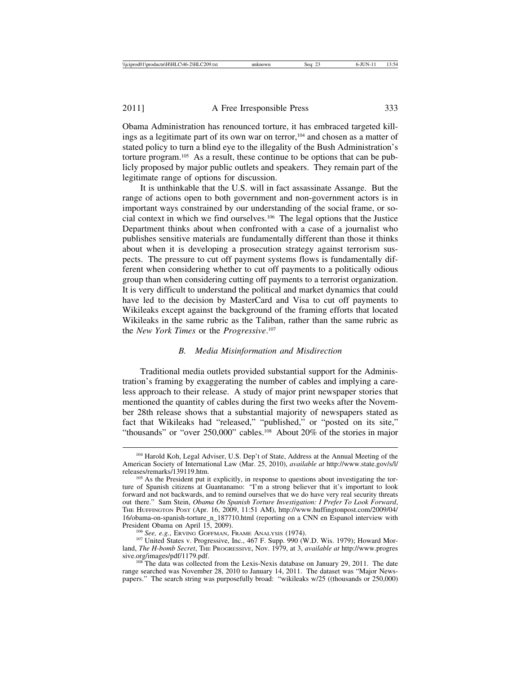Obama Administration has renounced torture, it has embraced targeted killings as a legitimate part of its own war on terror,104 and chosen as a matter of stated policy to turn a blind eye to the illegality of the Bush Administration's torture program.105 As a result, these continue to be options that can be publicly proposed by major public outlets and speakers. They remain part of the legitimate range of options for discussion.

It is unthinkable that the U.S. will in fact assassinate Assange. But the range of actions open to both government and non-government actors is in important ways constrained by our understanding of the social frame, or social context in which we find ourselves.106 The legal options that the Justice Department thinks about when confronted with a case of a journalist who publishes sensitive materials are fundamentally different than those it thinks about when it is developing a prosecution strategy against terrorism suspects. The pressure to cut off payment systems flows is fundamentally different when considering whether to cut off payments to a politically odious group than when considering cutting off payments to a terrorist organization. It is very difficult to understand the political and market dynamics that could have led to the decision by MasterCard and Visa to cut off payments to Wikileaks except against the background of the framing efforts that located Wikileaks in the same rubric as the Taliban, rather than the same rubric as the *New York Times* or the *Progressive*. 107

#### *B. Media Misinformation and Misdirection*

Traditional media outlets provided substantial support for the Administration's framing by exaggerating the number of cables and implying a careless approach to their release. A study of major print newspaper stories that mentioned the quantity of cables during the first two weeks after the November 28th release shows that a substantial majority of newspapers stated as fact that Wikileaks had "released," "published," or "posted on its site," "thousands" or "over 250,000" cables.<sup>108</sup> About 20% of the stories in major

<sup>104</sup> Harold Koh, Legal Adviser, U.S. Dep't of State, Address at the Annual Meeting of the American Society of International Law (Mar. 25, 2010), *available at* http://www.state.gov/s/l/

 $105$  As the President put it explicitly, in response to questions about investigating the torture of Spanish citizens at Guantanamo: "I'm a strong believer that it's important to look forward and not backwards, and to remind ourselves that we do have very real security threats out there." Sam Stein, *Obama On Spanish Torture Investigation: I Prefer To Look Forward*, THE HUFFINGTON POST (Apr. 16, 2009, 11:51 AM), http://www.huffingtonpost.com/2009/04/ 16/obama-on-spanish-torture\_n\_187710.html (reporting on a CNN en Espanol interview with

<sup>&</sup>lt;sup>106</sup> *See, e.g.*, ERVING GOFFMAN, FRAME ANALYSIS (1974).<br><sup>107</sup> United States v. Progressive, Inc., 467 F. Supp. 990 (W.D. Wis. 1979); Howard Morland, *The H-bomb Secret*, The Progressive, Nov. 1979, at 3, *available at* http://www.progres sive.org/images/pdf/1179.pdf.

<sup>&</sup>lt;sup>108</sup> The data was collected from the Lexis-Nexis database on January 29, 2011. The date range searched was November 28, 2010 to January 14, 2011. The dataset was "Major Newspapers." The search string was purposefully broad: "wikileaks w/25 ((thousands or 250,000)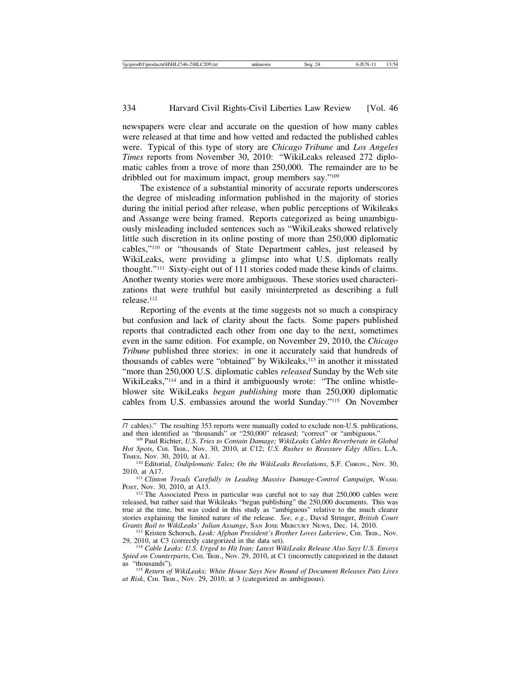newspapers were clear and accurate on the question of how many cables were released at that time and how vetted and redacted the published cables were. Typical of this type of story are *Chicago Tribune* and *Los Angeles Times* reports from November 30, 2010: "WikiLeaks released 272 diplomatic cables from a trove of more than 250,000. The remainder are to be dribbled out for maximum impact, group members say."109

The existence of a substantial minority of accurate reports underscores the degree of misleading information published in the majority of stories during the initial period after release, when public perceptions of Wikileaks and Assange were being framed. Reports categorized as being unambiguously misleading included sentences such as "WikiLeaks showed relatively little such discretion in its online posting of more than 250,000 diplomatic cables,"110 or "thousands of State Department cables, just released by WikiLeaks, were providing a glimpse into what U.S. diplomats really thought."111 Sixty-eight out of 111 stories coded made these kinds of claims. Another twenty stories were more ambiguous. These stories used characterizations that were truthful but easily misinterpreted as describing a full release.112

Reporting of the events at the time suggests not so much a conspiracy but confusion and lack of clarity about the facts. Some papers published reports that contradicted each other from one day to the next, sometimes even in the same edition. For example, on November 29, 2010, the *Chicago Tribune* published three stories: in one it accurately said that hundreds of thousands of cables were "obtained" by Wikileaks,<sup>113</sup> in another it misstated "more than 250,000 U.S. diplomatic cables *released* Sunday by the Web site WikiLeaks,"114 and in a third it ambiguously wrote: "The online whistleblower site WikiLeaks *began publishing* more than 250,000 diplomatic cables from U.S. embassies around the world Sunday."115 On November

POST, Nov. 30, 2010, at A13.

<sup>113</sup> Kristen Schorsch, *Leak: Afghan President's Brother Loves Lakeview*, CHI. TRIB., Nov. 29, 2010, at C3 (correctly categorized in the data set).

<sup>/7</sup> cables)." The resulting 353 reports were manually coded to exclude non-U.S. publications, and then identified as "thousands" or "250,000" released; "correct" or "ambiguous."

<sup>&</sup>lt;sup>109</sup> Paul Richter, U.S. Tries to Contain Damage; WikiLeaks Cables Reverberate in Global *Hot Spots*, CHI. TRIB., Nov. 30, 2010, at C12; *U.S. Rushes to Reassure Edgy Allies*, L.A. TIMES, Nov. 30, 2010, at A1.

<sup>110</sup> Editorial, *Undiplomatic Tales; On the WikiLeaks Revelations*, S.F. CHRON., Nov. 30, 2010, at A17. <sup>111</sup> *Clinton Treads Carefully in Leading Massive Damage-Control Campaign*, WASH.

<sup>&</sup>lt;sup>112</sup> The Associated Press in particular was careful not to say that 250,000 cables were released, but rather said that Wikileaks "began publishing" the 250,000 documents. This was true at the time, but was coded in this study as "ambiguous" relative to the much clearer stories explaining the limited nature of the release. *See, e.g.*, David Stringer, *British Court*

<sup>&</sup>lt;sup>114</sup> Cable Leaks: U.S. Urged to Hit Iran; Latest WikiLeaks Release Also Says U.S. Envoys *Spied on Counterparts*, CHI. TRIB., Nov. 29, 2010, at C1 (incorrectly categorized in the dataset as "thousands"). <sup>115</sup> *Return of WikiLeaks; White House Says New Round of Document Releases Puts Lives*

*at Risk*, CHI. TRIB., Nov. 29, 2010, at 3 (categorized as ambiguous).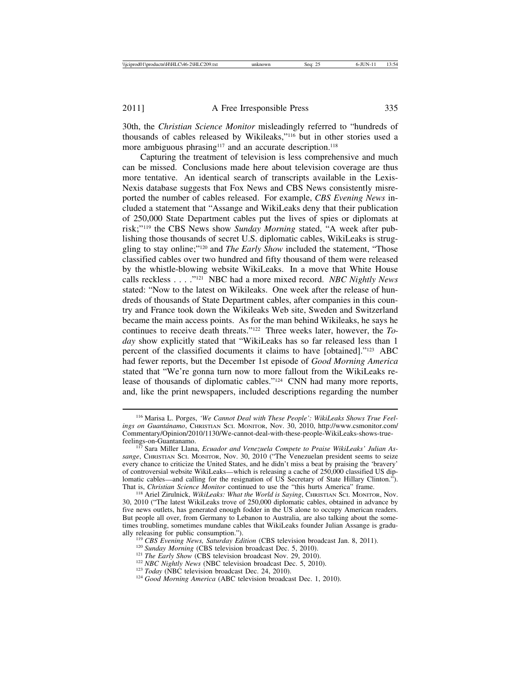30th, the *Christian Science Monitor* misleadingly referred to "hundreds of thousands of cables released by Wikileaks,"116 but in other stories used a more ambiguous phrasing<sup>117</sup> and an accurate description.<sup>118</sup>

Capturing the treatment of television is less comprehensive and much can be missed. Conclusions made here about television coverage are thus more tentative. An identical search of transcripts available in the Lexis-Nexis database suggests that Fox News and CBS News consistently misreported the number of cables released. For example, *CBS Evening News* included a statement that "Assange and WikiLeaks deny that their publication of 250,000 State Department cables put the lives of spies or diplomats at risk;"119 the CBS News show *Sunday Morning* stated, "A week after publishing those thousands of secret U.S. diplomatic cables, WikiLeaks is struggling to stay online;"120 and *The Early Show* included the statement, "Those classified cables over two hundred and fifty thousand of them were released by the whistle-blowing website WikiLeaks. In a move that White House calls reckless . . . ."121 NBC had a more mixed record. *NBC Nightly News* stated: "Now to the latest on Wikileaks. One week after the release of hundreds of thousands of State Department cables, after companies in this country and France took down the Wikileaks Web site, Sweden and Switzerland became the main access points. As for the man behind Wikileaks, he says he continues to receive death threats."122 Three weeks later, however, the *Today* show explicitly stated that "WikiLeaks has so far released less than 1 percent of the classified documents it claims to have [obtained]."123 ABC had fewer reports, but the December 1st episode of *Good Morning America* stated that "We're gonna turn now to more fallout from the WikiLeaks release of thousands of diplomatic cables."124 CNN had many more reports, and, like the print newspapers, included descriptions regarding the number

<sup>116</sup> Marisa L. Porges, *'We Cannot Deal with These People': WikiLeaks Shows True Feelings on Guant´anamo*, CHRISTIAN SCI. MONITOR, Nov. 30, 2010, http://www.csmonitor.com/ Commentary/Opinion/2010/1130/We-cannot-deal-with-these-people-WikiLeaks-shows-true-

<sup>&</sup>lt;sup>117</sup> Sara Miller Llana, *Ecuador and Venezuela Compete to Praise WikiLeaks' Julian Assange*, CHRISTIAN SCI. MONITOR, Nov. 30, 2010 ("The Venezuelan president seems to seize every chance to criticize the United States, and he didn't miss a beat by praising the 'bravery' of controversial website WikiLeaks—which is releasing a cache of 250,000 classified US diplomatic cables—and calling for the resignation of US Secretary of State Hillary Clinton."). That is, *Christian Science Monitor* continued to use the "this hurts America" frame.

<sup>&</sup>lt;sup>118</sup> Ariel Zirulnick, *WikiLeaks: What the World is Saying*, CHRISTIAN SCI. MONITOR, Nov. 30, 2010 ("The latest WikiLeaks trove of 250,000 diplomatic cables, obtained in advance by five news outlets, has generated enough fodder in the US alone to occupy American readers. But people all over, from Germany to Lebanon to Australia, are also talking about the sometimes troubling, sometimes mundane cables that WikiLeaks founder Julian Assange is gradually releasing for public consumption.").

<sup>&</sup>lt;sup>119</sup> CBS Evening News, Saturday Edition (CBS television broadcast Jan. 8, 2011).<br><sup>120</sup> Sunday Morning (CBS television broadcast Dec. 5, 2010).<br><sup>121</sup> The Early Show (CBS television broadcast Nov. 29, 2010).<br><sup>122</sup> NBC Nigh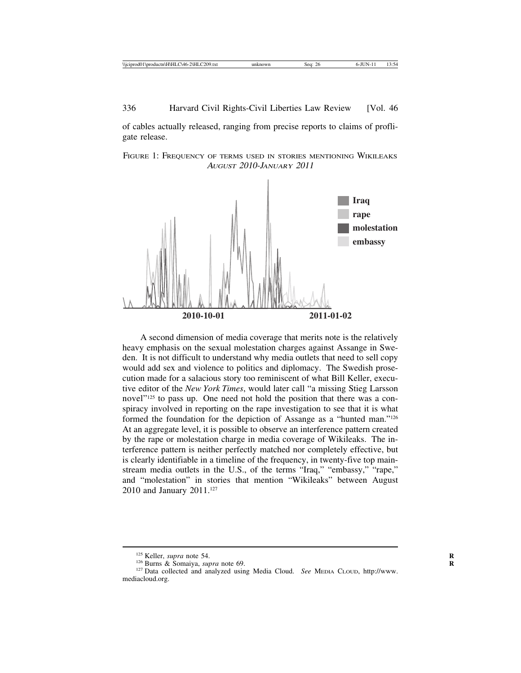of cables actually released, ranging from precise reports to claims of profligate release.





A second dimension of media coverage that merits note is the relatively heavy emphasis on the sexual molestation charges against Assange in Sweden. It is not difficult to understand why media outlets that need to sell copy would add sex and violence to politics and diplomacy. The Swedish prosecution made for a salacious story too reminiscent of what Bill Keller, executive editor of the *New York Times*, would later call "a missing Stieg Larsson novel"<sup>125</sup> to pass up. One need not hold the position that there was a conspiracy involved in reporting on the rape investigation to see that it is what formed the foundation for the depiction of Assange as a "hunted man."126 At an aggregate level, it is possible to observe an interference pattern created by the rape or molestation charge in media coverage of Wikileaks. The interference pattern is neither perfectly matched nor completely effective, but is clearly identifiable in a timeline of the frequency, in twenty-five top mainstream media outlets in the U.S., of the terms "Iraq," "embassy," "rape," and "molestation" in stories that mention "Wikileaks" between August 2010 and January 2011.127

<sup>&</sup>lt;sup>125</sup> Keller, *supra* note 54.<br><sup>126</sup> Burns & Somaiya, *supra* note 69.<br><sup>127</sup> Data collected and analyzed using Media Cloud. *See* MEDIA CLOUD, http://www. mediacloud.org.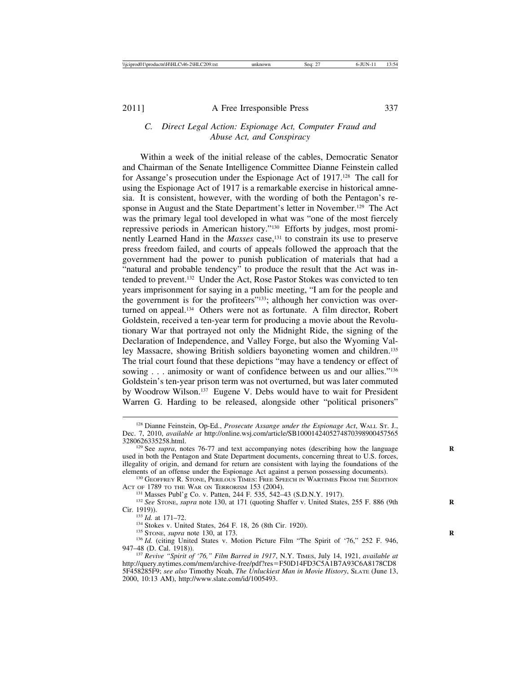#### *C. Direct Legal Action: Espionage Act, Computer Fraud and Abuse Act, and Conspiracy*

Within a week of the initial release of the cables, Democratic Senator and Chairman of the Senate Intelligence Committee Dianne Feinstein called for Assange's prosecution under the Espionage Act of 1917.128 The call for using the Espionage Act of 1917 is a remarkable exercise in historical amnesia. It is consistent, however, with the wording of both the Pentagon's response in August and the State Department's letter in November.<sup>129</sup> The Act was the primary legal tool developed in what was "one of the most fiercely repressive periods in American history."130 Efforts by judges, most prominently Learned Hand in the *Masses* case,<sup>131</sup> to constrain its use to preserve press freedom failed, and courts of appeals followed the approach that the government had the power to punish publication of materials that had a "natural and probable tendency" to produce the result that the Act was intended to prevent.132 Under the Act, Rose Pastor Stokes was convicted to ten years imprisonment for saying in a public meeting, "I am for the people and the government is for the profiteers"133; although her conviction was overturned on appeal.134 Others were not as fortunate. A film director, Robert Goldstein, received a ten-year term for producing a movie about the Revolutionary War that portrayed not only the Midnight Ride, the signing of the Declaration of Independence, and Valley Forge, but also the Wyoming Valley Massacre, showing British soldiers bayoneting women and children.135 The trial court found that these depictions "may have a tendency or effect of sowing . . . animosity or want of confidence between us and our allies."<sup>136</sup> Goldstein's ten-year prison term was not overturned, but was later commuted by Woodrow Wilson.<sup>137</sup> Eugene V. Debs would have to wait for President Warren G. Harding to be released, alongside other "political prisoners"

<sup>130</sup> GEOFFREY R. STONE, PERILOUS TIMES: FREE SPEECH IN WARTIMES FROM THE SEDITION

ACT OF 1789 TO THE WAR ON TERRORISM 153 (2004).<br>
<sup>131</sup> Masses Publ'g Co. v. Patten, 244 F. 535, 542–43 (S.D.N.Y. 1917).<br>
<sup>132</sup> See Stone, *supra* note 130, at 171 (quoting Shaffer v. United States, 255 F. 886 (9th<br>
Cir. 19

<sup>133</sup> *Id.* at 171–72.<br><sup>134</sup> Stokes v. United States, 264 F. 18, 26 (8th Cir. 1920).<br><sup>135</sup> STONE, *supra* note 130, at 173.<br><sup>136</sup> *Id.* (citing United States v. Motion Picture Film "The Spirit of '76," 252 F. 946, 947–48 (D. Cal. 1918)).

<sup>128</sup> Dianne Feinstein, Op-Ed., *Prosecute Assange under the Espionage Act*, WALL ST. J., Dec. 7, 2010, *available at* http://online.wsj.com/article/SB1000142405274870398900457565

<sup>&</sup>lt;sup>129</sup> See *supra*, notes 76-77 and text accompanying notes (describing how the language used in both the Pentagon and State Department documents, concerning threat to U.S. forces, illegality of origin, and demand for return are consistent with laying the foundations of the elements of an offense under the Espionage Act against a person possessing documents).

<sup>137</sup> *Revive "Spirit of '76," Film Barred in 1917*, N.Y. TIMES, July 14, 1921, *available at* http://query.nytimes.com/mem/archive-free/pdf?res=F50D14FD3C5A1B7A93C6A8178CD8 5F458285F9; *see also* Timothy Noah, *The Unluckiest Man in Movie History*, SLATE (June 13, 2000, 10:13 AM), http://www.slate.com/id/1005493.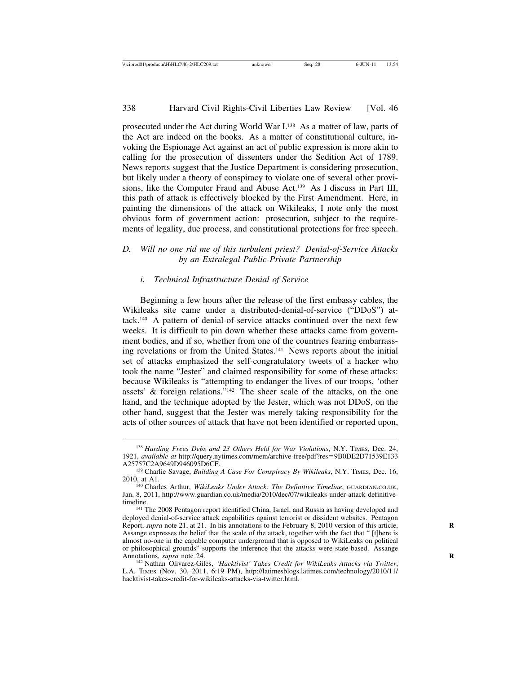prosecuted under the Act during World War I.138 As a matter of law, parts of the Act are indeed on the books. As a matter of constitutional culture, invoking the Espionage Act against an act of public expression is more akin to calling for the prosecution of dissenters under the Sedition Act of 1789. News reports suggest that the Justice Department is considering prosecution, but likely under a theory of conspiracy to violate one of several other provisions, like the Computer Fraud and Abuse Act.139 As I discuss in Part III, this path of attack is effectively blocked by the First Amendment. Here, in painting the dimensions of the attack on Wikileaks, I note only the most obvious form of government action: prosecution, subject to the requirements of legality, due process, and constitutional protections for free speech.

#### *D. Will no one rid me of this turbulent priest? Denial-of-Service Attacks by an Extralegal Public-Private Partnership*

#### *i. Technical Infrastructure Denial of Service*

Beginning a few hours after the release of the first embassy cables, the Wikileaks site came under a distributed-denial-of-service ("DDoS") attack.140 A pattern of denial-of-service attacks continued over the next few weeks. It is difficult to pin down whether these attacks came from government bodies, and if so, whether from one of the countries fearing embarrassing revelations or from the United States.141 News reports about the initial set of attacks emphasized the self-congratulatory tweets of a hacker who took the name "Jester" and claimed responsibility for some of these attacks: because Wikileaks is "attempting to endanger the lives of our troops, 'other assets' & foreign relations."142 The sheer scale of the attacks, on the one hand, and the technique adopted by the Jester, which was not DDoS, on the other hand, suggest that the Jester was merely taking responsibility for the acts of other sources of attack that have not been identified or reported upon,

<sup>138</sup> *Harding Frees Debs and 23 Others Held for War Violations*, N.Y. TIMES, Dec. 24, 1921, *available at* http://query.nytimes.com/mem/archive-free/pdf?res=9B0DE2D71539E133

<sup>&</sup>lt;sup>139</sup> Charlie Savage, *Building A Case For Conspiracy By Wikileaks*, N.Y. TIMES, Dec. 16, 2010, at A1.

<sup>&</sup>lt;sup>140</sup> Charles Arthur, *WikiLeaks Under Attack: The Definitive Timeline*, GUARDIAN.CO.UK, Jan. 8, 2011, http://www.guardian.co.uk/media/2010/dec/07/wikileaks-under-attack-definitivetimeline.<br><sup>141</sup> The 2008 Pentagon report identified China, Israel, and Russia as having developed and

deployed denial-of-service attack capabilities against terrorist or dissident websites. Pentagon Report, *supra* note 21, at 21. In his annotations to the February 8, 2010 version of this article, **R** Assange expresses the belief that the scale of the attack, together with the fact that " [t]here is almost no-one in the capable computer underground that is opposed to WikiLeaks on political or philosophical grounds" supports the inference that the attacks were state-based. Assange Annotations, *supra* note 24.

<sup>&</sup>lt;sup>142</sup> Nathan Olivarez-Giles, 'Hacktivist' Takes Credit for WikiLeaks Attacks via Twitter, L.A. TIMES (Nov. 30, 2011, 6:19 PM), http://latimesblogs.latimes.com/technology/2010/11/ hacktivist-takes-credit-for-wikileaks-attacks-via-twitter.html.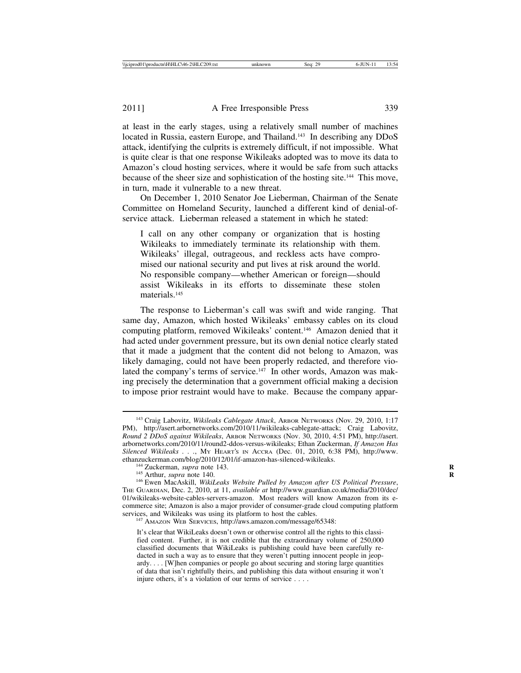at least in the early stages, using a relatively small number of machines located in Russia, eastern Europe, and Thailand.<sup>143</sup> In describing any DDoS attack, identifying the culprits is extremely difficult, if not impossible. What is quite clear is that one response Wikileaks adopted was to move its data to Amazon's cloud hosting services, where it would be safe from such attacks because of the sheer size and sophistication of the hosting site.144 This move, in turn, made it vulnerable to a new threat.

On December 1, 2010 Senator Joe Lieberman, Chairman of the Senate Committee on Homeland Security, launched a different kind of denial-ofservice attack. Lieberman released a statement in which he stated:

I call on any other company or organization that is hosting Wikileaks to immediately terminate its relationship with them. Wikileaks' illegal, outrageous, and reckless acts have compromised our national security and put lives at risk around the world. No responsible company—whether American or foreign—should assist Wikileaks in its efforts to disseminate these stolen materials.145

The response to Lieberman's call was swift and wide ranging. That same day, Amazon, which hosted Wikileaks' embassy cables on its cloud computing platform, removed Wikileaks' content.146 Amazon denied that it had acted under government pressure, but its own denial notice clearly stated that it made a judgment that the content did not belong to Amazon, was likely damaging, could not have been properly redacted, and therefore violated the company's terms of service.<sup>147</sup> In other words, Amazon was making precisely the determination that a government official making a decision to impose prior restraint would have to make. Because the company appar-

<sup>143</sup> Craig Labovitz, *Wikileaks Cablegate Attack*, ARBOR NETWORKS (Nov. 29, 2010, 1:17 PM), http://asert.arbornetworks.com/2010/11/wikileaks-cablegate-attack; Craig Labovitz, *Round 2 DDoS against Wikileaks*, ARBOR NETWORKS (Nov. 30, 2010, 4:51 PM), http://asert. arbornetworks.com/2010/11/round2-ddos-versus-wikileaks; Ethan Zuckerman, *If Amazon Has Silenced Wikileaks . . .*, MY HEART'S IN ACCRA (Dec. 01, 2010, 6:38 PM), http://www.

<sup>&</sup>lt;sup>144</sup> Zuckerman, *supra* note 143.<br><sup>145</sup> Arthur, *supra* note 140.<br><sup>146</sup> Ewen MacAskill, *WikiLeaks Website Pulled by Amazon after US Political Pressure*, THE GUARDIAN, Dec. 2, 2010, at 11, *available at* http://www.guardian.co.uk/media/2010/dec/ 01/wikileaks-website-cables-servers-amazon. Most readers will know Amazon from its ecommerce site; Amazon is also a major provider of consumer-grade cloud computing platform

<sup>&</sup>lt;sup>147</sup> AMAZON WEB SERVICES, http://aws.amazon.com/message/65348:

It's clear that WikiLeaks doesn't own or otherwise control all the rights to this classified content. Further, it is not credible that the extraordinary volume of 250,000 classified documents that WikiLeaks is publishing could have been carefully redacted in such a way as to ensure that they weren't putting innocent people in jeopardy. . . . [W]hen companies or people go about securing and storing large quantities of data that isn't rightfully theirs, and publishing this data without ensuring it won't injure others, it's a violation of our terms of service . . . .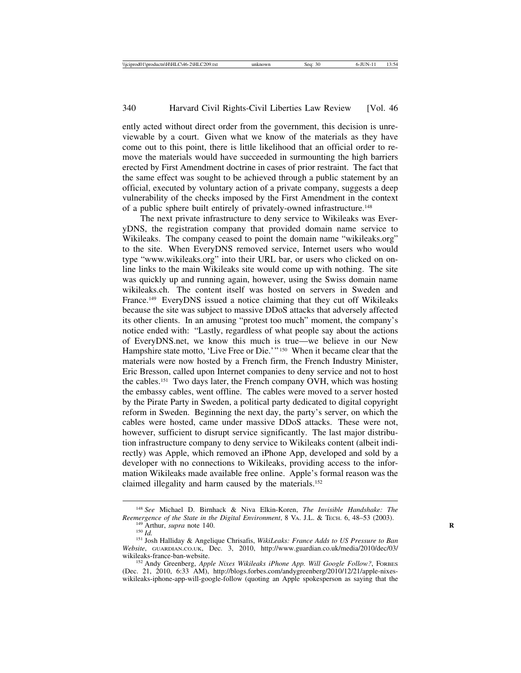ently acted without direct order from the government, this decision is unreviewable by a court. Given what we know of the materials as they have come out to this point, there is little likelihood that an official order to remove the materials would have succeeded in surmounting the high barriers erected by First Amendment doctrine in cases of prior restraint. The fact that the same effect was sought to be achieved through a public statement by an official, executed by voluntary action of a private company, suggests a deep vulnerability of the checks imposed by the First Amendment in the context of a public sphere built entirely of privately-owned infrastructure.<sup>148</sup>

The next private infrastructure to deny service to Wikileaks was EveryDNS, the registration company that provided domain name service to Wikileaks. The company ceased to point the domain name "wikileaks.org" to the site. When EveryDNS removed service, Internet users who would type "www.wikileaks.org" into their URL bar, or users who clicked on online links to the main Wikileaks site would come up with nothing. The site was quickly up and running again, however, using the Swiss domain name wikileaks.ch. The content itself was hosted on servers in Sweden and France.<sup>149</sup> EveryDNS issued a notice claiming that they cut off Wikileaks because the site was subject to massive DDoS attacks that adversely affected its other clients. In an amusing "protest too much" moment, the company's notice ended with: "Lastly, regardless of what people say about the actions of EveryDNS.net, we know this much is true—we believe in our New Hampshire state motto, 'Live Free or Die.'" 150 When it became clear that the materials were now hosted by a French firm, the French Industry Minister, Eric Bresson, called upon Internet companies to deny service and not to host the cables.151 Two days later, the French company OVH, which was hosting the embassy cables, went offline. The cables were moved to a server hosted by the Pirate Party in Sweden, a political party dedicated to digital copyright reform in Sweden. Beginning the next day, the party's server, on which the cables were hosted, came under massive DDoS attacks. These were not, however, sufficient to disrupt service significantly. The last major distribution infrastructure company to deny service to Wikileaks content (albeit indirectly) was Apple, which removed an iPhone App, developed and sold by a developer with no connections to Wikileaks, providing access to the information Wikileaks made available free online. Apple's formal reason was the claimed illegality and harm caused by the materials.152

<sup>148</sup> *See* Michael D. Birnhack & Niva Elkin-Koren, *The Invisible Handshake: The* <sup>149</sup> Arthur, *supra* note 140.<br><sup>150</sup> Id.<br><sup>151</sup> Josh Halliday & Angelique Chrisafis, *WikiLeaks: France Adds to US Pressure to Ban* 

*Website*, GUARDIAN.CO.UK, Dec. 3, 2010, http://www.guardian.co.uk/media/2010/dec/03/

<sup>&</sup>lt;sup>152</sup> Andy Greenberg, *Apple Nixes Wikileaks iPhone App. Will Google Follow?*, FORBES (Dec. 21, 2010, 6:33 AM), http://blogs.forbes.com/andygreenberg/2010/12/21/apple-nixeswikileaks-iphone-app-will-google-follow (quoting an Apple spokesperson as saying that the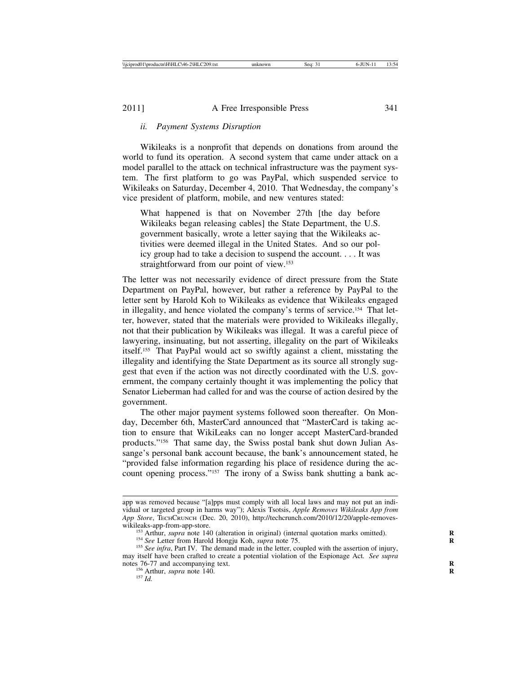### *ii. Payment Systems Disruption*

Wikileaks is a nonprofit that depends on donations from around the world to fund its operation. A second system that came under attack on a model parallel to the attack on technical infrastructure was the payment system. The first platform to go was PayPal, which suspended service to Wikileaks on Saturday, December 4, 2010. That Wednesday, the company's vice president of platform, mobile, and new ventures stated:

What happened is that on November 27th [the day before Wikileaks began releasing cables] the State Department, the U.S. government basically, wrote a letter saying that the Wikileaks activities were deemed illegal in the United States. And so our policy group had to take a decision to suspend the account. . . . It was straightforward from our point of view.153

The letter was not necessarily evidence of direct pressure from the State Department on PayPal, however, but rather a reference by PayPal to the letter sent by Harold Koh to Wikileaks as evidence that Wikileaks engaged in illegality, and hence violated the company's terms of service.<sup>154</sup> That letter, however, stated that the materials were provided to Wikileaks illegally, not that their publication by Wikileaks was illegal. It was a careful piece of lawyering, insinuating, but not asserting, illegality on the part of Wikileaks itself.155 That PayPal would act so swiftly against a client, misstating the illegality and identifying the State Department as its source all strongly suggest that even if the action was not directly coordinated with the U.S. government, the company certainly thought it was implementing the policy that Senator Lieberman had called for and was the course of action desired by the government.

The other major payment systems followed soon thereafter. On Monday, December 6th, MasterCard announced that "MasterCard is taking action to ensure that WikiLeaks can no longer accept MasterCard-branded products."156 That same day, the Swiss postal bank shut down Julian Assange's personal bank account because, the bank's announcement stated, he "provided false information regarding his place of residence during the account opening process."157 The irony of a Swiss bank shutting a bank ac-

app was removed because "[a]pps must comply with all local laws and may not put an individual or targeted group in harms way"); Alexis Tsotsis, *Apple Removes Wikileaks App from App Store*, TECHCRUNCH (Dec. 20, 2010), http://techcrunch.com/2010/12/20/apple-removes-

<sup>&</sup>lt;sup>153</sup> Arthur, *supra* note 140 (alteration in original) (internal quotation marks omitted).<br><sup>154</sup> See Letter from Harold Hongju Koh, *supra* note 75.<br><sup>155</sup> See infra, Part IV. The demand made in the letter, coupled with t

may itself have been crafted to create a potential violation of the Espionage Act*. See supra*

<sup>&</sup>lt;sup>156</sup> Arthur, *supra* note 140. <sup>157</sup> *Id.*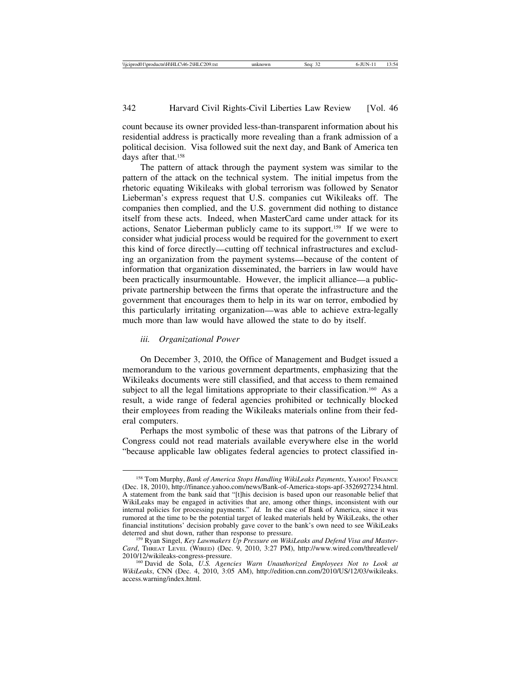count because its owner provided less-than-transparent information about his residential address is practically more revealing than a frank admission of a political decision. Visa followed suit the next day, and Bank of America ten days after that.<sup>158</sup>

The pattern of attack through the payment system was similar to the pattern of the attack on the technical system. The initial impetus from the rhetoric equating Wikileaks with global terrorism was followed by Senator Lieberman's express request that U.S. companies cut Wikileaks off. The companies then complied, and the U.S. government did nothing to distance itself from these acts. Indeed, when MasterCard came under attack for its actions, Senator Lieberman publicly came to its support.159 If we were to consider what judicial process would be required for the government to exert this kind of force directly—cutting off technical infrastructures and excluding an organization from the payment systems—because of the content of information that organization disseminated, the barriers in law would have been practically insurmountable. However, the implicit alliance—a publicprivate partnership between the firms that operate the infrastructure and the government that encourages them to help in its war on terror, embodied by this particularly irritating organization—was able to achieve extra-legally much more than law would have allowed the state to do by itself.

#### *iii. Organizational Power*

On December 3, 2010, the Office of Management and Budget issued a memorandum to the various government departments, emphasizing that the Wikileaks documents were still classified, and that access to them remained subject to all the legal limitations appropriate to their classification.<sup>160</sup> As a result, a wide range of federal agencies prohibited or technically blocked their employees from reading the Wikileaks materials online from their federal computers.

Perhaps the most symbolic of these was that patrons of the Library of Congress could not read materials available everywhere else in the world "because applicable law obligates federal agencies to protect classified in-

<sup>158</sup> Tom Murphy, *Bank of America Stops Handling WikiLeaks Payments*, YAHOO! FINANCE (Dec. 18, 2010), http://finance.yahoo.com/news/Bank-of-America-stops-apf-3526927234.html. A statement from the bank said that "[t]his decision is based upon our reasonable belief that WikiLeaks may be engaged in activities that are, among other things, inconsistent with our internal policies for processing payments." *Id.* In the case of Bank of America, since it was rumored at the time to be the potential target of leaked materials held by WikiLeaks, the other financial institutions' decision probably gave cover to the bank's own need to see WikiLeaks deterred and shut down, rather than response to pressure.<br><sup>159</sup> Ryan Singel, *Key Lawmakers Up Pressure on WikiLeaks and Defend Visa and Master-*

*Card*, THREAT LEVEL (WIRED) (Dec. 9, 2010, 3:27 PM), http://www.wired.com/threatlevel/ 2010/12/wikileaks-congress-pressure. <sup>160</sup> David de Sola, *U.S. Agencies Warn Unauthorized Employees Not to Look at*

*WikiLeaks*, CNN (Dec. 4, 2010, 3:05 AM), http://edition.cnn.com/2010/US/12/03/wikileaks. access.warning/index.html.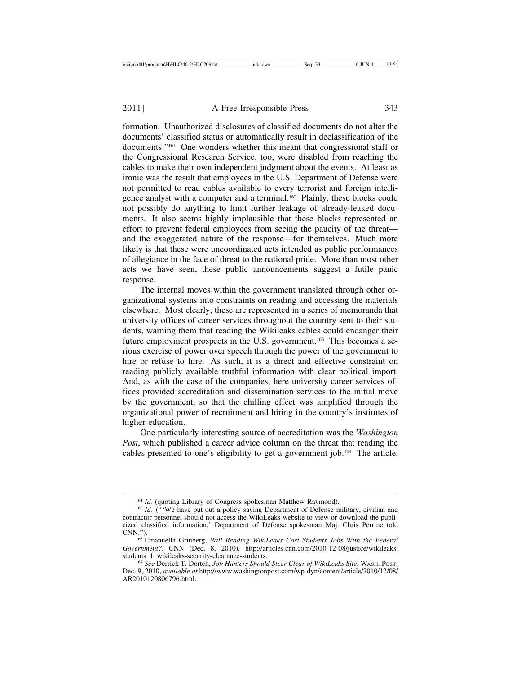formation. Unauthorized disclosures of classified documents do not alter the documents' classified status or automatically result in declassification of the documents."161 One wonders whether this meant that congressional staff or the Congressional Research Service, too, were disabled from reaching the cables to make their own independent judgment about the events. At least as ironic was the result that employees in the U.S. Department of Defense were not permitted to read cables available to every terrorist and foreign intelligence analyst with a computer and a terminal.<sup>162</sup> Plainly, these blocks could not possibly do anything to limit further leakage of already-leaked documents. It also seems highly implausible that these blocks represented an effort to prevent federal employees from seeing the paucity of the threat and the exaggerated nature of the response—for themselves. Much more likely is that these were uncoordinated acts intended as public performances of allegiance in the face of threat to the national pride. More than most other acts we have seen, these public announcements suggest a futile panic response.

The internal moves within the government translated through other organizational systems into constraints on reading and accessing the materials elsewhere. Most clearly, these are represented in a series of memoranda that university offices of career services throughout the country sent to their students, warning them that reading the Wikileaks cables could endanger their future employment prospects in the U.S. government.163 This becomes a serious exercise of power over speech through the power of the government to hire or refuse to hire. As such, it is a direct and effective constraint on reading publicly available truthful information with clear political import. And, as with the case of the companies, here university career services offices provided accreditation and dissemination services to the initial move by the government, so that the chilling effect was amplified through the organizational power of recruitment and hiring in the country's institutes of higher education.

One particularly interesting source of accreditation was the *Washington Post*, which published a career advice column on the threat that reading the cables presented to one's eligibility to get a government job.164 The article,

<sup>&</sup>lt;sup>161</sup> *Id.* (quoting Library of Congress spokesman Matthew Raymond).<br><sup>162</sup> *Id.* ("We have put out a policy saying Department of Defense military, civilian and contractor personnel should not access the WikiLeaks website to view or download the publicized classified information,' Department of Defense spokesman Maj. Chris Perrine told

CNN."). <sup>163</sup> Emanuella Grinberg, *Will Reading WikiLeaks Cost Students Jobs With the Federal Government?*, CNN (Dec. 8, 2010), http://articles.cnn.com/2010-12-08/justice/wikileaks. students\_1\_wikileaks-security-clearance-students. <sup>164</sup> *See* Derrick T. Dortch, *Job Hunters Should Steer Clear of WikiLeaks Site*, WASH. POST,

Dec. 9, 2010, *available at* http://www.washingtonpost.com/wp-dyn/content/article/2010/12/08/ AR2010120806796.html.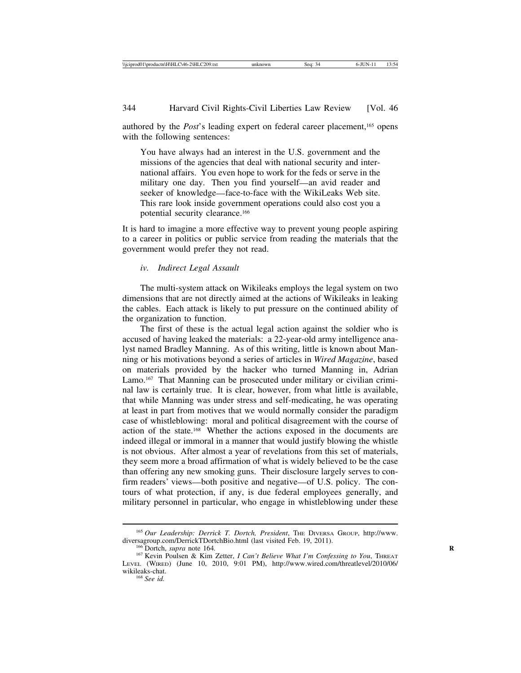authored by the *Post*'s leading expert on federal career placement,<sup>165</sup> opens with the following sentences:

You have always had an interest in the U.S. government and the missions of the agencies that deal with national security and international affairs. You even hope to work for the feds or serve in the military one day. Then you find yourself—an avid reader and seeker of knowledge—face-to-face with the WikiLeaks Web site. This rare look inside government operations could also cost you a potential security clearance.166

It is hard to imagine a more effective way to prevent young people aspiring to a career in politics or public service from reading the materials that the government would prefer they not read.

#### *iv. Indirect Legal Assault*

The multi-system attack on Wikileaks employs the legal system on two dimensions that are not directly aimed at the actions of Wikileaks in leaking the cables. Each attack is likely to put pressure on the continued ability of the organization to function.

The first of these is the actual legal action against the soldier who is accused of having leaked the materials: a 22-year-old army intelligence analyst named Bradley Manning. As of this writing, little is known about Manning or his motivations beyond a series of articles in *Wired Magazine*, based on materials provided by the hacker who turned Manning in, Adrian Lamo.<sup>167</sup> That Manning can be prosecuted under military or civilian criminal law is certainly true. It is clear, however, from what little is available, that while Manning was under stress and self-medicating, he was operating at least in part from motives that we would normally consider the paradigm case of whistleblowing: moral and political disagreement with the course of action of the state.168 Whether the actions exposed in the documents are indeed illegal or immoral in a manner that would justify blowing the whistle is not obvious. After almost a year of revelations from this set of materials, they seem more a broad affirmation of what is widely believed to be the case than offering any new smoking guns. Their disclosure largely serves to confirm readers' views—both positive and negative—of U.S. policy. The contours of what protection, if any, is due federal employees generally, and military personnel in particular, who engage in whistleblowing under these

<sup>&</sup>lt;sup>165</sup> *Our Leadership: Derrick T. Dortch, President*, THE DIVERSA GROUP, http://www. diversagroup.com/DerrickTDortchBio.html (last visited Feb. 19, 2011).

<sup>&</sup>lt;sup>166</sup> Dortch, *supra* note 164.<br><sup>167</sup> Kevin Poulsen & Kim Zetter, *I Can't Believe What I'm Confessing to You*, THREAT LEVEL (WIRED) (June 10, 2010, 9:01 PM), http://www.wired.com/threatlevel/2010/06/ wikileaks-chat. <sup>168</sup> *See id.*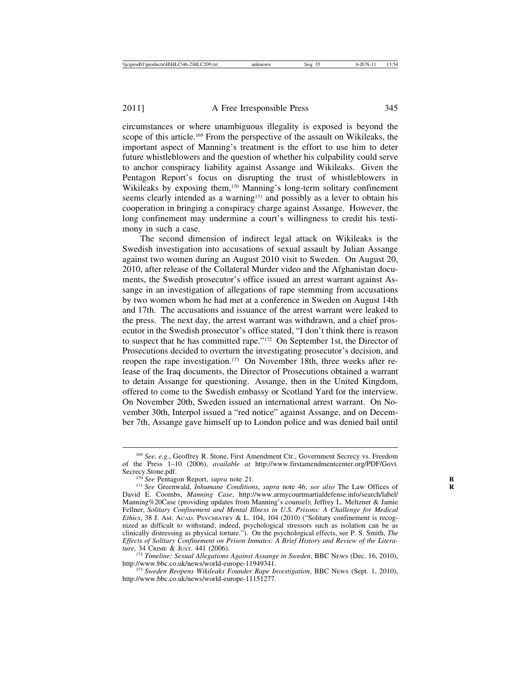circumstances or where unambiguous illegality is exposed is beyond the scope of this article.169 From the perspective of the assault on Wikileaks, the important aspect of Manning's treatment is the effort to use him to deter future whistleblowers and the question of whether his culpability could serve to anchor conspiracy liability against Assange and Wikileaks. Given the Pentagon Report's focus on disrupting the trust of whistleblowers in Wikileaks by exposing them,170 Manning's long-term solitary confinement seems clearly intended as a warning<sup>171</sup> and possibly as a lever to obtain his cooperation in bringing a conspiracy charge against Assange. However, the long confinement may undermine a court's willingness to credit his testimony in such a case.

The second dimension of indirect legal attack on Wikileaks is the Swedish investigation into accusations of sexual assault by Julian Assange against two women during an August 2010 visit to Sweden. On August 20, 2010, after release of the Collateral Murder video and the Afghanistan documents, the Swedish prosecutor's office issued an arrest warrant against Assange in an investigation of allegations of rape stemming from accusations by two women whom he had met at a conference in Sweden on August 14th and 17th. The accusations and issuance of the arrest warrant were leaked to the press. The next day, the arrest warrant was withdrawn, and a chief prosecutor in the Swedish prosecutor's office stated, "I don't think there is reason to suspect that he has committed rape."172 On September 1st, the Director of Prosecutions decided to overturn the investigating prosecutor's decision, and reopen the rape investigation.173 On November 18th, three weeks after release of the Iraq documents, the Director of Prosecutions obtained a warrant to detain Assange for questioning. Assange, then in the United Kingdom, offered to come to the Swedish embassy or Scotland Yard for the interview. On November 20th, Sweden issued an international arrest warrant. On November 30th, Interpol issued a "red notice" against Assange, and on December 7th, Assange gave himself up to London police and was denied bail until

<sup>169</sup> *See, e.g*., Geoffrey R. Stone, First Amendment Ctr., Government Secrecy vs. Freedom of the Press 1–10 (2006), *available at* http://www.firstamendmentcenter.org/PDF/Govt. Secrecy.Stone.pdf. **Report,** *supra* note 21. **R** 170 *See* Pentagon Report, *supra* note 21. **Report** *Report Conditions*, *supra* note 46; *see also* The Law Offices of **Report Assections** 

David E. Coombs, *Manning Case*, http://www.armycourtmartialdefense.info/search/label/ Manning%20Case (providing updates from Manning's counsel); Jeffrey L. Meltzner & Jamie Fellner, *Solitary Confinement and Mental Illness in U.S. Prisons: A Challenge for Medical Ethics*, 38 J. AM. ACAD. PSYCHIATRY & L. 104, 104 (2010) ("Solitary confinement is recognized as difficult to withstand; indeed, psychological stressors such as isolation can be as clinically distressing as physical torture."). On the psychological effects, see P. S. Smith, *The Effects of Solitary Confinement on Prison Inmates: A Brief History and Review of the Litera-*

*ture*, 34<sup>172</sup> *Timeline: Sexual Allegations Against Assange in Sweden*, BBC News (Dec. 16, 2010), http://www.bbc.co.uk/news/world-europe-11949341.

<sup>&</sup>lt;sup>173</sup> Sweden Reopens Wikileaks Founder Rape Investigation, BBC News (Sept. 1, 2010), http://www.bbc.co.uk/news/world-europe-11151277.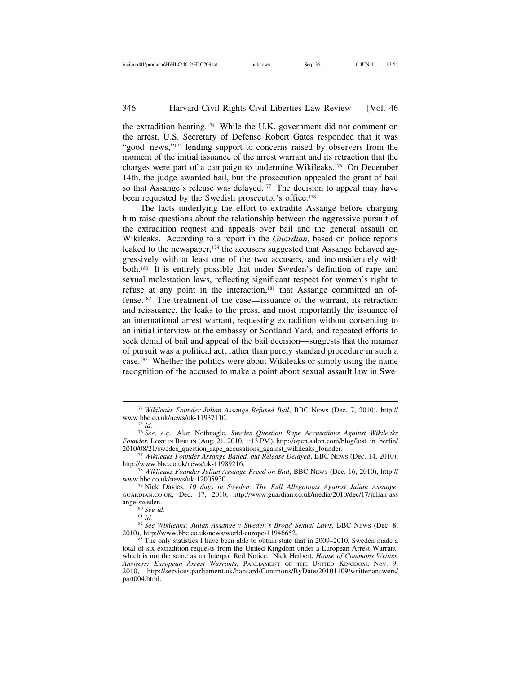the extradition hearing.174 While the U.K. government did not comment on the arrest, U.S. Secretary of Defense Robert Gates responded that it was "good news,"<sup>175</sup> lending support to concerns raised by observers from the moment of the initial issuance of the arrest warrant and its retraction that the charges were part of a campaign to undermine Wikileaks.176 On December 14th, the judge awarded bail, but the prosecution appealed the grant of bail so that Assange's release was delayed.<sup>177</sup> The decision to appeal may have been requested by the Swedish prosecutor's office.<sup>178</sup>

The facts underlying the effort to extradite Assange before charging him raise questions about the relationship between the aggressive pursuit of the extradition request and appeals over bail and the general assault on Wikileaks. According to a report in the *Guardian*, based on police reports leaked to the newspaper,<sup>179</sup> the accusers suggested that Assange behaved aggressively with at least one of the two accusers, and inconsiderately with both.180 It is entirely possible that under Sweden's definition of rape and sexual molestation laws, reflecting significant respect for women's right to refuse at any point in the interaction,<sup>181</sup> that Assange committed an offense.182 The treatment of the case—issuance of the warrant, its retraction and reissuance, the leaks to the press, and most importantly the issuance of an international arrest warrant, requesting extradition without consenting to an initial interview at the embassy or Scotland Yard, and repeated efforts to seek denial of bail and appeal of the bail decision—suggests that the manner of pursuit was a political act, rather than purely standard procedure in such a case.183 Whether the politics were about Wikileaks or simply using the name recognition of the accused to make a point about sexual assault law in Swe-

<sup>174</sup> *Wikileaks Founder Julian Assange Refused Bail*, BBC NEWS (Dec. 7, 2010), http://

<sup>&</sup>lt;sup>175</sup> Id.<br><sup>176</sup> See, e.g., Alan Nothnagle, *Swedes Question Rape Accusations Against Wikileaks Founder*, LOST IN BERLIN (Aug. 21, 2010, 1:13 PM), http://open.salon.com/blog/lost\_in\_berlin/<br>2010/08/21/swedes\_question\_rape\_accusations\_against\_wikileaks\_founder.

<sup>&</sup>lt;sup>177</sup> Wikileaks Founder Assange Bailed, but Release Delayed, BBC News (Dec. 14, 2010), http://www.bbc.co.uk/news/uk-11989216.

<sup>&</sup>lt;sup>178</sup> Wikileaks Founder Julian Assange Freed on Bail, BBC News (Dec. 16, 2010), http://<br>www.bbc.co.uk/news/uk-12005930.

<sup>&</sup>lt;sup>179</sup> Nick Davies, 10 days in Sweden: The Full Allegations Against Julian Assange, GUARDIAN.CO.UK, Dec. 17, 2010, http://www.guardian.co.uk/media/2010/dec/17/julian-ass

<sup>&</sup>lt;sup>180</sup> See id.<br><sup>181</sup> *Id.* <sup>182</sup> *See Wikileaks: Julian Assange v Sweden's Broad Sexual Laws*, BBC NEws (Dec. 8,<br>2010), http://www.bbc.co.uk/news/world-europe-11946652.

 $^{183}$  The only statistics I have been able to obtain state that in 2009–2010, Sweden made a total of six extradition requests from the United Kingdom under a European Arrest Warrant, which is not the same as an Interpol Red Notice. Nick Herbert, *House of Commons Written Answers: European Arrest Warrants*, PARLIAMENT OF THE UNITED KINGDOM, Nov. 9, 2010, http://services.parliament.uk/hansard/Commons/ByDate/20101109/writtenanswers/ part004.html.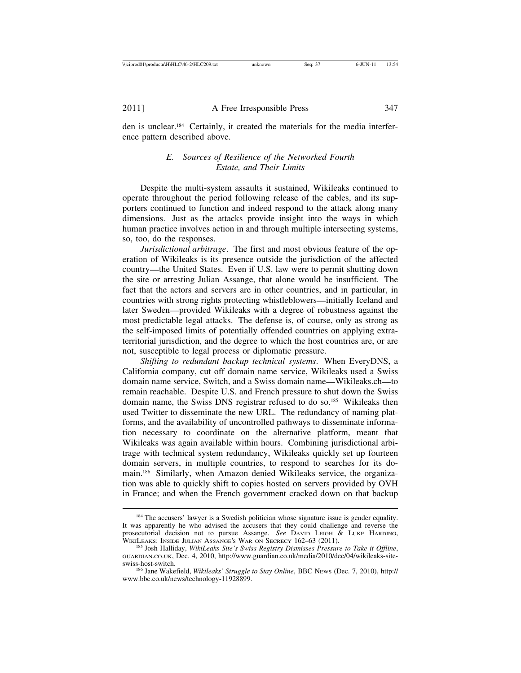den is unclear.184 Certainly, it created the materials for the media interference pattern described above.

# *E. Sources of Resilience of the Networked Fourth Estate, and Their Limits*

Despite the multi-system assaults it sustained, Wikileaks continued to operate throughout the period following release of the cables, and its supporters continued to function and indeed respond to the attack along many dimensions. Just as the attacks provide insight into the ways in which human practice involves action in and through multiple intersecting systems, so, too, do the responses.

*Jurisdictional arbitrage*. The first and most obvious feature of the operation of Wikileaks is its presence outside the jurisdiction of the affected country—the United States. Even if U.S. law were to permit shutting down the site or arresting Julian Assange, that alone would be insufficient. The fact that the actors and servers are in other countries, and in particular, in countries with strong rights protecting whistleblowers—initially Iceland and later Sweden—provided Wikileaks with a degree of robustness against the most predictable legal attacks. The defense is, of course, only as strong as the self-imposed limits of potentially offended countries on applying extraterritorial jurisdiction, and the degree to which the host countries are, or are not, susceptible to legal process or diplomatic pressure.

*Shifting to redundant backup technical systems*. When EveryDNS, a California company, cut off domain name service, Wikileaks used a Swiss domain name service, Switch, and a Swiss domain name—Wikileaks.ch—to remain reachable. Despite U.S. and French pressure to shut down the Swiss domain name, the Swiss DNS registrar refused to do so.<sup>185</sup> Wikileaks then used Twitter to disseminate the new URL. The redundancy of naming platforms, and the availability of uncontrolled pathways to disseminate information necessary to coordinate on the alternative platform, meant that Wikileaks was again available within hours. Combining jurisdictional arbitrage with technical system redundancy, Wikileaks quickly set up fourteen domain servers, in multiple countries, to respond to searches for its domain.186 Similarly, when Amazon denied Wikileaks service, the organization was able to quickly shift to copies hosted on servers provided by OVH in France; and when the French government cracked down on that backup

<sup>&</sup>lt;sup>184</sup> The accusers' lawyer is a Swedish politician whose signature issue is gender equality. It was apparently he who advised the accusers that they could challenge and reverse the prosecutorial decision not to pursue Assange. *See* DAVID LEIGH & LUKE HARDING, WIKILEAKS: INSIDE JULIAN ASSANGE'S WAR ON SECRECY 162–63 (2011).

<sup>&</sup>lt;sup>185</sup> Josh Halliday, *WikiLeaks Site's Swiss Registry Dismisses Pressure to Take it Offline*, GUARDIAN.CO.UK, Dec. 4, 2010, http://www.guardian.co.uk/media/2010/dec/04/wikileaks-siteswiss-host-switch. <sup>186</sup> Jane Wakefield, *Wikileaks' Struggle to Stay Online*, BBC NEWS (Dec. 7, 2010), http://

www.bbc.co.uk/news/technology-11928899.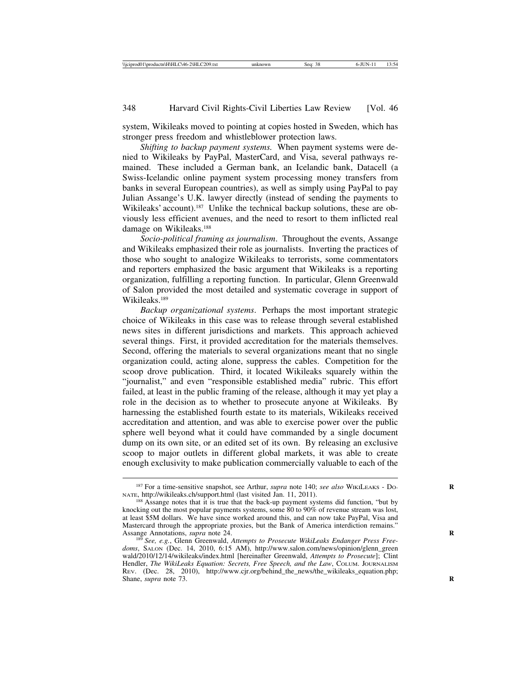system, Wikileaks moved to pointing at copies hosted in Sweden, which has stronger press freedom and whistleblower protection laws.

*Shifting to backup payment systems.* When payment systems were denied to Wikileaks by PayPal, MasterCard, and Visa, several pathways remained. These included a German bank, an Icelandic bank, Datacell (a Swiss-Icelandic online payment system processing money transfers from banks in several European countries), as well as simply using PayPal to pay Julian Assange's U.K. lawyer directly (instead of sending the payments to Wikileaks' account).<sup>187</sup> Unlike the technical backup solutions, these are obviously less efficient avenues, and the need to resort to them inflicted real damage on Wikileaks.<sup>188</sup>

*Socio-political framing as journalism*. Throughout the events, Assange and Wikileaks emphasized their role as journalists. Inverting the practices of those who sought to analogize Wikileaks to terrorists, some commentators and reporters emphasized the basic argument that Wikileaks is a reporting organization, fulfilling a reporting function. In particular, Glenn Greenwald of Salon provided the most detailed and systematic coverage in support of Wikileaks.189

*Backup organizational systems*. Perhaps the most important strategic choice of Wikileaks in this case was to release through several established news sites in different jurisdictions and markets. This approach achieved several things. First, it provided accreditation for the materials themselves. Second, offering the materials to several organizations meant that no single organization could, acting alone, suppress the cables. Competition for the scoop drove publication. Third, it located Wikileaks squarely within the "journalist," and even "responsible established media" rubric. This effort failed, at least in the public framing of the release, although it may yet play a role in the decision as to whether to prosecute anyone at Wikileaks. By harnessing the established fourth estate to its materials, Wikileaks received accreditation and attention, and was able to exercise power over the public sphere well beyond what it could have commanded by a single document dump on its own site, or an edited set of its own. By releasing an exclusive scoop to major outlets in different global markets, it was able to create enough exclusivity to make publication commercially valuable to each of the

<sup>&</sup>lt;sup>187</sup> For a time-sensitive snapshot, see Arthur, *supra* note 140; *see also* WIKILEAKS - Do-NATE, http://wikileaks.ch/support.html (last visited Jan. 11, 2011).

<sup>&</sup>lt;sup>188</sup> Assange notes that it is true that the back-up payment systems did function, "but by knocking out the most popular payments systems, some 80 to 90% of revenue stream was lost, at least \$5M dollars. We have since worked around this, and can now take PayPal, Visa and Mastercard through the appropriate proxies, but the Bank of America interdiction remains."<br>Assange Annotations, *supra* note 24.

<sup>&</sup>lt;sup>189</sup> See, e.g., Glenn Greenwald, Attempts to Prosecute WikiLeaks Endanger Press Free*doms*, SALON (Dec. 14, 2010, 6:15 AM), http://www.salon.com/news/opinion/glenn\_green wald/2010/12/14/wikileaks/index.html [hereinafter Greenwald, *Attempts to Prosecute*]; Clint Hendler, *The WikiLeaks Equation: Secrets, Free Speech, and the Law*, COLUM. JOURNALISM REV. (Dec. 28, 2010), http://www.cjr.org/behind\_the\_news/the\_wikileaks\_equation.php; Shane, *supra* note 73. **R**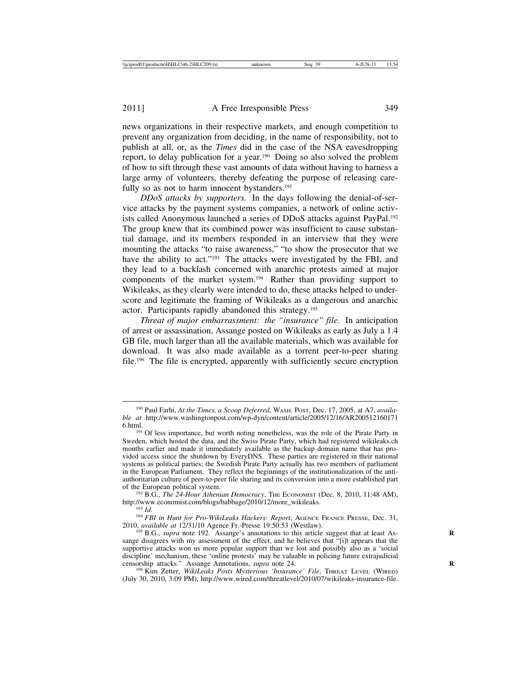news organizations in their respective markets, and enough competition to prevent any organization from deciding, in the name of responsibility, not to publish at all, or, as the *Times* did in the case of the NSA eavesdropping report, to delay publication for a year.190 Doing so also solved the problem of how to sift through these vast amounts of data without having to harness a large army of volunteers, thereby defeating the purpose of releasing carefully so as not to harm innocent bystanders.<sup>191</sup>

*DDoS attacks by supporters.* In the days following the denial-of-service attacks by the payment systems companies, a network of online activists called Anonymous launched a series of DDoS attacks against PayPal.192 The group knew that its combined power was insufficient to cause substantial damage, and its members responded in an interview that they were mounting the attacks "to raise awareness," "to show the prosecutor that we have the ability to act."<sup>193</sup> The attacks were investigated by the FBI, and they lead to a backlash concerned with anarchic protests aimed at major components of the market system.194 Rather than providing support to Wikileaks, as they clearly were intended to do, these attacks helped to underscore and legitimate the framing of Wikileaks as a dangerous and anarchic actor. Participants rapidly abandoned this strategy.195

*Threat of major embarrassment: the "insurance" file*. In anticipation of arrest or assassination, Assange posted on Wikileaks as early as July a 1.4 GB file, much larger than all the available materials, which was available for download. It was also made available as a torrent peer-to-peer sharing file.196 The file is encrypted, apparently with sufficiently secure encryption

<sup>190</sup> Paul Farhi, *At the Times, a Scoop Deferred*, WASH. POST, Dec. 17, 2005, at A7, *available at* http://www.washingtonpost.com/wp-dyn/content/article/2005/12/16/AR200512160171

<sup>&</sup>lt;sup>191</sup> Of less importance, but worth noting nonetheless, was the role of the Pirate Party in Sweden, which hosted the data, and the Swiss Pirate Party, which had registered wikileaks.ch months earlier and made it immediately available as the backup domain name that has provided access since the shutdown by EveryDNS. These parties are registered in their national systems as political parties; the Swedish Pirate Party actually has two members of parliament in the European Parliament. They reflect the beginnings of the institutionalization of the antiauthoritarian culture of peer-to-peer file sharing and its conversion into a more established part

of the European political system.<br><sup>192</sup> B.G., *The 24-Hour Athenian Democracy*, The ECONOMIST (Dec. 8, 2010, 11:48 AM),<br>http://www.economist.com/blogs/babbage/2010/12/more\_wikileaks.

<sup>&</sup>lt;sup>193</sup> *Id.* <sup>194</sup> *FBI in Hunt for Pro-WikiLeaks Hackers: Report*, AGENCE FRANCE PRESSE, Dec. 31, 2010, *available at 12/31/10* Agence Fr.-Presse 19:50:53 (Westlaw).

<sup>&</sup>lt;sup>195</sup> B.G., *supra* note 192. Assange's annotations to this article suggest that at least Assange disagrees with my assessment of the effect, and he believes that "[i]t appears that the supportive attacks won us more popular support than we lost and possibly also as a 'social discipline' mechanism, these 'online protests' may be valuable in policing future extrajudicial censorship attacks." Assange Annotations, *supra* note 24.<br><sup>196</sup> Kim Zetter, *WikiLeaks Posts Mysterious 'Insurance' File*, THREAT LEVEL (WIRED)

<sup>(</sup>July 30, 2010, 3:09 PM), http://www.wired.com/threatlevel/2010/07/wikileaks-insurance-file.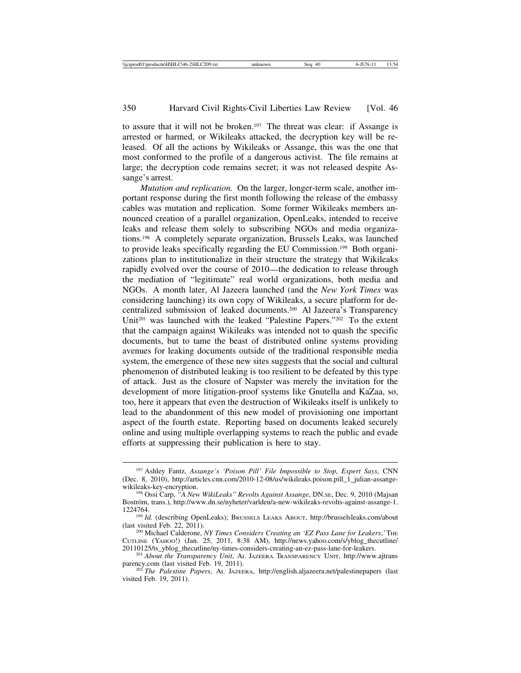to assure that it will not be broken.197 The threat was clear: if Assange is arrested or harmed, or Wikileaks attacked, the decryption key will be released. Of all the actions by Wikileaks or Assange, this was the one that most conformed to the profile of a dangerous activist. The file remains at large; the decryption code remains secret; it was not released despite Assange's arrest.

*Mutation and replication.* On the larger, longer-term scale, another important response during the first month following the release of the embassy cables was mutation and replication. Some former Wikileaks members announced creation of a parallel organization, OpenLeaks, intended to receive leaks and release them solely to subscribing NGOs and media organizations.198 A completely separate organization, Brussels Leaks, was launched to provide leaks specifically regarding the EU Commission.199 Both organizations plan to institutionalize in their structure the strategy that Wikileaks rapidly evolved over the course of 2010—the dedication to release through the mediation of "legitimate" real world organizations, both media and NGOs. A month later, Al Jazeera launched (and the *New York Times* was considering launching) its own copy of Wikileaks, a secure platform for decentralized submission of leaked documents.200 Al Jazeera's Transparency Unit<sup>201</sup> was launched with the leaked "Palestine Papers."<sup>202</sup> To the extent that the campaign against Wikileaks was intended not to quash the specific documents, but to tame the beast of distributed online systems providing avenues for leaking documents outside of the traditional responsible media system, the emergence of these new sites suggests that the social and cultural phenomenon of distributed leaking is too resilient to be defeated by this type of attack. Just as the closure of Napster was merely the invitation for the development of more litigation-proof systems like Gnutella and KaZaa, so, too, here it appears that even the destruction of Wikileaks itself is unlikely to lead to the abandonment of this new model of provisioning one important aspect of the fourth estate. Reporting based on documents leaked securely online and using multiple overlapping systems to reach the public and evade efforts at suppressing their publication is here to stay.

<sup>197</sup> Ashley Fantz, *Assange's 'Poison Pill' File Impossible to Stop, Expert Says*, CNN (Dec. 8, 2010), http://articles.cnn.com/2010-12-08/us/wikileaks.poison.pill\_1\_julian-assange-

<sup>&</sup>lt;sup>198</sup> Ossi Carp, *"A New WikiLeaks" Revolts Against Assange*, DN.SE, Dec. 9, 2010 (Majsan Boström, trans.), http://www.dn.se/nyheter/varlden/a-new-wikileaks-revolts-against-assange-1.

<sup>1224764.&</sup>lt;br><sup>199</sup> *Id.* (describing OpenLeaks); BRUSSELS LEAKS ABOUT, http://brusselsleaks.com/about (last visited Feb. 22, 2011). (last visited Feb. 22, 2011). <sup>200</sup> Michael Calderone, *NY Times Considers Creating an 'EZ Pass Lane for Leakers*,*'* THE

CUTLINE (YAHOO!) (Jan. 25, 2011, 8:38 AM), http://news.yahoo.com/s/yblog\_thecutline/

<sup>20110125/</sup>ts\_yblog\_thecutline/ny-times-considers-creating-an-ez-pass-lane-for-leakers. <sup>201</sup> *About the Transparency Unit*, AL JAZEERA TRANSPARENCY UNIT, http://www.ajtrans parency.com (last visited Feb. 19, 2011).

<sup>&</sup>lt;sup>202</sup> The Palestine Papers, AL JAZEERA, http://english.aljazeera.net/palestinepapers (last visited Feb. 19, 2011).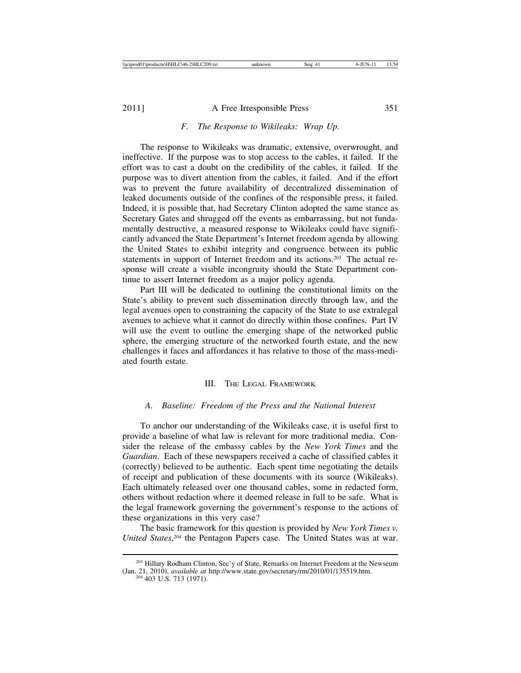#### *F. The Response to Wikileaks: Wrap Up.*

The response to Wikileaks was dramatic, extensive, overwrought, and ineffective. If the purpose was to stop access to the cables, it failed. If the effort was to cast a doubt on the credibility of the cables, it failed. If the purpose was to divert attention from the cables, it failed. And if the effort was to prevent the future availability of decentralized dissemination of leaked documents outside of the confines of the responsible press, it failed. Indeed, it is possible that, had Secretary Clinton adopted the same stance as Secretary Gates and shrugged off the events as embarrassing, but not fundamentally destructive, a measured response to Wikileaks could have significantly advanced the State Department's Internet freedom agenda by allowing the United States to exhibit integrity and congruence between its public statements in support of Internet freedom and its actions.<sup>203</sup> The actual response will create a visible incongruity should the State Department continue to assert Internet freedom as a major policy agenda.

Part III will be dedicated to outlining the constitutional limits on the State's ability to prevent such dissemination directly through law, and the legal avenues open to constraining the capacity of the State to use extralegal avenues to achieve what it cannot do directly within those confines. Part IV will use the event to outline the emerging shape of the networked public sphere, the emerging structure of the networked fourth estate, and the new challenges it faces and affordances it has relative to those of the mass-mediated fourth estate.

# III. THE LEGAL FRAMEWORK

#### *A. Baseline: Freedom of the Press and the National Interest*

To anchor our understanding of the Wikileaks case, it is useful first to provide a baseline of what law is relevant for more traditional media. Consider the release of the embassy cables by the *New York Times* and the *Guardian*. Each of these newspapers received a cache of classified cables it (correctly) believed to be authentic. Each spent time negotiating the details of receipt and publication of these documents with its source (Wikileaks). Each ultimately released over one thousand cables, some in redacted form, others without redaction where it deemed release in full to be safe. What is the legal framework governing the government's response to the actions of these organizations in this very case?

The basic framework for this question is provided by *New York Times v.* United States,<sup>204</sup> the Pentagon Papers case. The United States was at war.

<sup>&</sup>lt;sup>203</sup> Hillary Rodham Clinton, Sec'y of State, Remarks on Internet Freedom at the Newseum (Jan. 21, 2010), *available at* http://www.state.gov/secretary/rm/2010/01/135519.htm. <sup>204</sup> 403 U.S. 713 (1971).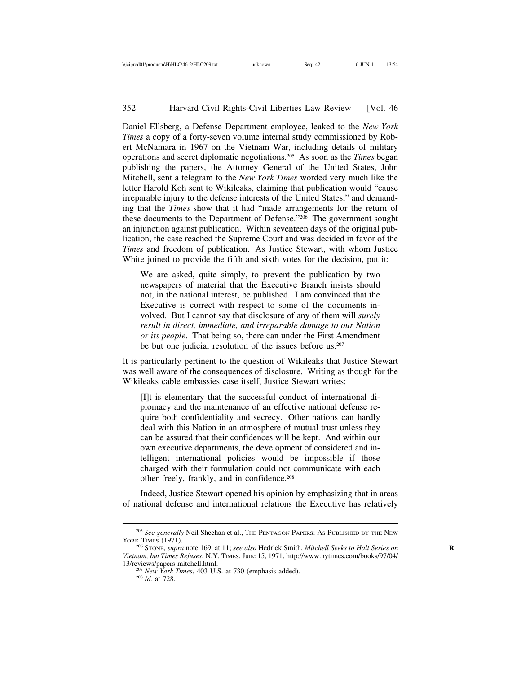Daniel Ellsberg, a Defense Department employee, leaked to the *New York Times* a copy of a forty-seven volume internal study commissioned by Robert McNamara in 1967 on the Vietnam War, including details of military operations and secret diplomatic negotiations.205 As soon as the *Times* began publishing the papers, the Attorney General of the United States, John Mitchell, sent a telegram to the *New York Times* worded very much like the letter Harold Koh sent to Wikileaks, claiming that publication would "cause irreparable injury to the defense interests of the United States," and demanding that the *Times* show that it had "made arrangements for the return of these documents to the Department of Defense."206 The government sought an injunction against publication. Within seventeen days of the original publication, the case reached the Supreme Court and was decided in favor of the *Times* and freedom of publication. As Justice Stewart, with whom Justice White joined to provide the fifth and sixth votes for the decision, put it:

We are asked, quite simply, to prevent the publication by two newspapers of material that the Executive Branch insists should not, in the national interest, be published. I am convinced that the Executive is correct with respect to some of the documents involved. But I cannot say that disclosure of any of them will *surely result in direct, immediate, and irreparable damage to our Nation or its people*. That being so, there can under the First Amendment be but one judicial resolution of the issues before us.<sup>207</sup>

It is particularly pertinent to the question of Wikileaks that Justice Stewart was well aware of the consequences of disclosure. Writing as though for the Wikileaks cable embassies case itself, Justice Stewart writes:

[I]t is elementary that the successful conduct of international diplomacy and the maintenance of an effective national defense require both confidentiality and secrecy. Other nations can hardly deal with this Nation in an atmosphere of mutual trust unless they can be assured that their confidences will be kept. And within our own executive departments, the development of considered and intelligent international policies would be impossible if those charged with their formulation could not communicate with each other freely, frankly, and in confidence.208

Indeed, Justice Stewart opened his opinion by emphasizing that in areas of national defense and international relations the Executive has relatively

 $^{205}$  *See generally* Neil Sheehan et al., The PENTAGON PAPERS: As PUBLISHED BY THE NEW YORK TIMES (1971).

<sup>&</sup>lt;sup>206</sup> STONE, *supra* note 169, at 11; *see also* Hedrick Smith, *Mitchell Seeks to Halt Series on Vietnam, but Times Refuses, N.Y. TIMES, June 15, 1971, http://www.nytimes.com/books/97/04/* 13/reviews/papers-mitchell.html.

<sup>&</sup>lt;sup>207</sup> *New York Times*, 403 U.S. at 730 (emphasis added). <sup>208</sup> *Id.* at 728.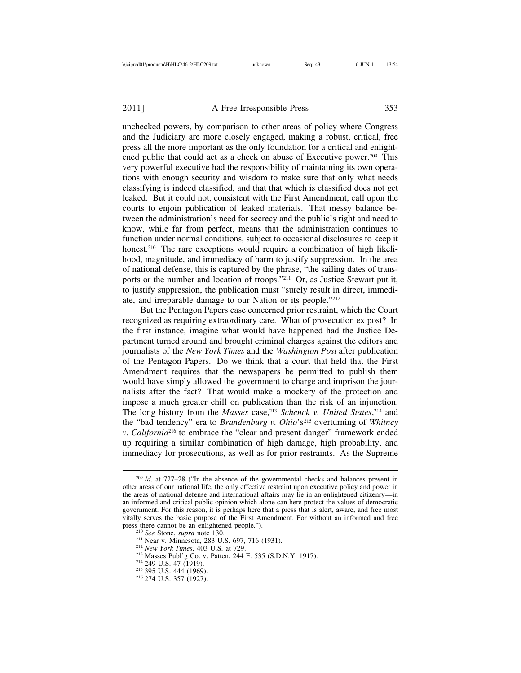unchecked powers, by comparison to other areas of policy where Congress and the Judiciary are more closely engaged, making a robust, critical, free press all the more important as the only foundation for a critical and enlightened public that could act as a check on abuse of Executive power.209 This very powerful executive had the responsibility of maintaining its own operations with enough security and wisdom to make sure that only what needs classifying is indeed classified, and that that which is classified does not get leaked. But it could not, consistent with the First Amendment, call upon the courts to enjoin publication of leaked materials. That messy balance between the administration's need for secrecy and the public's right and need to know, while far from perfect, means that the administration continues to function under normal conditions, subject to occasional disclosures to keep it honest.<sup>210</sup> The rare exceptions would require a combination of high likelihood, magnitude, and immediacy of harm to justify suppression. In the area of national defense, this is captured by the phrase, "the sailing dates of transports or the number and location of troops."211 Or, as Justice Stewart put it, to justify suppression, the publication must "surely result in direct, immediate, and irreparable damage to our Nation or its people."212

But the Pentagon Papers case concerned prior restraint, which the Court recognized as requiring extraordinary care. What of prosecution ex post? In the first instance, imagine what would have happened had the Justice Department turned around and brought criminal charges against the editors and journalists of the *New York Times* and the *Washington Post* after publication of the Pentagon Papers. Do we think that a court that held that the First Amendment requires that the newspapers be permitted to publish them would have simply allowed the government to charge and imprison the journalists after the fact? That would make a mockery of the protection and impose a much greater chill on publication than the risk of an injunction. The long history from the *Masses* case,<sup>213</sup> *Schenck v. United States*,<sup>214</sup> and the "bad tendency" era to *Brandenburg v. Ohio*'s215 overturning of *Whitney v. California*216 to embrace the "clear and present danger" framework ended up requiring a similar combination of high damage, high probability, and immediacy for prosecutions, as well as for prior restraints. As the Supreme

<sup>209</sup> *Id*. at 727–28 ("In the absence of the governmental checks and balances present in other areas of our national life, the only effective restraint upon executive policy and power in the areas of national defense and international affairs may lie in an enlightened citizenry—in an informed and critical public opinion which alone can here protect the values of democratic government. For this reason, it is perhaps here that a press that is alert, aware, and free most vitally serves the basic purpose of the First Amendment. For without an informed and free press there cannot be an enlightened people.").

<sup>&</sup>lt;sup>210</sup> See Stone, *supra* note 130.<br>
<sup>211</sup> Near v. Minnesota, 283 U.S. 697, 716 (1931).<br>
<sup>212</sup> New York Times, 403 U.S. at 729.<br>
<sup>213</sup> Masses Publ'g Co. v. Patten, 244 F. 535 (S.D.N.Y. 1917).<br>
<sup>214</sup> 249 U.S. 47 (1919).<br>
<sup>21</sup>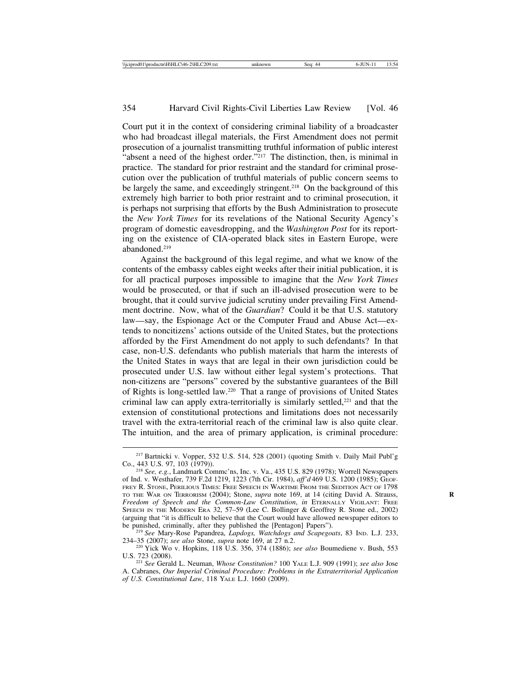Court put it in the context of considering criminal liability of a broadcaster who had broadcast illegal materials, the First Amendment does not permit prosecution of a journalist transmitting truthful information of public interest "absent a need of the highest order."<sup>217</sup> The distinction, then, is minimal in practice. The standard for prior restraint and the standard for criminal prosecution over the publication of truthful materials of public concern seems to be largely the same, and exceedingly stringent.218 On the background of this extremely high barrier to both prior restraint and to criminal prosecution, it is perhaps not surprising that efforts by the Bush Administration to prosecute the *New York Times* for its revelations of the National Security Agency's program of domestic eavesdropping, and the *Washington Post* for its reporting on the existence of CIA-operated black sites in Eastern Europe, were abandoned.219

Against the background of this legal regime, and what we know of the contents of the embassy cables eight weeks after their initial publication, it is for all practical purposes impossible to imagine that the *New York Times* would be prosecuted, or that if such an ill-advised prosecution were to be brought, that it could survive judicial scrutiny under prevailing First Amendment doctrine. Now, what of the *Guardian*? Could it be that U.S. statutory law—say, the Espionage Act or the Computer Fraud and Abuse Act—extends to noncitizens' actions outside of the United States, but the protections afforded by the First Amendment do not apply to such defendants? In that case, non-U.S. defendants who publish materials that harm the interests of the United States in ways that are legal in their own jurisdiction could be prosecuted under U.S. law without either legal system's protections. That non-citizens are "persons" covered by the substantive guarantees of the Bill of Rights is long-settled law.220 That a range of provisions of United States criminal law can apply extra-territorially is similarly settled, $221$  and that the extension of constitutional protections and limitations does not necessarily travel with the extra-territorial reach of the criminal law is also quite clear. The intuition, and the area of primary application, is criminal procedure:

<sup>219</sup> See Mary-Rose Papandrea, Lapdogs, Watchdogs and Scapegoats, 83 IND. L.J. 233, <sup>234</sup>–35 (2007); *see also* Stone, *supra* note 169, at 27 n.2. <sup>220</sup> Yick Wo v. Hopkins, 118 U.S. 356, 374 (1886); *see also* Boumediene v. Bush, 553

<sup>&</sup>lt;sup>217</sup> Bartnicki v. Vopper, 532 U.S. 514, 528 (2001) (quoting Smith v. Daily Mail Publ'g Co., 443 U.S. 97, 103 (1979)).

<sup>&</sup>lt;sup>218</sup> See, e.g., Landmark Commc'ns, Inc. v. Va., 435 U.S. 829 (1978); Worrell Newspapers of Ind. v. Westhafer, 739 F.2d 1219, 1223 (7th Cir. 1984), *aff'd* 469 U.S. 1200 (1985); GEOF-FREY R. STONE, PERILIOUS TIMES: FREE SPEECH IN WARTIME FROM THE SEDITION ACT OF 1798 TO THE WAR ON TERRORISM (2004); Stone, *supra* note 169, at 14 (citing David A. Strauss, **R** *Freedom of Speech and the Common-Law Constitution*, *in* ETERNALLY VIGILANT: FREE SPEECH IN THE MODERN ERA 32, 57–59 (Lee C. Bollinger & Geoffrey R. Stone ed., 2002) (arguing that "it is difficult to believe that the Court would have allowed newspaper editors to be punished, criminally, after they published the [Pentagon] Papers").

U.S. 723 (2008). <sup>221</sup> *See* Gerald L. Neuman, *Whose Constitution?* 100 YALE L.J. 909 (1991); *see also* Jose

A. Cabranes, *Our Imperial Criminal Procedure: Problems in the Extraterritorial Application of U.S. Constitutional Law*, 118 YALE L.J. 1660 (2009).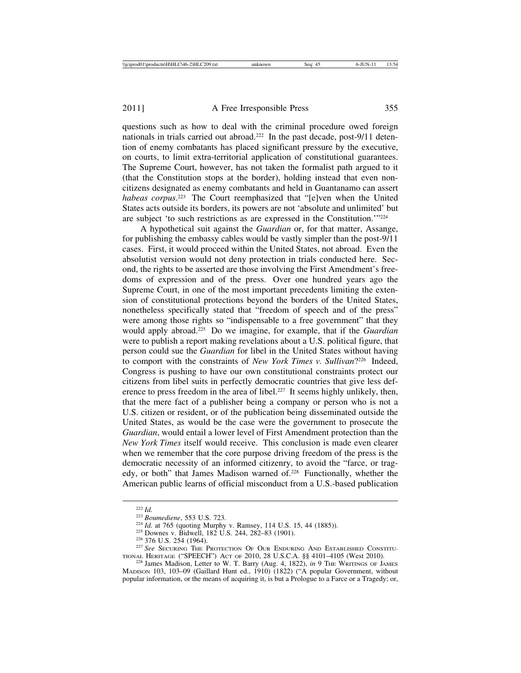questions such as how to deal with the criminal procedure owed foreign nationals in trials carried out abroad.222 In the past decade, post-9/11 detention of enemy combatants has placed significant pressure by the executive, on courts, to limit extra-territorial application of constitutional guarantees. The Supreme Court, however, has not taken the formalist path argued to it (that the Constitution stops at the border), holding instead that even noncitizens designated as enemy combatants and held in Guantanamo can assert *habeas corpus*. 223 The Court reemphasized that "[e]ven when the United States acts outside its borders, its powers are not 'absolute and unlimited' but are subject 'to such restrictions as are expressed in the Constitution.'"224

A hypothetical suit against the *Guardian* or, for that matter, Assange, for publishing the embassy cables would be vastly simpler than the post-9/11 cases. First, it would proceed within the United States, not abroad. Even the absolutist version would not deny protection in trials conducted here. Second, the rights to be asserted are those involving the First Amendment's freedoms of expression and of the press. Over one hundred years ago the Supreme Court, in one of the most important precedents limiting the extension of constitutional protections beyond the borders of the United States, nonetheless specifically stated that "freedom of speech and of the press" were among those rights so "indispensable to a free government" that they would apply abroad.225 Do we imagine, for example, that if the *Guardian* were to publish a report making revelations about a U.S. political figure, that person could sue the *Guardian* for libel in the United States without having to comport with the constraints of *New York Times v. Sullivan*?226 Indeed, Congress is pushing to have our own constitutional constraints protect our citizens from libel suits in perfectly democratic countries that give less deference to press freedom in the area of libel.<sup>227</sup> It seems highly unlikely, then, that the mere fact of a publisher being a company or person who is not a U.S. citizen or resident, or of the publication being disseminated outside the United States, as would be the case were the government to prosecute the *Guardian*, would entail a lower level of First Amendment protection than the *New York Times* itself would receive. This conclusion is made even clearer when we remember that the core purpose driving freedom of the press is the democratic necessity of an informed citizenry, to avoid the "farce, or tragedy, or both" that James Madison warned of.228 Functionally, whether the American public learns of official misconduct from a U.S.-based publication

<sup>&</sup>lt;sup>222</sup> Id.<br><sup>223</sup> Boumediene, 553 U.S. 723.<br><sup>224</sup> Id. at 765 (quoting Murphy v. Ramsey, 114 U.S. 15, 44 (1885)).<br><sup>225</sup> Downes v. Bidwell, 182 U.S. 244, 282–83 (1901).<br><sup>226</sup> 376 U.S. 254 (1964).<br><sup>227</sup> See Securing The Protec

<sup>&</sup>lt;sup>228</sup> James Madison, Letter to W. T. Barry (Aug. 4, 1822), *in* 9 THE WRITINGS OF JAMES MADISON 103, 103–09 (Gaillard Hunt ed., 1910) (1822) ("A popular Government, without popular information, or the means of acquiring it, is but a Prologue to a Farce or a Tragedy; or,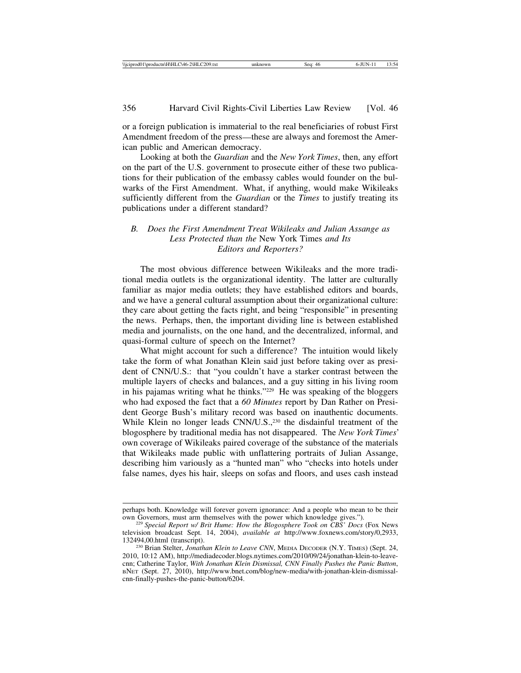or a foreign publication is immaterial to the real beneficiaries of robust First Amendment freedom of the press—these are always and foremost the American public and American democracy.

Looking at both the *Guardian* and the *New York Times*, then, any effort on the part of the U.S. government to prosecute either of these two publications for their publication of the embassy cables would founder on the bulwarks of the First Amendment. What, if anything, would make Wikileaks sufficiently different from the *Guardian* or the *Times* to justify treating its publications under a different standard?

# *B. Does the First Amendment Treat Wikileaks and Julian Assange as Less Protected than the* New York Times *and Its Editors and Reporters?*

The most obvious difference between Wikileaks and the more traditional media outlets is the organizational identity. The latter are culturally familiar as major media outlets; they have established editors and boards, and we have a general cultural assumption about their organizational culture: they care about getting the facts right, and being "responsible" in presenting the news. Perhaps, then, the important dividing line is between established media and journalists, on the one hand, and the decentralized, informal, and quasi-formal culture of speech on the Internet?

What might account for such a difference? The intuition would likely take the form of what Jonathan Klein said just before taking over as president of CNN/U.S.: that "you couldn't have a starker contrast between the multiple layers of checks and balances, and a guy sitting in his living room in his pajamas writing what he thinks."229 He was speaking of the bloggers who had exposed the fact that a *60 Minutes* report by Dan Rather on President George Bush's military record was based on inauthentic documents. While Klein no longer leads CNN/U.S.,<sup>230</sup> the disdainful treatment of the blogosphere by traditional media has not disappeared. The *New York Times*' own coverage of Wikileaks paired coverage of the substance of the materials that Wikileaks made public with unflattering portraits of Julian Assange, describing him variously as a "hunted man" who "checks into hotels under false names, dyes his hair, sleeps on sofas and floors, and uses cash instead

perhaps both. Knowledge will forever govern ignorance: And a people who mean to be their

<sup>&</sup>lt;sup>229</sup> Special Report w/ Brit Hume: How the Blogosphere Took on CBS' Docs (Fox News television broadcast Sept. 14, 2004), *available at* http://www.foxnews.com/story/0,2933,

<sup>&</sup>lt;sup>230</sup> Brian Stelter, *Jonathan Klein to Leave CNN*, MEDIA DECODER (N.Y. TIMES) (Sept. 24, 2010, 10:12 AM), http://mediadecoder.blogs.nytimes.com/2010/09/24/jonathan-klein-to-leavecnn; Catherine Taylor, *With Jonathan Klein Dismissal, CNN Finally Pushes the Panic Button*, BNET (Sept. 27, 2010), http://www.bnet.com/blog/new-media/with-jonathan-klein-dismissalcnn-finally-pushes-the-panic-button/6204.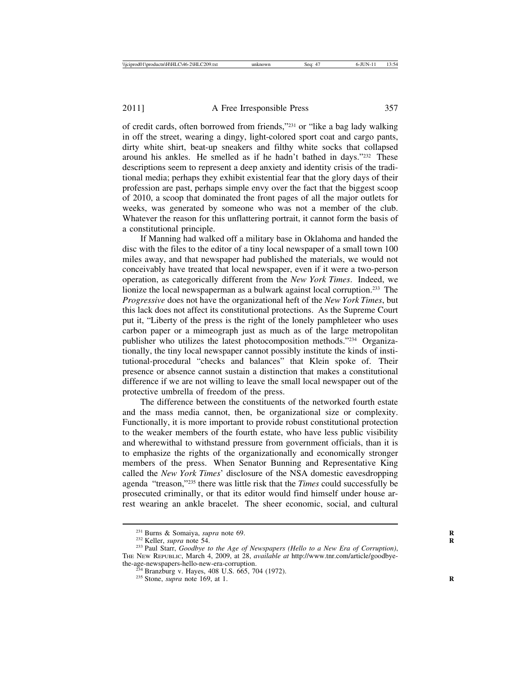of credit cards, often borrowed from friends,"231 or "like a bag lady walking in off the street, wearing a dingy, light-colored sport coat and cargo pants, dirty white shirt, beat-up sneakers and filthy white socks that collapsed around his ankles. He smelled as if he hadn't bathed in days."232 These descriptions seem to represent a deep anxiety and identity crisis of the traditional media; perhaps they exhibit existential fear that the glory days of their profession are past, perhaps simple envy over the fact that the biggest scoop of 2010, a scoop that dominated the front pages of all the major outlets for weeks, was generated by someone who was not a member of the club. Whatever the reason for this unflattering portrait, it cannot form the basis of a constitutional principle.

If Manning had walked off a military base in Oklahoma and handed the disc with the files to the editor of a tiny local newspaper of a small town 100 miles away, and that newspaper had published the materials, we would not conceivably have treated that local newspaper, even if it were a two-person operation, as categorically different from the *New York Times*. Indeed, we lionize the local newspaperman as a bulwark against local corruption.233 The *Progressive* does not have the organizational heft of the *New York Times*, but this lack does not affect its constitutional protections. As the Supreme Court put it, "Liberty of the press is the right of the lonely pamphleteer who uses carbon paper or a mimeograph just as much as of the large metropolitan publisher who utilizes the latest photocomposition methods."234 Organizationally, the tiny local newspaper cannot possibly institute the kinds of institutional-procedural "checks and balances" that Klein spoke of. Their presence or absence cannot sustain a distinction that makes a constitutional difference if we are not willing to leave the small local newspaper out of the protective umbrella of freedom of the press.

The difference between the constituents of the networked fourth estate and the mass media cannot, then, be organizational size or complexity. Functionally, it is more important to provide robust constitutional protection to the weaker members of the fourth estate, who have less public visibility and wherewithal to withstand pressure from government officials, than it is to emphasize the rights of the organizationally and economically stronger members of the press. When Senator Bunning and Representative King called the *New York Times*' disclosure of the NSA domestic eavesdropping agenda "treason,"235 there was little risk that the *Times* could successfully be prosecuted criminally, or that its editor would find himself under house arrest wearing an ankle bracelet. The sheer economic, social, and cultural

<sup>&</sup>lt;sup>231</sup> Burns & Somaiya, *supra* note 69.<br><sup>232</sup> Keller, *supra* note 54. **R** 233 Paul Starr, *Goodbye to the Age of Newspapers (Hello to a New Era of Corruption),* THE NEW REPUBLIC, March 4, 2009, at 28, *available at* http://www.tnr.com/article/goodbyethe-age-newspapers-hello-new-era-corruption.<br><sup>234</sup> Branzburg v. Hayes, 408 U.S. 665, 704 (1972).<br><sup>235</sup> Stone, *supra* note 169, at 1.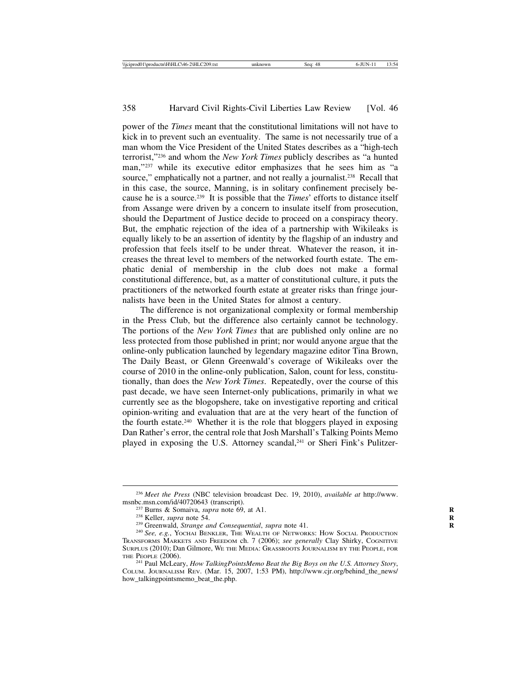power of the *Times* meant that the constitutional limitations will not have to kick in to prevent such an eventuality. The same is not necessarily true of a man whom the Vice President of the United States describes as a "high-tech terrorist,"236 and whom the *New York Times* publicly describes as "a hunted man,"237 while its executive editor emphasizes that he sees him as "a source," emphatically not a partner, and not really a journalist.<sup>238</sup> Recall that in this case, the source, Manning, is in solitary confinement precisely because he is a source.239 It is possible that the *Times*' efforts to distance itself from Assange were driven by a concern to insulate itself from prosecution, should the Department of Justice decide to proceed on a conspiracy theory. But, the emphatic rejection of the idea of a partnership with Wikileaks is equally likely to be an assertion of identity by the flagship of an industry and profession that feels itself to be under threat. Whatever the reason, it increases the threat level to members of the networked fourth estate. The emphatic denial of membership in the club does not make a formal constitutional difference, but, as a matter of constitutional culture, it puts the practitioners of the networked fourth estate at greater risks than fringe journalists have been in the United States for almost a century.

The difference is not organizational complexity or formal membership in the Press Club, but the difference also certainly cannot be technology. The portions of the *New York Times* that are published only online are no less protected from those published in print; nor would anyone argue that the online-only publication launched by legendary magazine editor Tina Brown, The Daily Beast, or Glenn Greenwald's coverage of Wikileaks over the course of 2010 in the online-only publication, Salon, count for less, constitutionally, than does the *New York Times*. Repeatedly, over the course of this past decade, we have seen Internet-only publications, primarily in what we currently see as the blogopshere, take on investigative reporting and critical opinion-writing and evaluation that are at the very heart of the function of the fourth estate.240 Whether it is the role that bloggers played in exposing Dan Rather's error, the central role that Josh Marshall's Talking Points Memo played in exposing the U.S. Attorney scandal,<sup>241</sup> or Sheri Fink's Pulitzer-

<sup>236</sup> *Meet the Press* (NBC television broadcast Dec. 19, 2010), *available at* http://www.

<sup>&</sup>lt;sup>237</sup> Burns & Somaiva, *supra* note 69, at A1.<br><sup>238</sup> Keller, *supra* note 54.<br><sup>239</sup> Greenwald, *Strange and Consequential*, *supra* note 41.<br><sup>240</sup> *See, e.g.*, YOCHAI BENKLER, THE WEALTH OF NETWORKS: HOW SOCIAL PRODUCTION TRANSFORMS MARKETS AND FREEDOM ch. 7 (2006); *see generally* Clay Shirky, COGNITIVE SURPLUS (2010); Dan Gilmore, WE THE MEDIA: GRASSROOTS JOURNALISM BY THE PEOPLE, FOR

<sup>&</sup>lt;sup>241</sup> Paul McLeary, *How TalkingPointsMemo Beat the Big Boys on the U.S. Attorney Story*, COLUM. JOURNALISM REV. (Mar. 15, 2007, 1:53 PM), http://www.cjr.org/behind\_the\_news/ how\_talkingpointsmemo\_beat\_the.php.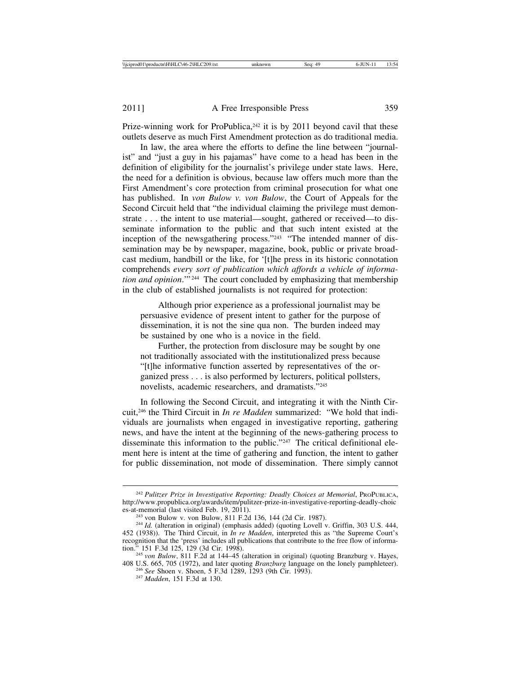Prize-winning work for ProPublica, $242$  it is by 2011 beyond cavil that these outlets deserve as much First Amendment protection as do traditional media.

In law, the area where the efforts to define the line between "journalist" and "just a guy in his pajamas" have come to a head has been in the definition of eligibility for the journalist's privilege under state laws. Here, the need for a definition is obvious, because law offers much more than the First Amendment's core protection from criminal prosecution for what one has published. In *von Bulow v. von Bulow*, the Court of Appeals for the Second Circuit held that "the individual claiming the privilege must demonstrate . . . the intent to use material—sought, gathered or received—to disseminate information to the public and that such intent existed at the inception of the newsgathering process."243 "The intended manner of dissemination may be by newspaper, magazine, book, public or private broadcast medium, handbill or the like, for '[t]he press in its historic connotation comprehends *every sort of publication which affords a vehicle of information and opinion*.'" 244 The court concluded by emphasizing that membership in the club of established journalists is not required for protection:

Although prior experience as a professional journalist may be persuasive evidence of present intent to gather for the purpose of dissemination, it is not the sine qua non. The burden indeed may be sustained by one who is a novice in the field.

Further, the protection from disclosure may be sought by one not traditionally associated with the institutionalized press because "[t]he informative function asserted by representatives of the organized press . . . is also performed by lecturers, political pollsters, novelists, academic researchers, and dramatists."245

In following the Second Circuit, and integrating it with the Ninth Circuit,246 the Third Circuit in *In re Madden* summarized: "We hold that individuals are journalists when engaged in investigative reporting, gathering news, and have the intent at the beginning of the news-gathering process to disseminate this information to the public."247 The critical definitional element here is intent at the time of gathering and function, the intent to gather for public dissemination, not mode of dissemination. There simply cannot

<sup>&</sup>lt;sup>242</sup> Pulitzer Prize in Investigative Reporting: Deadly Choices at Memorial, PROPUBLICA, http://www.propublica.org/awards/item/pulitzer-prize-in-investigative-reporting-deadly-choic

<sup>&</sup>lt;sup>243</sup> von Bulow v. von Bulow, 811 F.2d 136, 144 (2d Cir. 1987). <sup>244</sup> *Id.* (alteration in original) (emphasis added) (quoting Lovell v. Griffin, 303 U.S. 444, 452 (1938)). The Third Circuit, in *In re Madden*, interpreted this as "the Supreme Court's recognition that the 'press' includes all publications that contribute to the free flow of informa-<br>tion." 151 F.3d 125, 129 (3d Cir. 1998). tion." 151 F.3d 125, 129 (3d Cir. 1998). <sup>245</sup> *von Bulow*, 811 F.2d at 144–45 (alteration in original) (quoting Branzburg v. Hayes,

<sup>408</sup> U.S. 665, 705 (1972), and later quoting *Branzburg* language on the lonely pamphleteer). <sup>246</sup> *See* Shoen v. Shoen, 5 F.3d 1289, 1293 (9th Cir. 1993). <sup>247</sup> *Madden*, 151 F.3d at 130.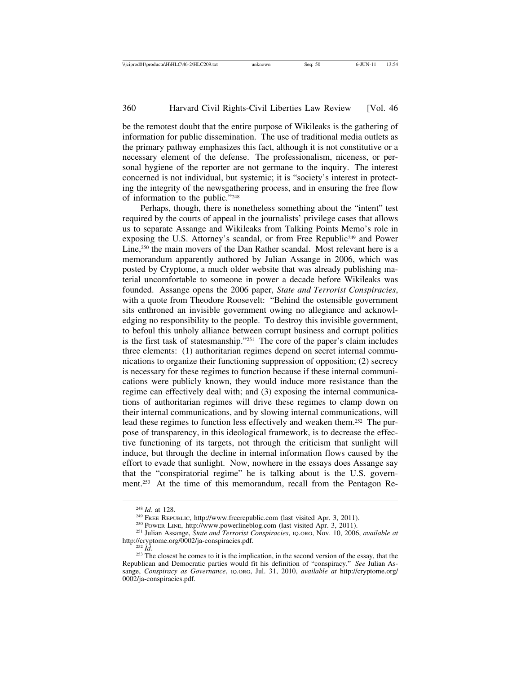be the remotest doubt that the entire purpose of Wikileaks is the gathering of information for public dissemination. The use of traditional media outlets as the primary pathway emphasizes this fact, although it is not constitutive or a necessary element of the defense. The professionalism, niceness, or personal hygiene of the reporter are not germane to the inquiry. The interest concerned is not individual, but systemic; it is "society's interest in protecting the integrity of the newsgathering process, and in ensuring the free flow of information to the public."248

Perhaps, though, there is nonetheless something about the "intent" test required by the courts of appeal in the journalists' privilege cases that allows us to separate Assange and Wikileaks from Talking Points Memo's role in exposing the U.S. Attorney's scandal, or from Free Republic<sup>249</sup> and Power Line,<sup>250</sup> the main movers of the Dan Rather scandal. Most relevant here is a memorandum apparently authored by Julian Assange in 2006, which was posted by Cryptome, a much older website that was already publishing material uncomfortable to someone in power a decade before Wikileaks was founded. Assange opens the 2006 paper, *State and Terrorist Conspiracies*, with a quote from Theodore Roosevelt: "Behind the ostensible government sits enthroned an invisible government owing no allegiance and acknowledging no responsibility to the people. To destroy this invisible government, to befoul this unholy alliance between corrupt business and corrupt politics is the first task of statesmanship."251 The core of the paper's claim includes three elements: (1) authoritarian regimes depend on secret internal communications to organize their functioning suppression of opposition; (2) secrecy is necessary for these regimes to function because if these internal communications were publicly known, they would induce more resistance than the regime can effectively deal with; and (3) exposing the internal communications of authoritarian regimes will drive these regimes to clamp down on their internal communications, and by slowing internal communications, will lead these regimes to function less effectively and weaken them.252 The purpose of transparency, in this ideological framework, is to decrease the effective functioning of its targets, not through the criticism that sunlight will induce, but through the decline in internal information flows caused by the effort to evade that sunlight. Now, nowhere in the essays does Assange say that the "conspiratorial regime" he is talking about is the U.S. government.<sup>253</sup> At the time of this memorandum, recall from the Pentagon Re-

<sup>&</sup>lt;sup>248</sup> *Id.* at 128.<br><sup>249</sup> FREE REPUBLIC, http://www.freerepublic.com (last visited Apr. 3, 2011).<br><sup>250</sup> Power LINE, http://www.powerlineblog.com (last visited Apr. 3, 2011).<br><sup>251</sup> Julian Assange, *State and Terrorist Cons* 

 $\frac{252 \text{ } Id.}{253 \text{ The closest he comes to it is the implication, in the second version of the essay, that the$ Republican and Democratic parties would fit his definition of "conspiracy." *See* Julian Assange, *Conspiracy as Governance*, *IQ.ORG*, Jul. 31, 2010, *available at http://cryptome.org/* 0002/ja-conspiracies.pdf.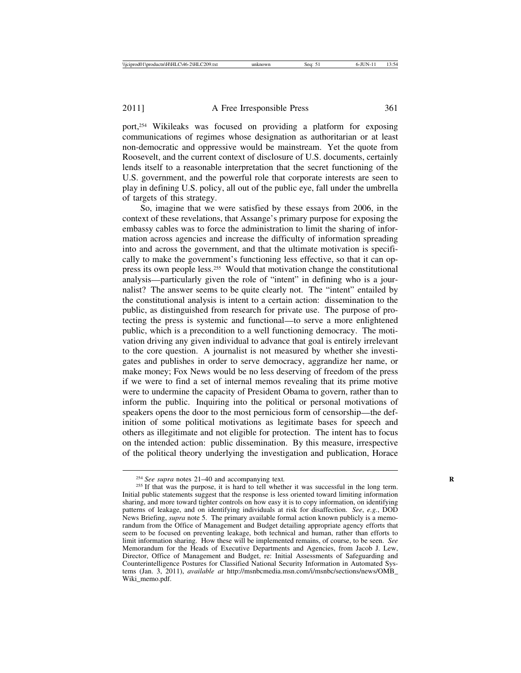port,254 Wikileaks was focused on providing a platform for exposing communications of regimes whose designation as authoritarian or at least non-democratic and oppressive would be mainstream. Yet the quote from Roosevelt, and the current context of disclosure of U.S. documents, certainly lends itself to a reasonable interpretation that the secret functioning of the U.S. government, and the powerful role that corporate interests are seen to play in defining U.S. policy, all out of the public eye, fall under the umbrella of targets of this strategy.

So, imagine that we were satisfied by these essays from 2006, in the context of these revelations, that Assange's primary purpose for exposing the embassy cables was to force the administration to limit the sharing of information across agencies and increase the difficulty of information spreading into and across the government, and that the ultimate motivation is specifically to make the government's functioning less effective, so that it can oppress its own people less.255 Would that motivation change the constitutional analysis—particularly given the role of "intent" in defining who is a journalist? The answer seems to be quite clearly not. The "intent" entailed by the constitutional analysis is intent to a certain action: dissemination to the public, as distinguished from research for private use. The purpose of protecting the press is systemic and functional—to serve a more enlightened public, which is a precondition to a well functioning democracy. The motivation driving any given individual to advance that goal is entirely irrelevant to the core question. A journalist is not measured by whether she investigates and publishes in order to serve democracy, aggrandize her name, or make money; Fox News would be no less deserving of freedom of the press if we were to find a set of internal memos revealing that its prime motive were to undermine the capacity of President Obama to govern, rather than to inform the public. Inquiring into the political or personal motivations of speakers opens the door to the most pernicious form of censorship—the definition of some political motivations as legitimate bases for speech and others as illegitimate and not eligible for protection. The intent has to focus on the intended action: public dissemination. By this measure, irrespective of the political theory underlying the investigation and publication, Horace

<sup>&</sup>lt;sup>254</sup> *See supra* notes 21–40 and accompanying text.<br><sup>255</sup> If that was the purpose, it is hard to tell whether it was successful in the long term. Initial public statements suggest that the response is less oriented toward limiting information sharing, and more toward tighter controls on how easy it is to copy information, on identifying patterns of leakage, and on identifying individuals at risk for disaffection. *See*, *e.g.*, DOD News Briefing, *supra* note 5. The primary available formal action known publicly is a memorandum from the Office of Management and Budget detailing appropriate agency efforts that seem to be focused on preventing leakage, both technical and human, rather than efforts to limit information sharing. How these will be implemented remains, of course, to be seen. *See* Memorandum for the Heads of Executive Departments and Agencies, from Jacob J. Lew, Director, Office of Management and Budget, re: Initial Assessments of Safeguarding and Counterintelligence Postures for Classified National Security Information in Automated Systems (Jan. 3, 2011), *available at* http://msnbcmedia.msn.com/i/msnbc/sections/news/OMB\_ Wiki\_memo.pdf.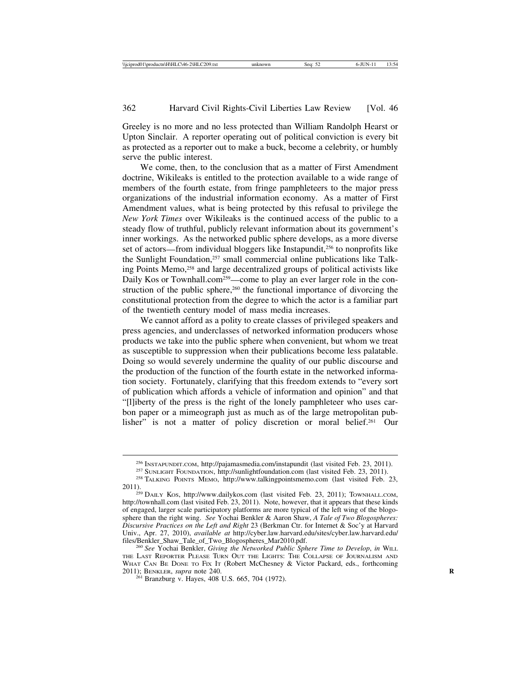Greeley is no more and no less protected than William Randolph Hearst or Upton Sinclair. A reporter operating out of political conviction is every bit as protected as a reporter out to make a buck, become a celebrity, or humbly serve the public interest.

We come, then, to the conclusion that as a matter of First Amendment doctrine, Wikileaks is entitled to the protection available to a wide range of members of the fourth estate, from fringe pamphleteers to the major press organizations of the industrial information economy. As a matter of First Amendment values, what is being protected by this refusal to privilege the *New York Times* over Wikileaks is the continued access of the public to a steady flow of truthful, publicly relevant information about its government's inner workings. As the networked public sphere develops, as a more diverse set of actors—from individual bloggers like Instapundit,<sup>256</sup> to nonprofits like the Sunlight Foundation,<sup>257</sup> small commercial online publications like Talking Points Memo,258 and large decentralized groups of political activists like Daily Kos or Townhall.com<sup>259</sup>—come to play an ever larger role in the construction of the public sphere,<sup>260</sup> the functional importance of divorcing the constitutional protection from the degree to which the actor is a familiar part of the twentieth century model of mass media increases.

We cannot afford as a polity to create classes of privileged speakers and press agencies, and underclasses of networked information producers whose products we take into the public sphere when convenient, but whom we treat as susceptible to suppression when their publications become less palatable. Doing so would severely undermine the quality of our public discourse and the production of the function of the fourth estate in the networked information society. Fortunately, clarifying that this freedom extends to "every sort of publication which affords a vehicle of information and opinion" and that "[l]iberty of the press is the right of the lonely pamphleteer who uses carbon paper or a mimeograph just as much as of the large metropolitan publisher" is not a matter of policy discretion or moral belief.<sup>261</sup> Our

<sup>&</sup>lt;sup>256</sup> INSTAPUNDIT.COM, http://pajamasmedia.com/instapundit (last visited Feb. 23, 2011).<br><sup>257</sup> SUNLIGHT FOUNDATION, http://sunlightfoundation.com (last visited Feb. 23, 2011).<br><sup>258</sup> TALKING POINTS MEMO, http://www.talkingp

<sup>2011).&</sup>lt;br><sup>259</sup> Dаплу Kos, http://www.dailykos.com (last visited Feb. 23, 2011); Тоwмнаll.coм,

http://townhall.com (last visited Feb. 23, 2011). Note, however, that it appears that these kinds of engaged, larger scale participatory platforms are more typical of the left wing of the blogosphere than the right wing. *See* Yochai Benkler & Aaron Shaw, *A Tale of Two Blogospheres: Discursive Practices on the Left and Right* 23 (Berkman Ctr. for Internet & Soc'y at Harvard Univ., Apr. 27, 2010), *available at* http://cyber.law.harvard.edu/sites/cyber.law.harvard.edu/

<sup>&</sup>lt;sup>260</sup> See Yochai Benkler, *Giving the Networked Public Sphere Time to Develop*, *in* WILL THE LAST REPORTER PLEASE TURN OUT THE LIGHTS: THE COLLAPSE OF JOURNALISM AND WHAT CAN BE DONE TO FIX IT (Robert McChesney & Victor Packard, eds., forthcoming 2011); BENKLER, *supra* note 240.

<sup>&</sup>lt;sup>261</sup> Branzburg v. Hayes, 408 U.S. 665, 704 (1972).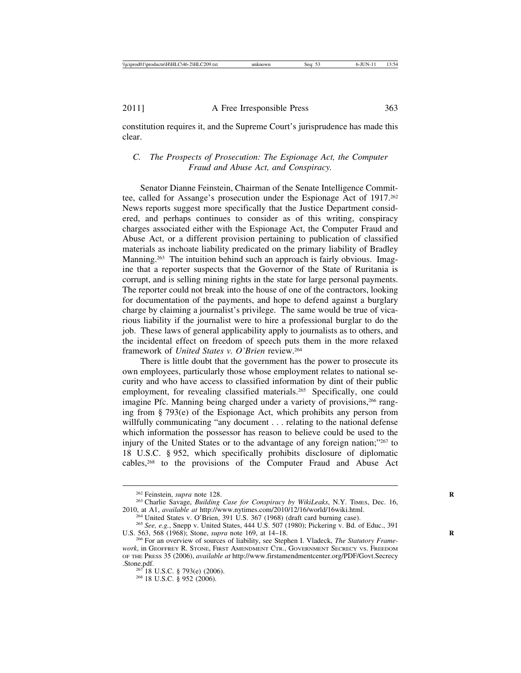constitution requires it, and the Supreme Court's jurisprudence has made this clear.

# *C. The Prospects of Prosecution: The Espionage Act, the Computer Fraud and Abuse Act, and Conspiracy.*

Senator Dianne Feinstein, Chairman of the Senate Intelligence Committee, called for Assange's prosecution under the Espionage Act of 1917.262 News reports suggest more specifically that the Justice Department considered, and perhaps continues to consider as of this writing, conspiracy charges associated either with the Espionage Act, the Computer Fraud and Abuse Act, or a different provision pertaining to publication of classified materials as inchoate liability predicated on the primary liability of Bradley Manning.<sup>263</sup> The intuition behind such an approach is fairly obvious. Imagine that a reporter suspects that the Governor of the State of Ruritania is corrupt, and is selling mining rights in the state for large personal payments. The reporter could not break into the house of one of the contractors, looking for documentation of the payments, and hope to defend against a burglary charge by claiming a journalist's privilege. The same would be true of vicarious liability if the journalist were to hire a professional burglar to do the job. These laws of general applicability apply to journalists as to others, and the incidental effect on freedom of speech puts them in the more relaxed framework of *United States v. O'Brien* review.264

There is little doubt that the government has the power to prosecute its own employees, particularly those whose employment relates to national security and who have access to classified information by dint of their public employment, for revealing classified materials.<sup>265</sup> Specifically, one could imagine Pfc. Manning being charged under a variety of provisions,<sup>266</sup> ranging from § 793(e) of the Espionage Act, which prohibits any person from willfully communicating "any document . . . relating to the national defense which information the possessor has reason to believe could be used to the injury of the United States or to the advantage of any foreign nation;"267 to 18 U.S.C. § 952, which specifically prohibits disclosure of diplomatic cables,268 to the provisions of the Computer Fraud and Abuse Act

<sup>&</sup>lt;sup>262</sup> Feinstein, *supra* note 128.<br><sup>263</sup> Charlie Savage, *Building Case for Conspiracy by WikiLeaks*, N.Y. TIMES, Dec. 16,<br>2010, at A1, *available at* http://www.nytimes.com/2010/12/16/world/16wiki.html.

<sup>&</sup>lt;sup>264</sup> United States v. O'Brien, 391 U.S. 367 (1968) (draft card burning case).<br><sup>265</sup> See, e.g., Snepp v. United States, 444 U.S. 507 (1980); Pickering v. Bd. of Educ., 391 U.S. 563, 568 (1968); Stone, *supra* note 169, at

<sup>&</sup>lt;sup>266</sup> For an overview of sources of liability, see Stephen I. Vladeck, *The Statutory Framework*, in GEOFFREY R. STONE, FIRST AMENDMENT CTR., GOVERNMENT SECRECY VS. FREEDOM OF THE PRESS 35 (2006), *available at* http://www.firstamendmentcenter.org/PDF/Govt.Secrecy .Stone.pdf.<br><sup>267</sup> 18 U.S.C. § 793(e) (2006).<br><sup>268</sup> 18 U.S.C. § 952 (2006).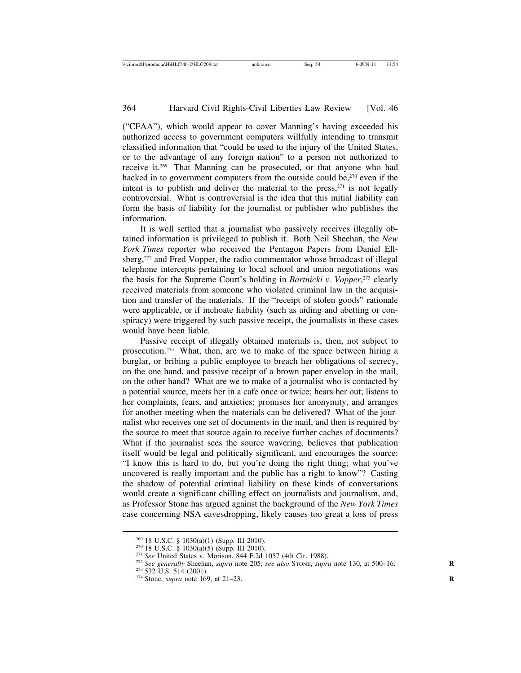("CFAA"), which would appear to cover Manning's having exceeded his authorized access to government computers willfully intending to transmit classified information that "could be used to the injury of the United States, or to the advantage of any foreign nation" to a person not authorized to receive it.269 That Manning can be prosecuted, or that anyone who had hacked in to government computers from the outside could be, $270$  even if the intent is to publish and deliver the material to the press, $271$  is not legally controversial. What is controversial is the idea that this initial liability can form the basis of liability for the journalist or publisher who publishes the information.

It is well settled that a journalist who passively receives illegally obtained information is privileged to publish it. Both Neil Sheehan, the *New York Times* reporter who received the Pentagon Papers from Daniel Ellsberg,<sup>272</sup> and Fred Vopper, the radio commentator whose broadcast of illegal telephone intercepts pertaining to local school and union negotiations was the basis for the Supreme Court's holding in *Bartnicki v. Vopper*, 273 clearly received materials from someone who violated criminal law in the acquisition and transfer of the materials. If the "receipt of stolen goods" rationale were applicable, or if inchoate liability (such as aiding and abetting or conspiracy) were triggered by such passive receipt, the journalists in these cases would have been liable.

Passive receipt of illegally obtained materials is, then, not subject to prosecution.274 What, then, are we to make of the space between hiring a burglar, or bribing a public employee to breach her obligations of secrecy, on the one hand, and passive receipt of a brown paper envelop in the mail, on the other hand? What are we to make of a journalist who is contacted by a potential source, meets her in a cafe once or twice; hears her out; listens to her complaints, fears, and anxieties; promises her anonymity, and arranges for another meeting when the materials can be delivered? What of the journalist who receives one set of documents in the mail, and then is required by the source to meet that source again to receive further caches of documents? What if the journalist sees the source wavering, believes that publication itself would be legal and politically significant, and encourages the source: "I know this is hard to do, but you're doing the right thing; what you've uncovered is really important and the public has a right to know"? Casting the shadow of potential criminal liability on these kinds of conversations would create a significant chilling effect on journalists and journalism, and, as Professor Stone has argued against the background of the *New York Times* case concerning NSA eavesdropping, likely causes too great a loss of press

<sup>&</sup>lt;sup>269</sup> 18 U.S.C. § 1030(a)(1) (Supp. III 2010).<br><sup>270</sup> 18 U.S.C. § 1030(a)(5) (Supp. III 2010).<br><sup>271</sup> *See* United States v. Morison, 844 F.2d 1057 (4th Cir. 1988).<br><sup>272</sup> *See generally* Sheehan, *supra* note 205; *see also*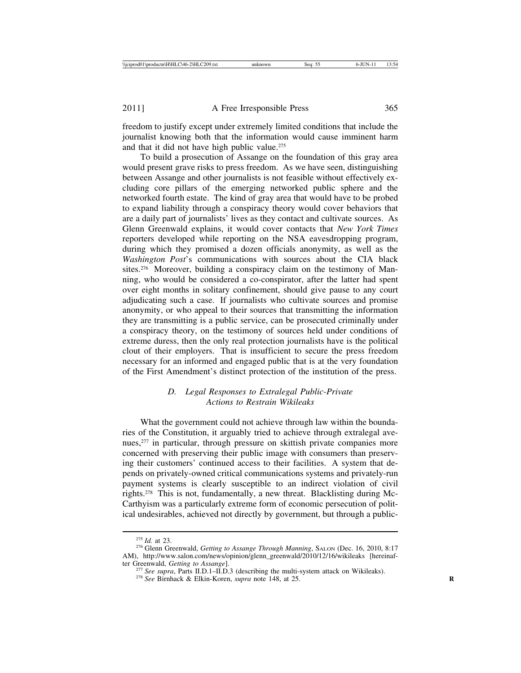freedom to justify except under extremely limited conditions that include the journalist knowing both that the information would cause imminent harm and that it did not have high public value.275

To build a prosecution of Assange on the foundation of this gray area would present grave risks to press freedom. As we have seen, distinguishing between Assange and other journalists is not feasible without effectively excluding core pillars of the emerging networked public sphere and the networked fourth estate. The kind of gray area that would have to be probed to expand liability through a conspiracy theory would cover behaviors that are a daily part of journalists' lives as they contact and cultivate sources. As Glenn Greenwald explains, it would cover contacts that *New York Times* reporters developed while reporting on the NSA eavesdropping program, during which they promised a dozen officials anonymity, as well as the *Washington Post*'s communications with sources about the CIA black sites.<sup>276</sup> Moreover, building a conspiracy claim on the testimony of Manning, who would be considered a co-conspirator, after the latter had spent over eight months in solitary confinement, should give pause to any court adjudicating such a case. If journalists who cultivate sources and promise anonymity, or who appeal to their sources that transmitting the information they are transmitting is a public service, can be prosecuted criminally under a conspiracy theory, on the testimony of sources held under conditions of extreme duress, then the only real protection journalists have is the political clout of their employers. That is insufficient to secure the press freedom necessary for an informed and engaged public that is at the very foundation of the First Amendment's distinct protection of the institution of the press.

# *D. Legal Responses to Extralegal Public-Private Actions to Restrain Wikileaks*

What the government could not achieve through law within the boundaries of the Constitution, it arguably tried to achieve through extralegal avenues,277 in particular, through pressure on skittish private companies more concerned with preserving their public image with consumers than preserving their customers' continued access to their facilities. A system that depends on privately-owned critical communications systems and privately-run payment systems is clearly susceptible to an indirect violation of civil rights.278 This is not, fundamentally, a new threat. Blacklisting during Mc-Carthyism was a particularly extreme form of economic persecution of political undesirables, achieved not directly by government, but through a public-

<sup>275</sup> *Id.* at 23. <sup>276</sup> Glenn Greenwald, *Getting to Assange Through Manning*, SALON (Dec. 16, 2010, 8:17 AM), http://www.salon.com/news/opinion/glenn\_greenwald/2010/12/16/wikileaks [hereinafter Greenwald, Getting to Assange].

<sup>&</sup>lt;sup>277</sup> *See supra*, Parts II.D.1–II.D.3 (describing the multi-system attack on Wikileaks). <sup>278</sup> *See* Birnhack & Elkin-Koren, *supra* note 148, at 25.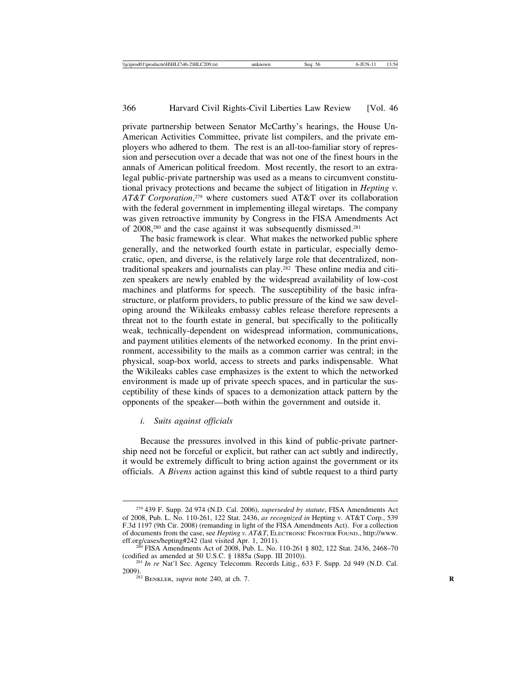private partnership between Senator McCarthy's hearings, the House Un-American Activities Committee, private list compilers, and the private employers who adhered to them. The rest is an all-too-familiar story of repression and persecution over a decade that was not one of the finest hours in the annals of American political freedom. Most recently, the resort to an extralegal public-private partnership was used as a means to circumvent constitutional privacy protections and became the subject of litigation in *Hepting v. AT&T Corporation*, 279 where customers sued AT&T over its collaboration with the federal government in implementing illegal wiretaps. The company was given retroactive immunity by Congress in the FISA Amendments Act of 2008,280 and the case against it was subsequently dismissed.281

The basic framework is clear. What makes the networked public sphere generally, and the networked fourth estate in particular, especially democratic, open, and diverse, is the relatively large role that decentralized, nontraditional speakers and journalists can play.282 These online media and citizen speakers are newly enabled by the widespread availability of low-cost machines and platforms for speech. The susceptibility of the basic infrastructure, or platform providers, to public pressure of the kind we saw developing around the Wikileaks embassy cables release therefore represents a threat not to the fourth estate in general, but specifically to the politically weak, technically-dependent on widespread information, communications, and payment utilities elements of the networked economy. In the print environment, accessibility to the mails as a common carrier was central; in the physical, soap-box world, access to streets and parks indispensable. What the Wikileaks cables case emphasizes is the extent to which the networked environment is made up of private speech spaces, and in particular the susceptibility of these kinds of spaces to a demonization attack pattern by the opponents of the speaker—both within the government and outside it.

#### *i. Suits against officials*

Because the pressures involved in this kind of public-private partnership need not be forceful or explicit, but rather can act subtly and indirectly, it would be extremely difficult to bring action against the government or its officials. A *Bivens* action against this kind of subtle request to a third party

<sup>279</sup> 439 F. Supp. 2d 974 (N.D. Cal. 2006), *superseded by statute*, FISA Amendments Act of 2008, Pub. L. No. 110-261, 122 Stat. 2436, *as recognized in* Hepting v. AT&T Corp., 539 F.3d 1197 (9th Cir. 2008) (remanding in light of the FISA Amendments Act). For a collection of documents from the case, see *Hepting v. AT&T*, ELECTRONIC FRONTIER FOUND., http://www. eff.org/cases/hepting#242 (last visited Apr. 1, 2011). <sup>280</sup> FISA Amendments Act of 2008, Pub. L. No. 110-261 § 802, 122 Stat. 2436, 2468–70

<sup>(</sup>codified as amended at 50 U.S.C. § 1885a (Supp. III 2010)). <sup>281</sup> *In re* Nat'l Sec. Agency Telecomm. Records Litig., 633 F. Supp. 2d 949 (N.D. Cal.

<sup>2009).</sup> <sup>282</sup> BENKLER, *supra* note 240, at ch. 7. **<sup>R</sup>**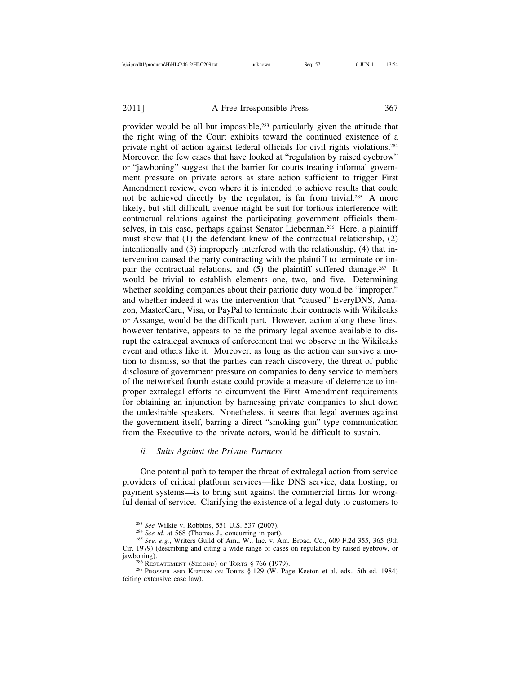provider would be all but impossible,<sup>283</sup> particularly given the attitude that the right wing of the Court exhibits toward the continued existence of a private right of action against federal officials for civil rights violations.284 Moreover, the few cases that have looked at "regulation by raised eyebrow" or "jawboning" suggest that the barrier for courts treating informal government pressure on private actors as state action sufficient to trigger First Amendment review, even where it is intended to achieve results that could not be achieved directly by the regulator, is far from trivial.285 A more likely, but still difficult, avenue might be suit for tortious interference with contractual relations against the participating government officials themselves, in this case, perhaps against Senator Lieberman.286 Here, a plaintiff must show that (1) the defendant knew of the contractual relationship, (2) intentionally and (3) improperly interfered with the relationship, (4) that intervention caused the party contracting with the plaintiff to terminate or impair the contractual relations, and (5) the plaintiff suffered damage.287 It would be trivial to establish elements one, two, and five. Determining whether scolding companies about their patriotic duty would be "improper," and whether indeed it was the intervention that "caused" EveryDNS, Amazon, MasterCard, Visa, or PayPal to terminate their contracts with Wikileaks or Assange, would be the difficult part. However, action along these lines, however tentative, appears to be the primary legal avenue available to disrupt the extralegal avenues of enforcement that we observe in the Wikileaks event and others like it. Moreover, as long as the action can survive a motion to dismiss, so that the parties can reach discovery, the threat of public disclosure of government pressure on companies to deny service to members of the networked fourth estate could provide a measure of deterrence to improper extralegal efforts to circumvent the First Amendment requirements for obtaining an injunction by harnessing private companies to shut down the undesirable speakers. Nonetheless, it seems that legal avenues against the government itself, barring a direct "smoking gun" type communication from the Executive to the private actors, would be difficult to sustain.

#### *ii. Suits Against the Private Partners*

One potential path to temper the threat of extralegal action from service providers of critical platform services—like DNS service, data hosting, or payment systems—is to bring suit against the commercial firms for wrongful denial of service. Clarifying the existence of a legal duty to customers to

<sup>283</sup> *See* Wilkie v. Robbins, 551 U.S. 537 (2007). <sup>284</sup> *See id.* at 568 (Thomas J., concurring in part). <sup>285</sup> *See, e.g.*, Writers Guild of Am., W., Inc. v. Am. Broad. Co., 609 F.2d 355, 365 (9th Cir. 1979) (describing and citing a wide range of cases on regulation by raised eyebrow, or jawboning).<br><sup>286</sup> RESTATEMENT (SECOND) OF TORTS § 766 (1979).<br><sup>287</sup> PROSSER AND KEETON ON TORTS § 129 (W. Page Keeton et al. eds., 5th ed. 1984)

<sup>(</sup>citing extensive case law).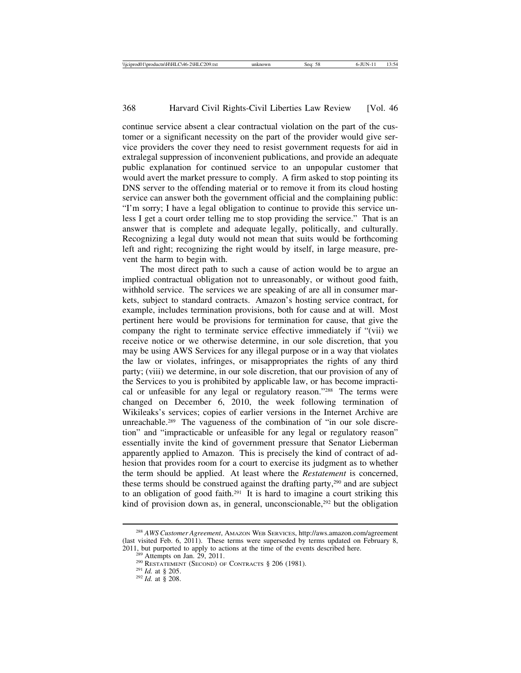continue service absent a clear contractual violation on the part of the customer or a significant necessity on the part of the provider would give service providers the cover they need to resist government requests for aid in extralegal suppression of inconvenient publications, and provide an adequate public explanation for continued service to an unpopular customer that would avert the market pressure to comply. A firm asked to stop pointing its DNS server to the offending material or to remove it from its cloud hosting service can answer both the government official and the complaining public: "I'm sorry; I have a legal obligation to continue to provide this service unless I get a court order telling me to stop providing the service." That is an answer that is complete and adequate legally, politically, and culturally. Recognizing a legal duty would not mean that suits would be forthcoming left and right; recognizing the right would by itself, in large measure, prevent the harm to begin with.

The most direct path to such a cause of action would be to argue an implied contractual obligation not to unreasonably, or without good faith, withhold service. The services we are speaking of are all in consumer markets, subject to standard contracts. Amazon's hosting service contract, for example, includes termination provisions, both for cause and at will. Most pertinent here would be provisions for termination for cause, that give the company the right to terminate service effective immediately if "(vii) we receive notice or we otherwise determine, in our sole discretion, that you may be using AWS Services for any illegal purpose or in a way that violates the law or violates, infringes, or misappropriates the rights of any third party; (viii) we determine, in our sole discretion, that our provision of any of the Services to you is prohibited by applicable law, or has become impractical or unfeasible for any legal or regulatory reason."288 The terms were changed on December 6, 2010, the week following termination of Wikileaks's services; copies of earlier versions in the Internet Archive are unreachable.289 The vagueness of the combination of "in our sole discretion" and "impracticable or unfeasible for any legal or regulatory reason" essentially invite the kind of government pressure that Senator Lieberman apparently applied to Amazon. This is precisely the kind of contract of adhesion that provides room for a court to exercise its judgment as to whether the term should be applied. At least where the *Restatement* is concerned, these terms should be construed against the drafting party,290 and are subject to an obligation of good faith.291 It is hard to imagine a court striking this kind of provision down as, in general, unconscionable,<sup>292</sup> but the obligation

<sup>288</sup> *AWS Customer Agreement*, AMAZON WEB SERVICES, http://aws.amazon.com/agreement (last visited Feb. 6, 2011). These terms were superseded by terms updated on February 8, 2011, but purported to apply to actions at the time of the events described here.<br><sup>289</sup> Attempts on Jan. 29, 2011.<br><sup>290</sup> RESTATEMENT (SECOND) OF CONTRACTS § 206 (1981).<br><sup>291</sup> *Id.* at § 205.<br><sup>292</sup> *Id.* at § 208.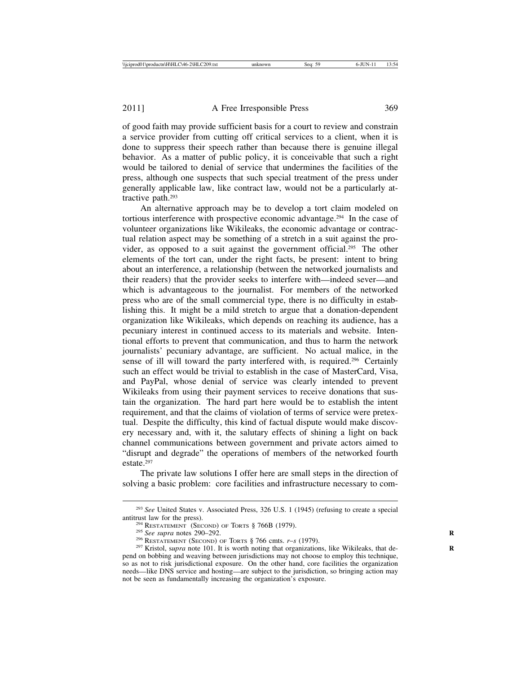of good faith may provide sufficient basis for a court to review and constrain a service provider from cutting off critical services to a client, when it is done to suppress their speech rather than because there is genuine illegal behavior. As a matter of public policy, it is conceivable that such a right would be tailored to denial of service that undermines the facilities of the press, although one suspects that such special treatment of the press under generally applicable law, like contract law, would not be a particularly attractive path.293

An alternative approach may be to develop a tort claim modeled on tortious interference with prospective economic advantage.294 In the case of volunteer organizations like Wikileaks, the economic advantage or contractual relation aspect may be something of a stretch in a suit against the provider, as opposed to a suit against the government official.<sup>295</sup> The other elements of the tort can, under the right facts, be present: intent to bring about an interference, a relationship (between the networked journalists and their readers) that the provider seeks to interfere with—indeed sever—and which is advantageous to the journalist. For members of the networked press who are of the small commercial type, there is no difficulty in establishing this. It might be a mild stretch to argue that a donation-dependent organization like Wikileaks, which depends on reaching its audience, has a pecuniary interest in continued access to its materials and website. Intentional efforts to prevent that communication, and thus to harm the network journalists' pecuniary advantage, are sufficient. No actual malice, in the sense of ill will toward the party interfered with, is required.<sup>296</sup> Certainly such an effect would be trivial to establish in the case of MasterCard, Visa, and PayPal, whose denial of service was clearly intended to prevent Wikileaks from using their payment services to receive donations that sustain the organization. The hard part here would be to establish the intent requirement, and that the claims of violation of terms of service were pretextual. Despite the difficulty, this kind of factual dispute would make discovery necessary and, with it, the salutary effects of shining a light on back channel communications between government and private actors aimed to "disrupt and degrade" the operations of members of the networked fourth estate.<sup>297</sup>

The private law solutions I offer here are small steps in the direction of solving a basic problem: core facilities and infrastructure necessary to com-

<sup>&</sup>lt;sup>293</sup> *See* United States v. Associated Press, 326 U.S. 1 (1945) (refusing to create a special antitrust law for the press).

<sup>&</sup>lt;sup>294</sup> RESTATEMENT (SECOND) OF TORTS § 766B (1979).<br><sup>295</sup> See supra notes 290–292.<br><sup>296</sup> RESTATEMENT (SECOND) OF TORTS § 766 cmts. *r*-s (1979).<br><sup>297</sup> Kristol, supra note 101. It is worth noting that organizations, like Wi pend on bobbing and weaving between jurisdictions may not choose to employ this technique, so as not to risk jurisdictional exposure. On the other hand, core facilities the organization needs—like DNS service and hosting—are subject to the jurisdiction, so bringing action may not be seen as fundamentally increasing the organization's exposure.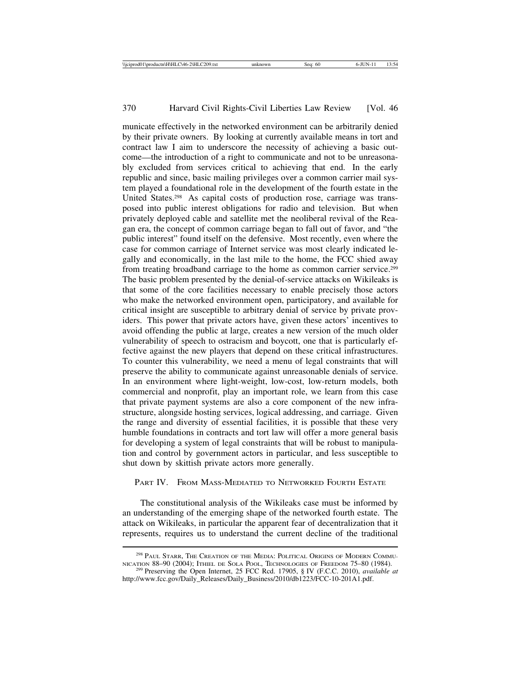municate effectively in the networked environment can be arbitrarily denied by their private owners. By looking at currently available means in tort and contract law I aim to underscore the necessity of achieving a basic outcome—the introduction of a right to communicate and not to be unreasonably excluded from services critical to achieving that end. In the early republic and since, basic mailing privileges over a common carrier mail system played a foundational role in the development of the fourth estate in the United States.<sup>298</sup> As capital costs of production rose, carriage was transposed into public interest obligations for radio and television. But when privately deployed cable and satellite met the neoliberal revival of the Reagan era, the concept of common carriage began to fall out of favor, and "the public interest" found itself on the defensive. Most recently, even where the case for common carriage of Internet service was most clearly indicated legally and economically, in the last mile to the home, the FCC shied away from treating broadband carriage to the home as common carrier service.299 The basic problem presented by the denial-of-service attacks on Wikileaks is that some of the core facilities necessary to enable precisely those actors who make the networked environment open, participatory, and available for critical insight are susceptible to arbitrary denial of service by private providers. This power that private actors have, given these actors' incentives to avoid offending the public at large, creates a new version of the much older vulnerability of speech to ostracism and boycott, one that is particularly effective against the new players that depend on these critical infrastructures. To counter this vulnerability, we need a menu of legal constraints that will preserve the ability to communicate against unreasonable denials of service. In an environment where light-weight, low-cost, low-return models, both commercial and nonprofit, play an important role, we learn from this case that private payment systems are also a core component of the new infrastructure, alongside hosting services, logical addressing, and carriage. Given the range and diversity of essential facilities, it is possible that these very humble foundations in contracts and tort law will offer a more general basis for developing a system of legal constraints that will be robust to manipulation and control by government actors in particular, and less susceptible to shut down by skittish private actors more generally.

PART IV. FROM MASS-MEDIATED TO NETWORKED FOURTH ESTATE

The constitutional analysis of the Wikileaks case must be informed by an understanding of the emerging shape of the networked fourth estate. The attack on Wikileaks, in particular the apparent fear of decentralization that it represents, requires us to understand the current decline of the traditional

<sup>&</sup>lt;sup>298</sup> PAUL STARR, THE CREATION OF THE MEDIA: POLITICAL ORIGINS OF MODERN COMMU-NICATION 88–90 (2004); ITHIEL DE SOLA POOL, TECHNOLOGIES OF FREEDOM 75–80 (1984). <sup>299</sup> Preserving the Open Internet, 25 FCC Rcd. 17905, § IV (F.C.C. 2010), *available at*

http://www.fcc.gov/Daily\_Releases/Daily\_Business/2010/db1223/FCC-10-201A1.pdf.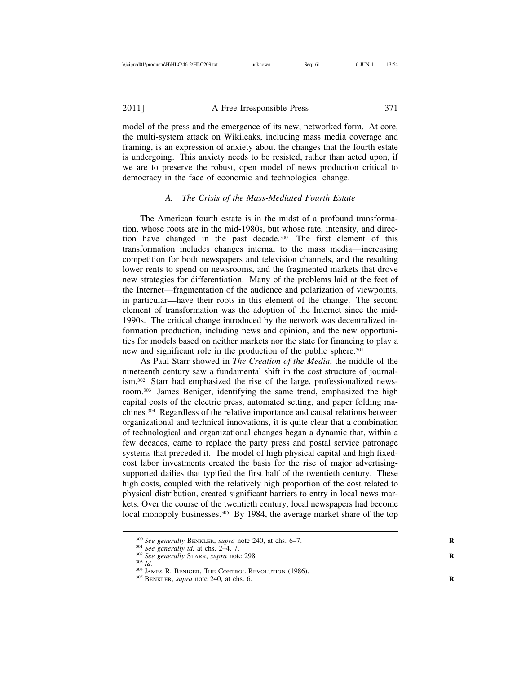model of the press and the emergence of its new, networked form. At core, the multi-system attack on Wikileaks, including mass media coverage and framing, is an expression of anxiety about the changes that the fourth estate is undergoing. This anxiety needs to be resisted, rather than acted upon, if we are to preserve the robust, open model of news production critical to democracy in the face of economic and technological change.

#### *A. The Crisis of the Mass-Mediated Fourth Estate*

The American fourth estate is in the midst of a profound transformation, whose roots are in the mid-1980s, but whose rate, intensity, and direction have changed in the past decade.300 The first element of this transformation includes changes internal to the mass media—increasing competition for both newspapers and television channels, and the resulting lower rents to spend on newsrooms, and the fragmented markets that drove new strategies for differentiation. Many of the problems laid at the feet of the Internet—fragmentation of the audience and polarization of viewpoints, in particular—have their roots in this element of the change. The second element of transformation was the adoption of the Internet since the mid-1990s. The critical change introduced by the network was decentralized information production, including news and opinion, and the new opportunities for models based on neither markets nor the state for financing to play a new and significant role in the production of the public sphere.<sup>301</sup>

As Paul Starr showed in *The Creation of the Media*, the middle of the nineteenth century saw a fundamental shift in the cost structure of journalism.302 Starr had emphasized the rise of the large, professionalized newsroom.303 James Beniger, identifying the same trend, emphasized the high capital costs of the electric press, automated setting, and paper folding machines*.* 304 Regardless of the relative importance and causal relations between organizational and technical innovations, it is quite clear that a combination of technological and organizational changes began a dynamic that, within a few decades, came to replace the party press and postal service patronage systems that preceded it. The model of high physical capital and high fixedcost labor investments created the basis for the rise of major advertisingsupported dailies that typified the first half of the twentieth century. These high costs, coupled with the relatively high proportion of the cost related to physical distribution, created significant barriers to entry in local news markets. Over the course of the twentieth century, local newspapers had become local monopoly businesses.<sup>305</sup> By 1984, the average market share of the top

<sup>&</sup>lt;sup>300</sup> See generally BENKLER, supra note 240, at chs. 6–7.<br><sup>301</sup> See generally id. at chs. 2–4, 7.<br><sup>302</sup> See generally STARR, supra note 298.<br><sup>303</sup> Id.<br><sup>304</sup> JAMES R. BENIGER, THE CONTROL REVOLUTION (1986).<br><sup>305</sup> BENKLER,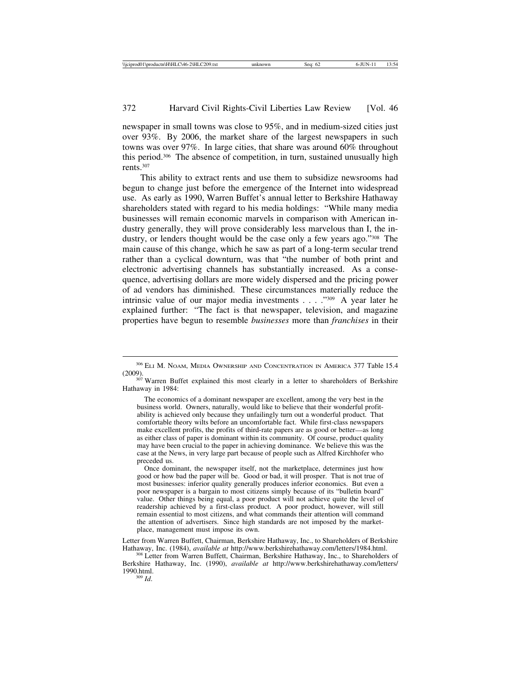newspaper in small towns was close to 95%, and in medium-sized cities just over 93%. By 2006, the market share of the largest newspapers in such towns was over 97%. In large cities, that share was around 60% throughout this period.306 The absence of competition, in turn, sustained unusually high rents.307

This ability to extract rents and use them to subsidize newsrooms had begun to change just before the emergence of the Internet into widespread use. As early as 1990, Warren Buffet's annual letter to Berkshire Hathaway shareholders stated with regard to his media holdings: "While many media businesses will remain economic marvels in comparison with American industry generally, they will prove considerably less marvelous than I, the industry, or lenders thought would be the case only a few years ago."308 The main cause of this change, which he saw as part of a long-term secular trend rather than a cyclical downturn, was that "the number of both print and electronic advertising channels has substantially increased. As a consequence, advertising dollars are more widely dispersed and the pricing power of ad vendors has diminished. These circumstances materially reduce the intrinsic value of our major media investments . . . ."309 A year later he explained further: "The fact is that newspaper, television, and magazine properties have begun to resemble *businesses* more than *franchises* in their

Once dominant, the newspaper itself, not the marketplace, determines just how good or how bad the paper will be. Good or bad, it will prosper. That is not true of most businesses: inferior quality generally produces inferior economics. But even a poor newspaper is a bargain to most citizens simply because of its "bulletin board" value. Other things being equal, a poor product will not achieve quite the level of readership achieved by a first-class product. A poor product, however, will still remain essential to most citizens, and what commands their attention will command the attention of advertisers. Since high standards are not imposed by the marketplace, management must impose its own.

Letter from Warren Buffett, Chairman, Berkshire Hathaway, Inc., to Shareholders of Berkshire<br>Hathaway, Inc. (1984), *available at http://www.berkshirehathaway.com/letters/1984.html.* 

<sup>306</sup> ELI M. NOAM, MEDIA OWNERSHIP AND CONCENTRATION IN AMERICA 377 Table 15.4

 $(2009)$ .<br><sup>307</sup> Warren Buffet explained this most clearly in a letter to shareholders of Berkshire Hathaway in 1984:

The economics of a dominant newspaper are excellent, among the very best in the business world. Owners, naturally, would like to believe that their wonderful profitability is achieved only because they unfailingly turn out a wonderful product. That comfortable theory wilts before an uncomfortable fact. While first-class newspapers make excellent profits, the profits of third-rate papers are as good or better—as long as either class of paper is dominant within its community. Of course, product quality may have been crucial to the paper in achieving dominance. We believe this was the case at the News, in very large part because of people such as Alfred Kirchhofer who preceded us.

<sup>&</sup>lt;sup>308</sup> Letter from Warren Buffett, Chairman, Berkshire Hathaway, Inc., to Shareholders of Berkshire Hathaway, Inc. (1990), *available at* http://www.berkshirehathaway.com/letters/ 1990.html. <sup>309</sup> *Id*.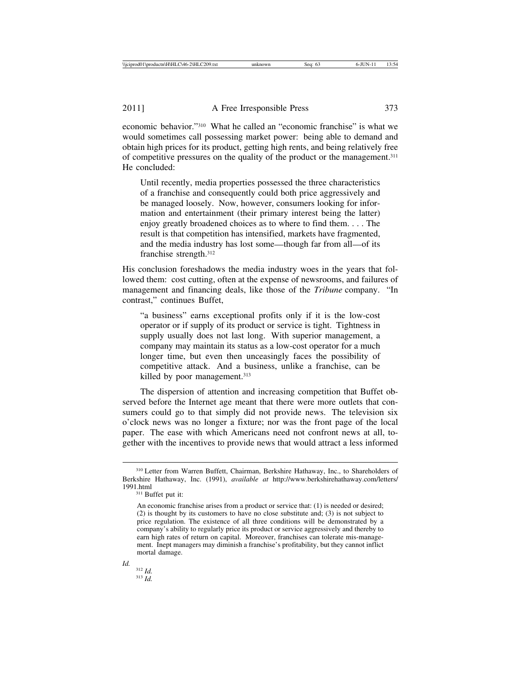economic behavior."310 What he called an "economic franchise" is what we would sometimes call possessing market power: being able to demand and obtain high prices for its product, getting high rents, and being relatively free of competitive pressures on the quality of the product or the management.311 He concluded:

Until recently, media properties possessed the three characteristics of a franchise and consequently could both price aggressively and be managed loosely. Now, however, consumers looking for information and entertainment (their primary interest being the latter) enjoy greatly broadened choices as to where to find them. . . . The result is that competition has intensified, markets have fragmented, and the media industry has lost some—though far from all—of its franchise strength.312

His conclusion foreshadows the media industry woes in the years that followed them: cost cutting, often at the expense of newsrooms, and failures of management and financing deals, like those of the *Tribune* company. "In contrast," continues Buffet,

"a business" earns exceptional profits only if it is the low-cost operator or if supply of its product or service is tight. Tightness in supply usually does not last long. With superior management, a company may maintain its status as a low-cost operator for a much longer time, but even then unceasingly faces the possibility of competitive attack. And a business, unlike a franchise, can be killed by poor management.<sup>313</sup>

The dispersion of attention and increasing competition that Buffet observed before the Internet age meant that there were more outlets that consumers could go to that simply did not provide news. The television six o'clock news was no longer a fixture; nor was the front page of the local paper. The ease with which Americans need not confront news at all, together with the incentives to provide news that would attract a less informed

*Id.* <sup>312</sup> *Id.* <sup>313</sup> *Id.*

<sup>310</sup> Letter from Warren Buffett, Chairman, Berkshire Hathaway, Inc., to Shareholders of Berkshire Hathaway, Inc. (1991), *available at* http://www.berkshirehathaway.com/letters/

<sup>&</sup>lt;sup>311</sup> Buffet put it:

An economic franchise arises from a product or service that: (1) is needed or desired; (2) is thought by its customers to have no close substitute and; (3) is not subject to price regulation. The existence of all three conditions will be demonstrated by a company's ability to regularly price its product or service aggressively and thereby to earn high rates of return on capital. Moreover, franchises can tolerate mis-management. Inept managers may diminish a franchise's profitability, but they cannot inflict mortal damage.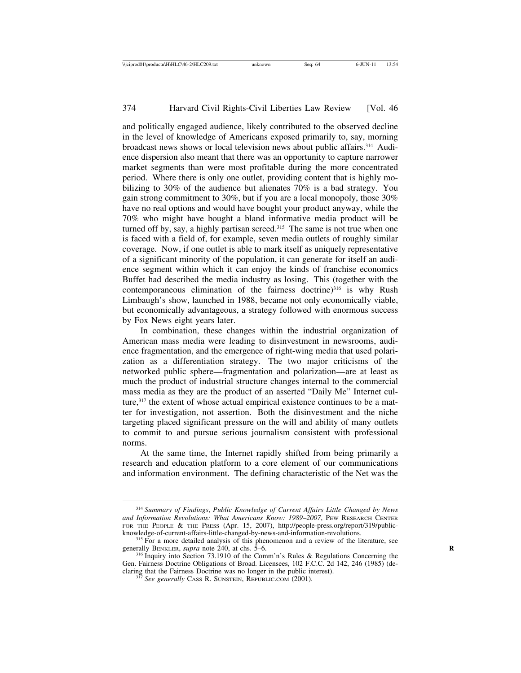and politically engaged audience, likely contributed to the observed decline in the level of knowledge of Americans exposed primarily to, say, morning broadcast news shows or local television news about public affairs.314 Audience dispersion also meant that there was an opportunity to capture narrower market segments than were most profitable during the more concentrated period. Where there is only one outlet, providing content that is highly mobilizing to 30% of the audience but alienates 70% is a bad strategy. You gain strong commitment to 30%, but if you are a local monopoly, those 30% have no real options and would have bought your product anyway, while the 70% who might have bought a bland informative media product will be turned off by, say, a highly partisan screed.<sup>315</sup> The same is not true when one is faced with a field of, for example, seven media outlets of roughly similar coverage. Now, if one outlet is able to mark itself as uniquely representative of a significant minority of the population, it can generate for itself an audience segment within which it can enjoy the kinds of franchise economics Buffet had described the media industry as losing. This (together with the contemporaneous elimination of the fairness doctrine)<sup>316</sup> is why Rush Limbaugh's show, launched in 1988, became not only economically viable, but economically advantageous, a strategy followed with enormous success by Fox News eight years later.

In combination, these changes within the industrial organization of American mass media were leading to disinvestment in newsrooms, audience fragmentation, and the emergence of right-wing media that used polarization as a differentiation strategy. The two major criticisms of the networked public sphere—fragmentation and polarization—are at least as much the product of industrial structure changes internal to the commercial mass media as they are the product of an asserted "Daily Me" Internet culture,317 the extent of whose actual empirical existence continues to be a matter for investigation, not assertion. Both the disinvestment and the niche targeting placed significant pressure on the will and ability of many outlets to commit to and pursue serious journalism consistent with professional norms.

At the same time, the Internet rapidly shifted from being primarily a research and education platform to a core element of our communications and information environment. The defining characteristic of the Net was the

<sup>314</sup> *Summary of Findings*, *Public Knowledge of Current Affairs Little Changed by News and Information Revolutions: What Americans Know: 1989*–*2007*, PEW RESEARCH CENTER FOR THE PEOPLE & THE PRESS (Apr. 15, 2007), http://people-press.org/report/319/public-knowledge-of-current-affairs-little-changed-by-news-and-information-revolutions.

knowledge-of-current-affairs-little-changed-by-news-and-information-revolutions.<br><sup>315</sup> For a more detailed analysis of this phenomenon and a review of the literature, see generally BENKLER, *supra* note 240, at chs. 5–6.<br><sup>316</sup> Inquiry into Section 73.1910 of the Comm'n's Rules & Regulations Concerning the

Gen. Fairness Doctrine Obligations of Broad. Licensees, 102 F.C.C. 2d 142, 246 (1985) (de-<br>claring that the Fairness Doctrine was no longer in the public interest).

<sup>&</sup>lt;sup>317</sup> See generally CASS R. SUNSTEIN, REPUBLIC.COM (2001).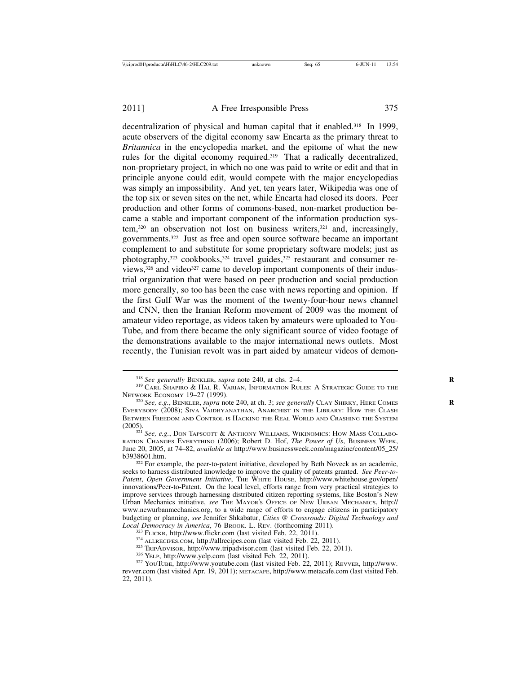decentralization of physical and human capital that it enabled.<sup>318</sup> In 1999, acute observers of the digital economy saw Encarta as the primary threat to *Britannica* in the encyclopedia market, and the epitome of what the new rules for the digital economy required.<sup>319</sup> That a radically decentralized, non-proprietary project, in which no one was paid to write or edit and that in principle anyone could edit, would compete with the major encyclopedias was simply an impossibility. And yet, ten years later, Wikipedia was one of the top six or seven sites on the net, while Encarta had closed its doors. Peer production and other forms of commons-based, non-market production became a stable and important component of the information production system,<sup>320</sup> an observation not lost on business writers,<sup>321</sup> and, increasingly, governments.322 Just as free and open source software became an important complement to and substitute for some proprietary software models; just as photography,<sup>323</sup> cookbooks,<sup>324</sup> travel guides,<sup>325</sup> restaurant and consumer reviews, $326$  and video $327$  came to develop important components of their industrial organization that were based on peer production and social production more generally, so too has been the case with news reporting and opinion. If the first Gulf War was the moment of the twenty-four-hour news channel and CNN, then the Iranian Reform movement of 2009 was the moment of amateur video reportage, as videos taken by amateurs were uploaded to You-Tube, and from there became the only significant source of video footage of the demonstrations available to the major international news outlets. Most recently, the Tunisian revolt was in part aided by amateur videos of demon-

<sup>&</sup>lt;sup>318</sup> *See generally* Benkler, *supra* note 240, at chs. 2–4.<br><sup>319</sup> Carl Shapiro & Hal R. Varian, Information Rules: A Strategic Guide to the NETWORK ECONOMY 19–27 (1999).<br><sup>320</sup> *See, e.g.*, BENKLER, *supra* note 240, at ch. 3; *see generally* CLAY SHIRKY, HERE COMES

EVERYBODY (2008); SIVA VAIDHYANATHAN, ANARCHIST IN THE LIBRARY: HOW THE CLASH BETWEEN FREEDOM AND CONTROL IS HACKING THE REAL WORLD AND CRASHING THE SYSTEM  $(2005).$ 

<sup>321</sup> *See, e.g.*, DON TAPSCOTT & ANTHONY WILLIAMS, WIKINOMICS: HOW MASS COLLABO-RATION CHANGES EVERYTHING (2006); Robert D. Hof, *The Power of Us*, BUSINESS WEEK, June 20, 2005, at 74–82, *available at* http://www.businessweek.com/magazine/content/05\_25/

<sup>&</sup>lt;sup>322</sup> For example, the peer-to-patent initiative, developed by Beth Noveck as an academic, seeks to harness distributed knowledge to improve the quality of patents granted. *See Peer-to-*Patent, Open Government Initiative, THE WHITE HOUSE, http://www.whitehouse.gov/open/ innovations/Peer-to-Patent. On the local level, efforts range from very practical strategies to improve services through harnessing distributed citizen reporting systems, like Boston's New Urban Mechanics initiative, *see* THE MAYOR'S OFFICE OF NEW URBAN MECHANICS, http:// www.newurbanmechanics.org, to a wide range of efforts to engage citizens in participatory budgeting or planning, *see* Jennifer Shkabatur, *Cities @ Crossroads: Digital Technology and*

<sup>&</sup>lt;sup>323</sup> FLICKR, http://www.flickr.com (last visited Feb. 22, 2011).<br><sup>324</sup> ALLRECIPES.COM, http://allrecipes.com (last visited Feb. 22, 2011).<br><sup>325</sup> TRIPADVISOR, http://www.tripadvisor.com (last visited Feb. 22, 2011).<br><sup>325</sup> revver.com (last visited Apr. 19, 2011); METACAFE, http://www.metacafe.com (last visited Feb. 22, 2011).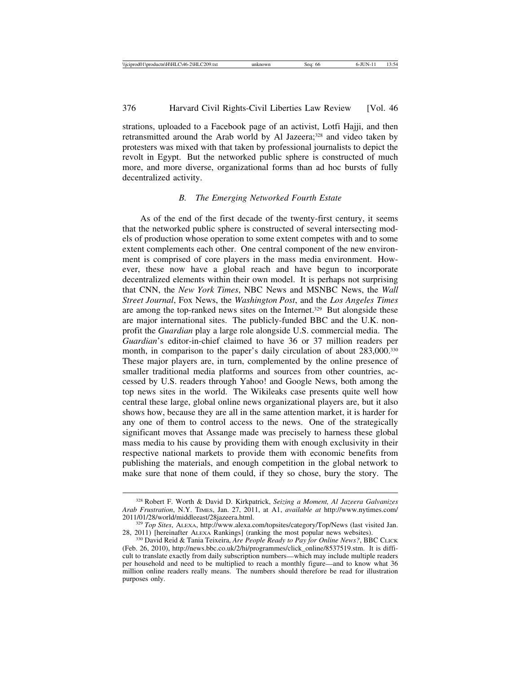strations, uploaded to a Facebook page of an activist, Lotfi Hajji, and then retransmitted around the Arab world by Al Jazeera;<sup>328</sup> and video taken by protesters was mixed with that taken by professional journalists to depict the revolt in Egypt. But the networked public sphere is constructed of much more, and more diverse, organizational forms than ad hoc bursts of fully decentralized activity.

### *B. The Emerging Networked Fourth Estate*

As of the end of the first decade of the twenty-first century, it seems that the networked public sphere is constructed of several intersecting models of production whose operation to some extent competes with and to some extent complements each other. One central component of the new environment is comprised of core players in the mass media environment. However, these now have a global reach and have begun to incorporate decentralized elements within their own model. It is perhaps not surprising that CNN, the *New York Times*, NBC News and MSNBC News, the *Wall Street Journal*, Fox News, the *Washington Post*, and the *Los Angeles Times* are among the top-ranked news sites on the Internet.329 But alongside these are major international sites. The publicly-funded BBC and the U.K. nonprofit the *Guardian* play a large role alongside U.S. commercial media. The *Guardian*'s editor-in-chief claimed to have 36 or 37 million readers per month, in comparison to the paper's daily circulation of about 283,000.<sup>330</sup> These major players are, in turn, complemented by the online presence of smaller traditional media platforms and sources from other countries, accessed by U.S. readers through Yahoo! and Google News, both among the top news sites in the world. The Wikileaks case presents quite well how central these large, global online news organizational players are, but it also shows how, because they are all in the same attention market, it is harder for any one of them to control access to the news. One of the strategically significant moves that Assange made was precisely to harness these global mass media to his cause by providing them with enough exclusivity in their respective national markets to provide them with economic benefits from publishing the materials, and enough competition in the global network to make sure that none of them could, if they so chose, bury the story. The

<sup>328</sup> Robert F. Worth & David D. Kirkpatrick, *Seizing a Moment, Al Jazeera Galvanizes Arab Frustration*, N.Y. TIMES, Jan. 27, 2011, at A1, *available at* http://www.nytimes.com/

<sup>&</sup>lt;sup>329</sup> *Top Sites*, ALEXA, http://www.alexa.com/topsites/category/Top/News (last visited Jan. 28, 2011) [hereinafter ALEXA Rankings] (ranking the most popular news websites).

<sup>&</sup>lt;sup>330</sup> David Reid & Tania Teixeira, *Are People Ready to Pay for Online News?*, BBC CLICK (Feb. 26, 2010), http://news.bbc.co.uk/2/hi/programmes/click\_online/8537519.stm. It is difficult to translate exactly from daily subscription numbers—which may include multiple readers per household and need to be multiplied to reach a monthly figure—and to know what 36 million online readers really means. The numbers should therefore be read for illustration purposes only.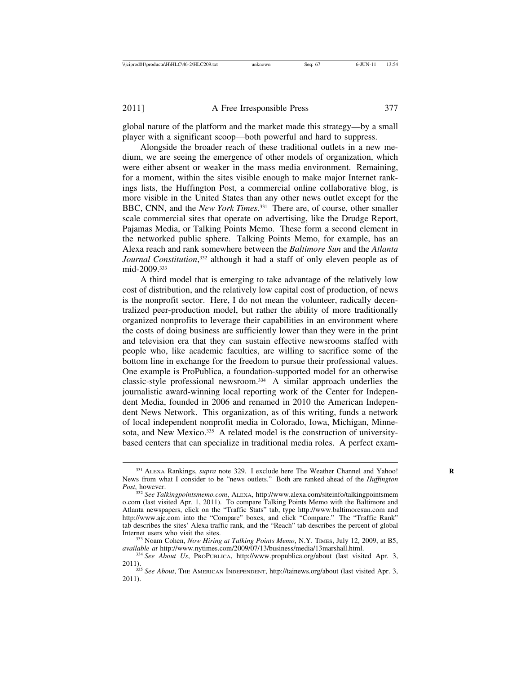global nature of the platform and the market made this strategy—by a small player with a significant scoop—both powerful and hard to suppress.

Alongside the broader reach of these traditional outlets in a new medium, we are seeing the emergence of other models of organization, which were either absent or weaker in the mass media environment. Remaining, for a moment, within the sites visible enough to make major Internet rankings lists, the Huffington Post, a commercial online collaborative blog, is more visible in the United States than any other news outlet except for the BBC, CNN, and the *New York Times*. 331 There are, of course, other smaller scale commercial sites that operate on advertising, like the Drudge Report, Pajamas Media, or Talking Points Memo. These form a second element in the networked public sphere. Talking Points Memo, for example, has an Alexa reach and rank somewhere between the *Baltimore Sun* and the *Atlanta Journal Constitution*, 332 although it had a staff of only eleven people as of mid-2009.<sup>333</sup>

A third model that is emerging to take advantage of the relatively low cost of distribution, and the relatively low capital cost of production, of news is the nonprofit sector. Here, I do not mean the volunteer, radically decentralized peer-production model, but rather the ability of more traditionally organized nonprofits to leverage their capabilities in an environment where the costs of doing business are sufficiently lower than they were in the print and television era that they can sustain effective newsrooms staffed with people who, like academic faculties, are willing to sacrifice some of the bottom line in exchange for the freedom to pursue their professional values. One example is ProPublica, a foundation-supported model for an otherwise classic-style professional newsroom.334 A similar approach underlies the journalistic award-winning local reporting work of the Center for Independent Media, founded in 2006 and renamed in 2010 the American Independent News Network. This organization, as of this writing, funds a network of local independent nonprofit media in Colorado, Iowa, Michigan, Minnesota, and New Mexico.<sup>335</sup> A related model is the construction of universitybased centers that can specialize in traditional media roles. A perfect exam-

<sup>&</sup>lt;sup>331</sup> ALEXA Rankings, *supra* note 329. I exclude here The Weather Channel and Yahoo! News from what I consider to be "news outlets." Both are ranked ahead of the *Huffington Post*, however.

<sup>332</sup> *See Talkingpointsmemo.com*, ALEXA, http://www.alexa.com/siteinfo/talkingpointsmem o.com (last visited Apr. 1, 2011). To compare Talking Points Memo with the Baltimore and Atlanta newspapers, click on the "Traffic Stats" tab, type http://www.baltimoresun.com and http://www.ajc.com into the "Compare" boxes, and click "Compare." The "Traffic Rank" tab describes the sites' Alexa traffic rank, and the "Reach" tab describes the percent of global

<sup>&</sup>lt;sup>333</sup> Noam Cohen, *Now Hiring at Talking Points Memo*, N.Y. TIMES, July 12, 2009, at B5, *available at http://www.nytimes.com/2009/07/13/business/media/13marshall.html.* 

<sup>&</sup>lt;sup>334</sup> See About Us, PROPUBLICA, http://www.propublica.org/about (last visited Apr. 3,

<sup>2011).</sup> <sup>335</sup> *See About*, THE AMERICAN INDEPENDENT, http://tainews.org/about (last visited Apr. 3, 2011).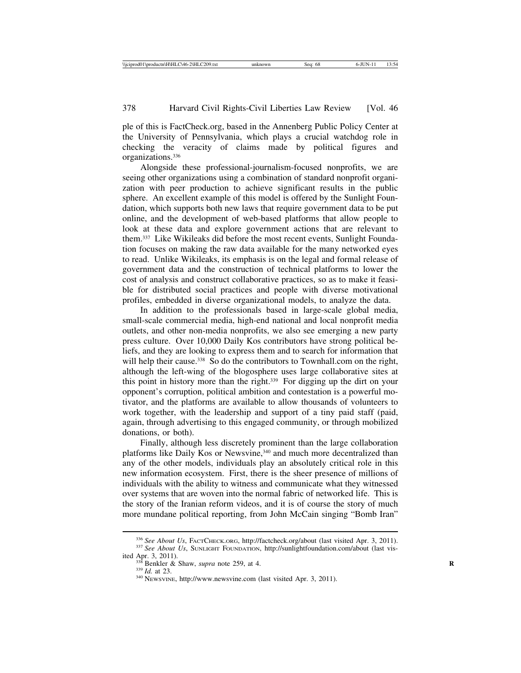ple of this is FactCheck.org, based in the Annenberg Public Policy Center at the University of Pennsylvania, which plays a crucial watchdog role in checking the veracity of claims made by political figures and organizations.336

Alongside these professional-journalism-focused nonprofits, we are seeing other organizations using a combination of standard nonprofit organization with peer production to achieve significant results in the public sphere. An excellent example of this model is offered by the Sunlight Foundation, which supports both new laws that require government data to be put online, and the development of web-based platforms that allow people to look at these data and explore government actions that are relevant to them.337 Like Wikileaks did before the most recent events, Sunlight Foundation focuses on making the raw data available for the many networked eyes to read. Unlike Wikileaks, its emphasis is on the legal and formal release of government data and the construction of technical platforms to lower the cost of analysis and construct collaborative practices, so as to make it feasible for distributed social practices and people with diverse motivational profiles, embedded in diverse organizational models, to analyze the data.

In addition to the professionals based in large-scale global media, small-scale commercial media, high-end national and local nonprofit media outlets, and other non-media nonprofits, we also see emerging a new party press culture. Over 10,000 Daily Kos contributors have strong political beliefs, and they are looking to express them and to search for information that will help their cause.<sup>338</sup> So do the contributors to Townhall.com on the right, although the left-wing of the blogosphere uses large collaborative sites at this point in history more than the right.339 For digging up the dirt on your opponent's corruption, political ambition and contestation is a powerful motivator, and the platforms are available to allow thousands of volunteers to work together, with the leadership and support of a tiny paid staff (paid, again, through advertising to this engaged community, or through mobilized donations, or both).

Finally, although less discretely prominent than the large collaboration platforms like Daily Kos or Newsvine,<sup>340</sup> and much more decentralized than any of the other models, individuals play an absolutely critical role in this new information ecosystem. First, there is the sheer presence of millions of individuals with the ability to witness and communicate what they witnessed over systems that are woven into the normal fabric of networked life. This is the story of the Iranian reform videos, and it is of course the story of much more mundane political reporting, from John McCain singing "Bomb Iran"

<sup>336</sup> *See About Us*, FACTCHECK.ORG, http://factcheck.org/about (last visited Apr. 3, 2011). <sup>337</sup> *See About Us*, SUNLIGHT FOUNDATION, http://sunlightfoundation.com/about (last vis-

ited Apr. 3, 2011).<br><sup>338</sup> Benkler & Shaw, *supra* note 259, at 4.<br><sup>339</sup> *Id.* at 23. <sup>340</sup> NEWSVINE, http://www.newsvine.com (last visited Apr. 3, 2011).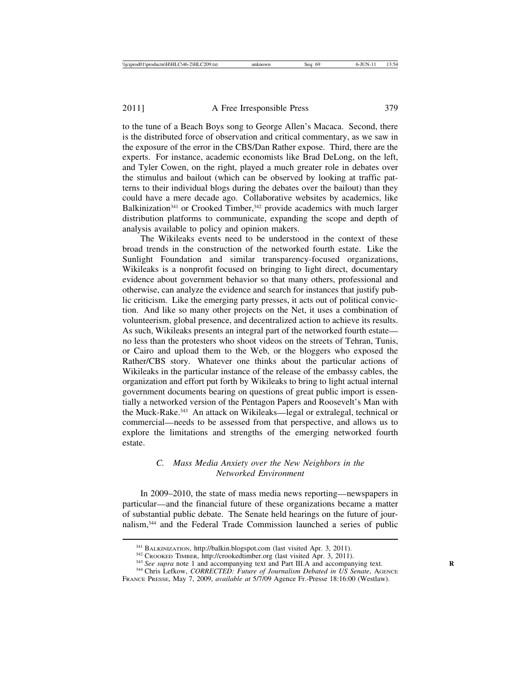to the tune of a Beach Boys song to George Allen's Macaca. Second, there is the distributed force of observation and critical commentary, as we saw in the exposure of the error in the CBS/Dan Rather expose. Third, there are the experts. For instance, academic economists like Brad DeLong, on the left, and Tyler Cowen, on the right, played a much greater role in debates over the stimulus and bailout (which can be observed by looking at traffic patterns to their individual blogs during the debates over the bailout) than they could have a mere decade ago. Collaborative websites by academics, like Balkinization<sup>341</sup> or Crooked Timber,<sup>342</sup> provide academics with much larger distribution platforms to communicate, expanding the scope and depth of analysis available to policy and opinion makers.

The Wikileaks events need to be understood in the context of these broad trends in the construction of the networked fourth estate. Like the Sunlight Foundation and similar transparency-focused organizations, Wikileaks is a nonprofit focused on bringing to light direct, documentary evidence about government behavior so that many others, professional and otherwise, can analyze the evidence and search for instances that justify public criticism. Like the emerging party presses, it acts out of political conviction. And like so many other projects on the Net, it uses a combination of volunteerism, global presence, and decentralized action to achieve its results. As such, Wikileaks presents an integral part of the networked fourth estate no less than the protesters who shoot videos on the streets of Tehran, Tunis, or Cairo and upload them to the Web, or the bloggers who exposed the Rather/CBS story. Whatever one thinks about the particular actions of Wikileaks in the particular instance of the release of the embassy cables, the organization and effort put forth by Wikileaks to bring to light actual internal government documents bearing on questions of great public import is essentially a networked version of the Pentagon Papers and Roosevelt's Man with the Muck-Rake.343 An attack on Wikileaks—legal or extralegal, technical or commercial—needs to be assessed from that perspective, and allows us to explore the limitations and strengths of the emerging networked fourth estate.

## *C. Mass Media Anxiety over the New Neighbors in the Networked Environment*

In 2009–2010, the state of mass media news reporting—newspapers in particular—and the financial future of these organizations became a matter of substantial public debate. The Senate held hearings on the future of journalism,344 and the Federal Trade Commission launched a series of public

<sup>&</sup>lt;sup>341</sup> BALKINIZATION, http://balkin.blogspot.com (last visited Apr. 3, 2011).<br><sup>342</sup> CROOKED TIMBER, http://crookedtimber.org (last visited Apr. 3, 2011).<br><sup>343</sup> See supra note 1 and accompanying text and Part III.A and accom

FRANCE PRESSE, May 7, 2009, *available at* 5/7/09 Agence Fr.-Presse 18:16:00 (Westlaw).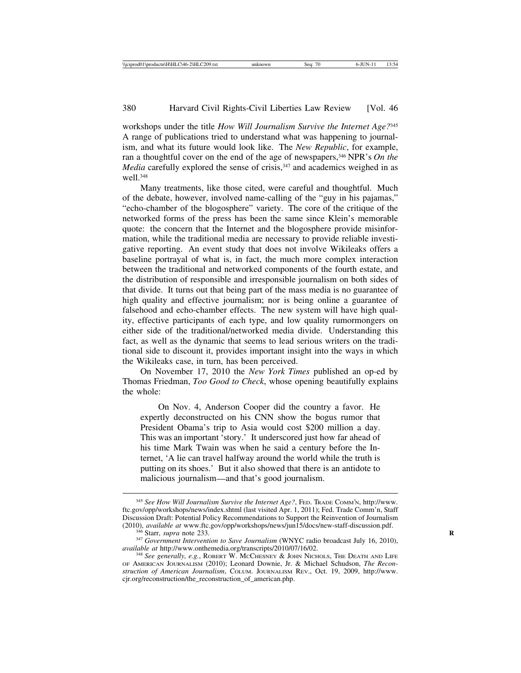workshops under the title *How Will Journalism Survive the Internet Age?*<sup>345</sup> A range of publications tried to understand what was happening to journalism, and what its future would look like. The *New Republic*, for example, ran a thoughtful cover on the end of the age of newspapers,346 NPR's *On the Media* carefully explored the sense of crisis,<sup>347</sup> and academics weighed in as well.348

Many treatments, like those cited, were careful and thoughtful. Much of the debate, however, involved name-calling of the "guy in his pajamas," "echo-chamber of the blogosphere" variety. The core of the critique of the networked forms of the press has been the same since Klein's memorable quote: the concern that the Internet and the blogosphere provide misinformation, while the traditional media are necessary to provide reliable investigative reporting. An event study that does not involve Wikileaks offers a baseline portrayal of what is, in fact, the much more complex interaction between the traditional and networked components of the fourth estate, and the distribution of responsible and irresponsible journalism on both sides of that divide. It turns out that being part of the mass media is no guarantee of high quality and effective journalism; nor is being online a guarantee of falsehood and echo-chamber effects. The new system will have high quality, effective participants of each type, and low quality rumormongers on either side of the traditional/networked media divide. Understanding this fact, as well as the dynamic that seems to lead serious writers on the traditional side to discount it, provides important insight into the ways in which the Wikileaks case, in turn, has been perceived.

On November 17, 2010 the *New York Times* published an op-ed by Thomas Friedman, *Too Good to Check*, whose opening beautifully explains the whole:

On Nov. 4, Anderson Cooper did the country a favor. He expertly deconstructed on his CNN show the bogus rumor that President Obama's trip to Asia would cost \$200 million a day. This was an important 'story.' It underscored just how far ahead of his time Mark Twain was when he said a century before the Internet, 'A lie can travel halfway around the world while the truth is putting on its shoes.' But it also showed that there is an antidote to malicious journalism—and that's good journalism.

<sup>345</sup> *See How Will Journalism Survive the Internet Age?*, FED. TRADE COMM'N, http://www. ftc.gov/opp/workshops/news/index.shtml (last visited Apr. 1, 2011); Fed. Trade Comm'n, Staff Discussion Draft: Potential Policy Recommendations to Support the Reinvention of Journalism (2010), *available at* www.ftc.gov/opp/workshops/news/jun15/docs/new-staff-discussion.pdf.

<sup>&</sup>lt;sup>346</sup> Starr, *supra* note 233.<br><sup>347</sup> Government Intervention to Save Journalism (WNYC radio broadcast July 16, 2010), *available at http://www.onthemedia.org/transcripts/2010/07/16/02.* 

<sup>&</sup>lt;sup>348</sup> See generally, e.g., ROBERT W. MCCHESNEY & JOHN NICHOLS, THE DEATH AND LIFE OF AMERICAN JOURNALISM (2010); Leonard Downie, Jr. & Michael Schudson, *The Reconstruction of American Journalism*, COLUM. JOURNALISM REV., Oct. 19, 2009, http://www. cjr.org/reconstruction/the\_reconstruction\_of\_american.php.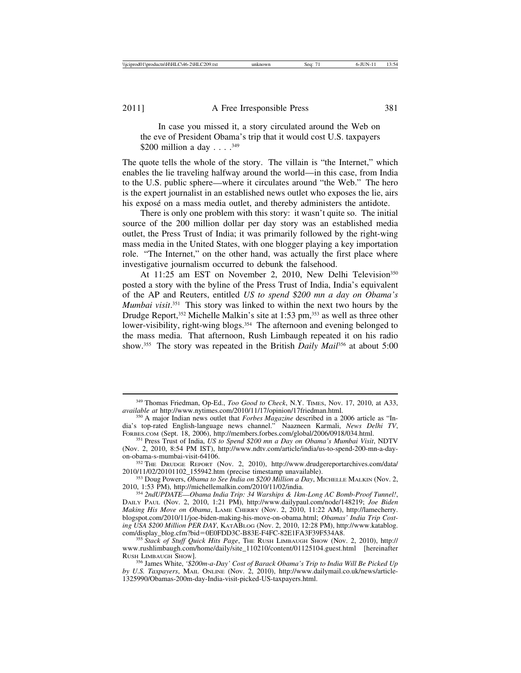In case you missed it, a story circulated around the Web on the eve of President Obama's trip that it would cost U.S. taxpayers \$200 million a day  $\ldots$ .<sup>349</sup>

The quote tells the whole of the story. The villain is "the Internet," which enables the lie traveling halfway around the world—in this case, from India to the U.S. public sphere—where it circulates around "the Web." The hero is the expert journalist in an established news outlet who exposes the lie, airs his exposé on a mass media outlet, and thereby administers the antidote.

There is only one problem with this story: it wasn't quite so. The initial source of the 200 million dollar per day story was an established media outlet, the Press Trust of India; it was primarily followed by the right-wing mass media in the United States, with one blogger playing a key importation role. "The Internet," on the other hand, was actually the first place where investigative journalism occurred to debunk the falsehood.

At 11:25 am EST on November 2, 2010, New Delhi Television<sup>350</sup> posted a story with the byline of the Press Trust of India, India's equivalent of the AP and Reuters, entitled *US to spend \$200 mn a day on Obama's Mumbai visit*. 351 This story was linked to within the next two hours by the Drudge Report,<sup>352</sup> Michelle Malkin's site at 1:53 pm,<sup>353</sup> as well as three other lower-visibility, right-wing blogs.<sup>354</sup> The afternoon and evening belonged to the mass media. That afternoon, Rush Limbaugh repeated it on his radio show.355 The story was repeated in the British *Daily Mail*356 at about 5:00

<sup>353</sup> Doug Powers, *Obama to See India on \$200 Million a Day*, MICHELLE MALKIN (Nov. 2, 2010, 1:53 PM), http://michellemalkin.com/2010/11/02/india.

<sup>&</sup>lt;sup>349</sup> Thomas Friedman, Op-Ed., *Too Good to Check*, N.Y. TIMES, Nov. 17, 2010, at A33, *available at* http://www.nytimes.com/2010/11/17/opinion/17friedman.html.

<sup>&</sup>lt;sup>350</sup> A major Indian news outlet that *Forbes Magazine* described in a 2006 article as "India's top-rated English-language news channel." Naazneen Karmali, *News Delhi TV*,

<sup>&</sup>lt;sup>351</sup> Press Trust of India, *US to Spend \$200 mn a Day on Obama's Mumbai Visit*, NDTV (Nov. 2, 2010, 8:54 PM IST), http://www.ndtv.com/article/india/us-to-spend-200-mn-a-day-

on-obama-s-mumbai-visit-64106.<br><sup>352</sup> THE DRUDGE REPORT (Nov. 2, 2010), http://www.drudgereportarchives.com/data/<br>2010/11/02/20101102\_155942.htm (precise timestamp unavailable).

<sup>&</sup>lt;sup>354</sup> 2ndUPDATE—Obama India Trip: 34 Warships & 1km-Long AC Bomb-Proof Tunnel!, DAILY PAUL (Nov. 2, 2010, 1:21 PM), http://www.dailypaul.com/node/148219; *Joe Biden Making His Move on Obama*, LAME CHERRY (Nov. 2, 2010, 11:22 AM), http://lamecherry. blogspot.com/2010/11/joe-biden-making-his-move-on-obama.html; *Obamas' India Trip Costing USA \$200 Million PER DAY*, KATABLOG (Nov. 2, 2010, 12:28 PM), http://www.katablog.

<sup>&</sup>lt;sup>355</sup> Stack of Stuff Quick Hits Page, THE RUSH LIMBAUGH SHOW (Nov. 2, 2010), http:// www.rushlimbaugh.com/home/daily/site\_110210/content/01125104.guest.html [hereinafter

<sup>&</sup>lt;sup>356</sup> James White, '\$200m-a-Day' Cost of Barack Obama's Trip to India Will Be Picked Up *by U.S. Taxpayers*, MAIL ONLINE (Nov. 2, 2010), http://www.dailymail.co.uk/news/article-1325990/Obamas-200m-day-India-visit-picked-US-taxpayers.html.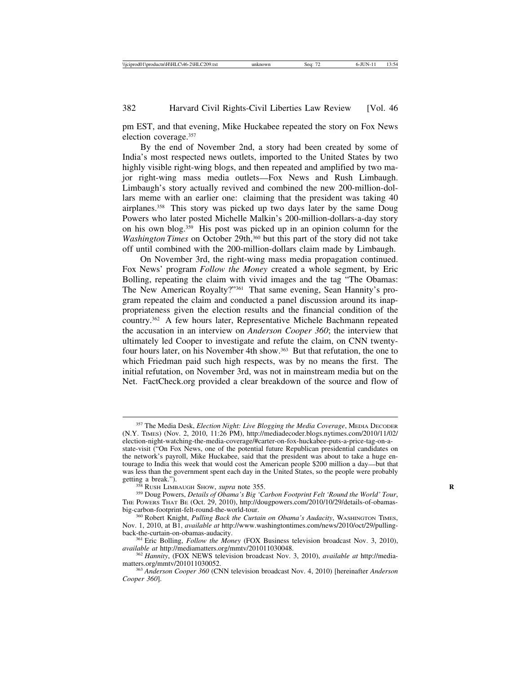pm EST, and that evening, Mike Huckabee repeated the story on Fox News election coverage.357

By the end of November 2nd, a story had been created by some of India's most respected news outlets, imported to the United States by two highly visible right-wing blogs, and then repeated and amplified by two major right-wing mass media outlets—Fox News and Rush Limbaugh. Limbaugh's story actually revived and combined the new 200-million-dollars meme with an earlier one: claiming that the president was taking 40 airplanes.358 This story was picked up two days later by the same Doug Powers who later posted Michelle Malkin's 200-million-dollars-a-day story on his own blog.359 His post was picked up in an opinion column for the *Washington Times* on October 29th,<sup>360</sup> but this part of the story did not take off until combined with the 200-million-dollars claim made by Limbaugh.

On November 3rd, the right-wing mass media propagation continued. Fox News' program *Follow the Money* created a whole segment, by Eric Bolling, repeating the claim with vivid images and the tag "The Obamas: The New American Royalty?"361 That same evening, Sean Hannity's program repeated the claim and conducted a panel discussion around its inappropriateness given the election results and the financial condition of the country.362 A few hours later, Representative Michele Bachmann repeated the accusation in an interview on *Anderson Cooper 360*; the interview that ultimately led Cooper to investigate and refute the claim, on CNN twentyfour hours later, on his November 4th show.363 But that refutation, the one to which Friedman paid such high respects, was by no means the first. The initial refutation, on November 3rd, was not in mainstream media but on the Net. FactCheck.org provided a clear breakdown of the source and flow of

<sup>357</sup> The Media Desk, *Election Night: Live Blogging the Media Coverage*, MEDIA DECODER (N.Y. TIMES) (Nov. 2, 2010, 11:26 PM), http://mediadecoder.blogs.nytimes.com/2010/11/02/ election-night-watching-the-media-coverage/#carter-on-fox-huckabee-puts-a-price-tag-on-astate-visit ("On Fox News, one of the potential future Republican presidential candidates on the network's payroll, Mike Huckabee, said that the president was about to take a huge entourage to India this week that would cost the American people \$200 million a day—but that was less than the government spent each day in the United States, so the people were probably getting a break.").

<sup>&</sup>lt;sup>358</sup> Rush LIMBAUGH Show, *supra* note 355.<br><sup>359</sup> Doug Powers, *Details of Obama's Big 'Carbon Footprint Felt 'Round the World' Tour,* THE POWERS THAT BE (Oct. 29, 2010), http://dougpowers.com/2010/10/29/details-of-obamas-<br>big-carbon-footprint-felt-round-the-world-tour.

<sup>&</sup>lt;sup>360</sup> Robert Knight, Pulling Back the Curtain on Obama's Audacity, WASHINGTON TIMES, Nov. 1, 2010, at B1, *available at* http://www.washingtontimes.com/news/2010/oct/29/pulling-

<sup>&</sup>lt;sup>361</sup> Eric Bolling, *Follow the Money* (FOX Business television broadcast Nov. 3, 2010),

*available at* http://mediamatters.org/mmtv/201011030048. <sup>362</sup> *Hannity*, (FOX NEWS television broadcast Nov. 3, 2010), *available at* http://media-

<sup>&</sup>lt;sup>363</sup> Anderson Cooper 360 (CNN television broadcast Nov. 4, 2010) [hereinafter *Anderson Cooper 360*].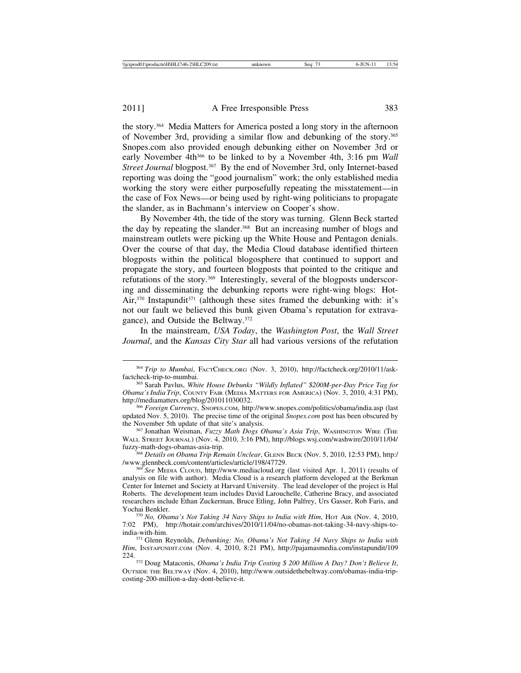the story.364 Media Matters for America posted a long story in the afternoon of November 3rd, providing a similar flow and debunking of the story.365 Snopes.com also provided enough debunking either on November 3rd or early November 4th<sup>366</sup> to be linked to by a November 4th, 3:16 pm *Wall Street Journal* blogpost.367 By the end of November 3rd, only Internet-based reporting was doing the "good journalism" work; the only established media working the story were either purposefully repeating the misstatement—in the case of Fox News—or being used by right-wing politicians to propagate the slander, as in Bachmann's interview on Cooper's show.

By November 4th, the tide of the story was turning. Glenn Beck started the day by repeating the slander.<sup>368</sup> But an increasing number of blogs and mainstream outlets were picking up the White House and Pentagon denials. Over the course of that day, the Media Cloud database identified thirteen blogposts within the political blogosphere that continued to support and propagate the story, and fourteen blogposts that pointed to the critique and refutations of the story.369 Interestingly, several of the blogposts underscoring and disseminating the debunking reports were right-wing blogs: Hot-Air, $370$  Instapundit $371$  (although these sites framed the debunking with: it's not our fault we believed this bunk given Obama's reputation for extravagance), and Outside the Beltway.372

In the mainstream, *USA Today*, the *Washington Post*, the *Wall Street Journal*, and the *Kansas City Star* all had various versions of the refutation

fuzzy-math-dogs-obamas-asia-trip. <sup>368</sup> *Details on Obama Trip Remain Unclear*, GLENN BECK (Nov. 5, 2010, 12:53 PM), http:/

<sup>&</sup>lt;sup>364</sup> *Trip to Mumbai*, FACTCHECK.ORG (Nov. 3, 2010), http://factcheck.org/2010/11/ask-factcheck-trip-to-mumbai.

<sup>&</sup>lt;sup>365</sup> Sarah Pavlus, *White House Debunks "Wildly Inflated" \$200M-per-Day Price Tag for Obama's India Trip*, COUNTY FAIR (MEDIA MATTERS FOR AMERICA) (Nov. 3, 2010, 4:31 PM), http://mediamatters.org/blog/201011030032.

<sup>&</sup>lt;sup>366</sup> Foreign Currency, SNOPES.COM, http://www.snopes.com/politics/obama/india.asp (last updated Nov. 5, 2010). The precise time of the original *Snopes.com* post has been obscured by the November 5th update of that site's analysis.

<sup>&</sup>lt;sup>367</sup> Jonathan Weisman, *Fuzzy Math Dogs Obama's Asia Trip*, WASHINGTON WIRE (THE WALL STREET JOURNAL) (Nov. 4, 2010, 3:16 PM), http://blogs.wsj.com/washwire/2010/11/04/

<sup>&</sup>lt;sup>369</sup> See MEDIA CLOUD, http://www.mediacloud.org (last visited Apr. 1, 2011) (results of analysis on file with author). Media Cloud is a research platform developed at the Berkman Center for Internet and Society at Harvard University. The lead developer of the project is Hal Roberts. The development team includes David Larouchelle, Catherine Bracy, and associated researchers include Ethan Zuckerman, Bruce Etling, John Palfrey, Urs Gasser, Rob Faris, and Yochai Benkler.<br><sup>370</sup> *No, Obama's Not Taking 34 Navy Ships to India with Him*, Hor AIR (Nov. 4, 2010,

<sup>7:02</sup> PM), http://hotair.com/archives/2010/11/04/no-obamas-not-taking-34-navy-ships-to-

<sup>&</sup>lt;sup>371</sup> Glenn Reynolds, *Debunking: No, Obama's Not Taking 34 Navy Ships to India with Him*, INSTAPUNDIT.COM (Nov. 4, 2010, 8:21 PM), http://pajamasmedia.com/instapundit/109

<sup>224.</sup> <sup>372</sup> Doug Mataconis, *Obama's India Trip Costing \$ 200 Million A Day? Don't Believe It*, OUTSIDE THE BELTWAY (Nov. 4, 2010), http://www.outsidethebeltway.com/obamas-india-tripcosting-200-million-a-day-dont-believe-it.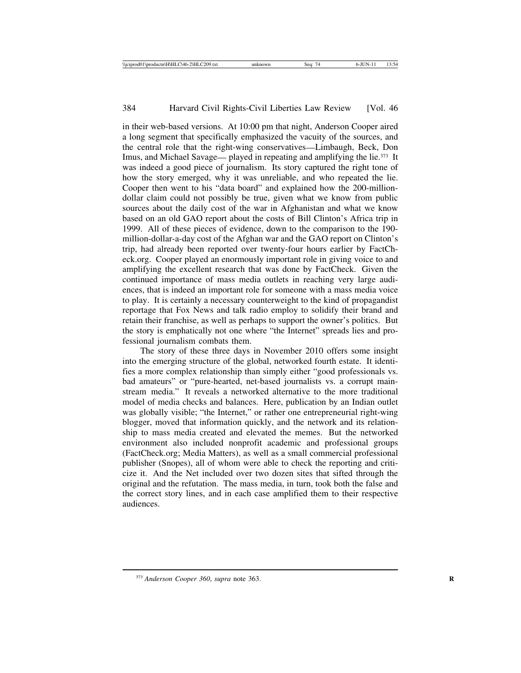in their web-based versions. At 10:00 pm that night, Anderson Cooper aired a long segment that specifically emphasized the vacuity of the sources, and the central role that the right-wing conservatives—Limbaugh, Beck, Don Imus, and Michael Savage— played in repeating and amplifying the lie.<sup>373</sup> It was indeed a good piece of journalism. Its story captured the right tone of how the story emerged, why it was unreliable, and who repeated the lie. Cooper then went to his "data board" and explained how the 200-milliondollar claim could not possibly be true, given what we know from public sources about the daily cost of the war in Afghanistan and what we know based on an old GAO report about the costs of Bill Clinton's Africa trip in 1999. All of these pieces of evidence, down to the comparison to the 190 million-dollar-a-day cost of the Afghan war and the GAO report on Clinton's trip, had already been reported over twenty-four hours earlier by FactCheck.org. Cooper played an enormously important role in giving voice to and amplifying the excellent research that was done by FactCheck. Given the continued importance of mass media outlets in reaching very large audiences, that is indeed an important role for someone with a mass media voice to play. It is certainly a necessary counterweight to the kind of propagandist reportage that Fox News and talk radio employ to solidify their brand and retain their franchise, as well as perhaps to support the owner's politics. But the story is emphatically not one where "the Internet" spreads lies and professional journalism combats them.

The story of these three days in November 2010 offers some insight into the emerging structure of the global, networked fourth estate. It identifies a more complex relationship than simply either "good professionals vs. bad amateurs" or "pure-hearted, net-based journalists vs. a corrupt mainstream media." It reveals a networked alternative to the more traditional model of media checks and balances. Here, publication by an Indian outlet was globally visible; "the Internet," or rather one entrepreneurial right-wing blogger, moved that information quickly, and the network and its relationship to mass media created and elevated the memes. But the networked environment also included nonprofit academic and professional groups (FactCheck.org; Media Matters), as well as a small commercial professional publisher (Snopes), all of whom were able to check the reporting and criticize it. And the Net included over two dozen sites that sifted through the original and the refutation. The mass media, in turn, took both the false and the correct story lines, and in each case amplified them to their respective audiences.

<sup>373</sup> *Anderson Cooper 360*, *supra* note 363. **R**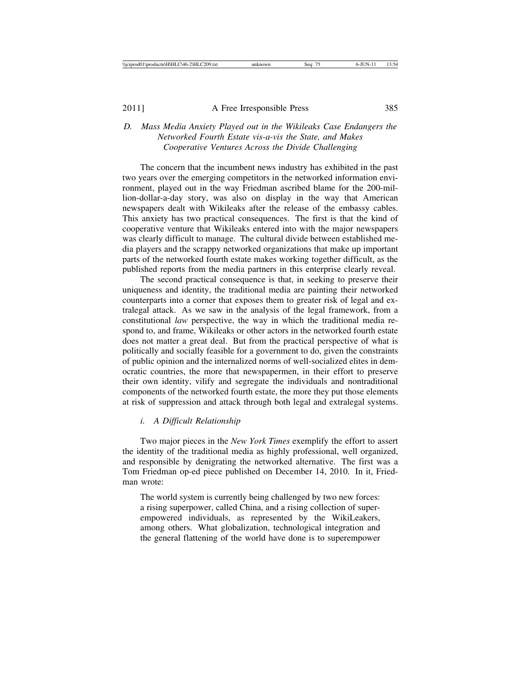# *D. Mass Media Anxiety Played out in the Wikileaks Case Endangers the Networked Fourth Estate vis-a-vis the State, and Makes Cooperative Ventures Across the Divide Challenging*

The concern that the incumbent news industry has exhibited in the past two years over the emerging competitors in the networked information environment, played out in the way Friedman ascribed blame for the 200-million-dollar-a-day story, was also on display in the way that American newspapers dealt with Wikileaks after the release of the embassy cables. This anxiety has two practical consequences. The first is that the kind of cooperative venture that Wikileaks entered into with the major newspapers was clearly difficult to manage. The cultural divide between established media players and the scrappy networked organizations that make up important parts of the networked fourth estate makes working together difficult, as the published reports from the media partners in this enterprise clearly reveal.

The second practical consequence is that, in seeking to preserve their uniqueness and identity, the traditional media are painting their networked counterparts into a corner that exposes them to greater risk of legal and extralegal attack. As we saw in the analysis of the legal framework, from a constitutional *law* perspective, the way in which the traditional media respond to, and frame, Wikileaks or other actors in the networked fourth estate does not matter a great deal. But from the practical perspective of what is politically and socially feasible for a government to do, given the constraints of public opinion and the internalized norms of well-socialized elites in democratic countries, the more that newspapermen, in their effort to preserve their own identity, vilify and segregate the individuals and nontraditional components of the networked fourth estate, the more they put those elements at risk of suppression and attack through both legal and extralegal systems.

## *i. A Difficult Relationship*

Two major pieces in the *New York Times* exemplify the effort to assert the identity of the traditional media as highly professional, well organized, and responsible by denigrating the networked alternative. The first was a Tom Friedman op-ed piece published on December 14, 2010. In it, Friedman wrote:

The world system is currently being challenged by two new forces: a rising superpower, called China, and a rising collection of superempowered individuals, as represented by the WikiLeakers, among others. What globalization, technological integration and the general flattening of the world have done is to superempower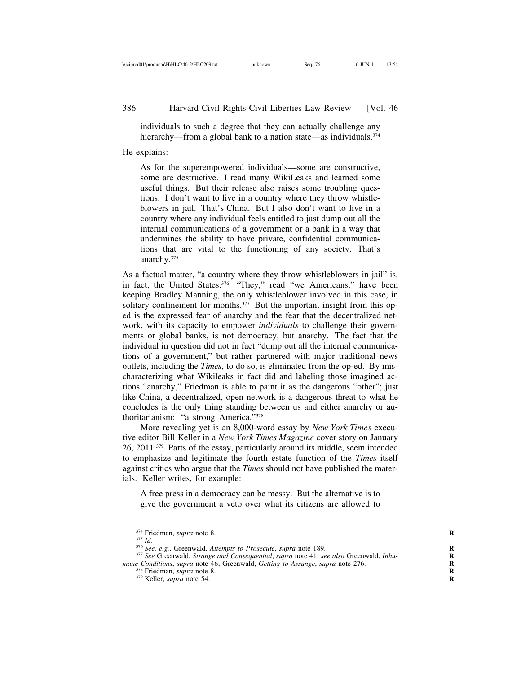individuals to such a degree that they can actually challenge any hierarchy—from a global bank to a nation state—as individuals.<sup>374</sup>

He explains:

As for the superempowered individuals—some are constructive, some are destructive. I read many WikiLeaks and learned some useful things. But their release also raises some troubling questions. I don't want to live in a country where they throw whistleblowers in jail. That's China. But I also don't want to live in a country where any individual feels entitled to just dump out all the internal communications of a government or a bank in a way that undermines the ability to have private, confidential communications that are vital to the functioning of any society. That's anarchy.375

As a factual matter, "a country where they throw whistleblowers in jail" is, in fact, the United States.<sup>376</sup> "They," read "we Americans," have been keeping Bradley Manning, the only whistleblower involved in this case, in solitary confinement for months.<sup>377</sup> But the important insight from this oped is the expressed fear of anarchy and the fear that the decentralized network, with its capacity to empower *individuals* to challenge their governments or global banks, is not democracy, but anarchy. The fact that the individual in question did not in fact "dump out all the internal communications of a government," but rather partnered with major traditional news outlets, including the *Times*, to do so, is eliminated from the op-ed. By mischaracterizing what Wikileaks in fact did and labeling those imagined actions "anarchy," Friedman is able to paint it as the dangerous "other"; just like China, a decentralized, open network is a dangerous threat to what he concludes is the only thing standing between us and either anarchy or authoritarianism: "a strong America."378

More revealing yet is an 8,000-word essay by *New York Times* executive editor Bill Keller in a *New York Times Magazine* cover story on January 26, 2011.379 Parts of the essay, particularly around its middle, seem intended to emphasize and legitimate the fourth estate function of the *Times* itself against critics who argue that the *Times* should not have published the materials. Keller writes, for example:

A free press in a democracy can be messy. But the alternative is to give the government a veto over what its citizens are allowed to

<sup>&</sup>lt;sup>374</sup> Friedman, *supra* note 8.<br><sup>375</sup> Id.<br><sup>376</sup> See, e.g., Greenwald, Attempts to Prosecute, supra note 189.<br><sup>376</sup> See, e.g., Greenwald, Strange and Consequential, supra note 41; see also Greenwald, Inhu*mane Conditions*, *supra* note 46; Greenwald, *Getting to Assange*, *supra* note 276. <sup>378</sup> Friedman, *supra* note 8. **R** 379 Keller, *supra* note 54.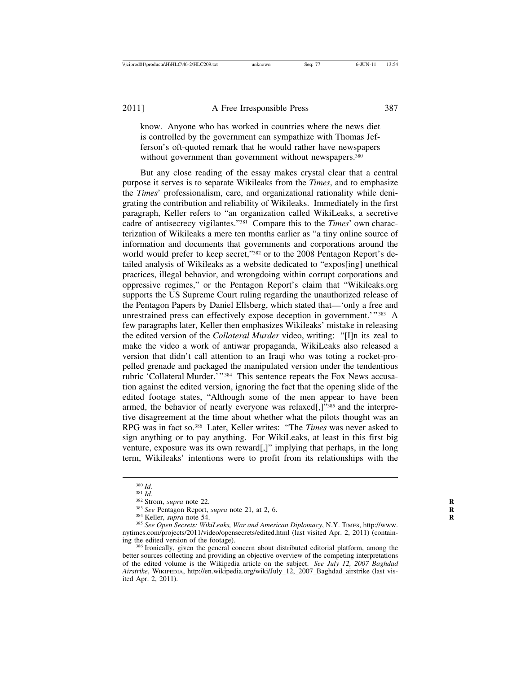know. Anyone who has worked in countries where the news diet is controlled by the government can sympathize with Thomas Jefferson's oft-quoted remark that he would rather have newspapers without government than government without newspapers.<sup>380</sup>

But any close reading of the essay makes crystal clear that a central purpose it serves is to separate Wikileaks from the *Times*, and to emphasize the *Times*' professionalism, care, and organizational rationality while denigrating the contribution and reliability of Wikileaks. Immediately in the first paragraph, Keller refers to "an organization called WikiLeaks, a secretive cadre of antisecrecy vigilantes."381 Compare this to the *Times*' own characterization of Wikileaks a mere ten months earlier as "a tiny online source of information and documents that governments and corporations around the world would prefer to keep secret,"382 or to the 2008 Pentagon Report's detailed analysis of Wikileaks as a website dedicated to "expos[ing] unethical practices, illegal behavior, and wrongdoing within corrupt corporations and oppressive regimes," or the Pentagon Report's claim that "Wikileaks.org supports the US Supreme Court ruling regarding the unauthorized release of the Pentagon Papers by Daniel Ellsberg, which stated that—'only a free and unrestrained press can effectively expose deception in government.'" 383 A few paragraphs later, Keller then emphasizes Wikileaks' mistake in releasing the edited version of the *Collateral Murder* video, writing: "[I]n its zeal to make the video a work of antiwar propaganda, WikiLeaks also released a version that didn't call attention to an Iraqi who was toting a rocket-propelled grenade and packaged the manipulated version under the tendentious rubric 'Collateral Murder.'" 384 This sentence repeats the Fox News accusation against the edited version, ignoring the fact that the opening slide of the edited footage states, "Although some of the men appear to have been armed, the behavior of nearly everyone was relaxed[,]"<sup>385</sup> and the interpretive disagreement at the time about whether what the pilots thought was an RPG was in fact so.386 Later, Keller writes: "The *Times* was never asked to sign anything or to pay anything. For WikiLeaks, at least in this first big venture, exposure was its own reward[,]" implying that perhaps, in the long term, Wikileaks' intentions were to profit from its relationships with the

<sup>&</sup>lt;sup>380</sup> *Id.*<br><sup>381</sup> *Id.*<br><sup>382</sup> Strom, *supra* note 22.<br><sup>383</sup> See Pentagon Report, *supra* note 21, at 2, 6.<br><sup>384</sup> Keller, *supra* note 54.<br><sup>385</sup> See Open Secrets: WikiLeaks, War and American Diplomacy, N.Y. TIMES, http://w nytimes.com/projects/2011/video/opensecrets/edited.html (last visited Apr. 2, 2011) (contain-<br>ing the edited version of the footage).

<sup>&</sup>lt;sup>386</sup> Ironically, given the general concern about distributed editorial platform, among the better sources collecting and providing an objective overview of the competing interpretations of the edited volume is the Wikipedia article on the subject. *See July 12, 2007 Baghdad Airstrike*, WIKIPEDIA, http://en.wikipedia.org/wiki/July\_12,\_2007\_Baghdad\_airstrike (last visited Apr. 2, 2011).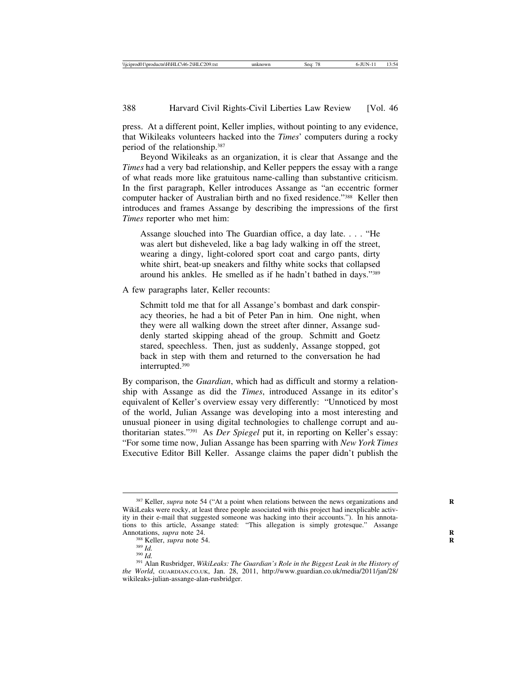press. At a different point, Keller implies, without pointing to any evidence, that Wikileaks volunteers hacked into the *Times*' computers during a rocky period of the relationship.387

Beyond Wikileaks as an organization, it is clear that Assange and the *Times* had a very bad relationship, and Keller peppers the essay with a range of what reads more like gratuitous name-calling than substantive criticism. In the first paragraph, Keller introduces Assange as "an eccentric former computer hacker of Australian birth and no fixed residence."<sup>388</sup> Keller then introduces and frames Assange by describing the impressions of the first *Times* reporter who met him:

Assange slouched into The Guardian office, a day late. . . . "He was alert but disheveled, like a bag lady walking in off the street, wearing a dingy, light-colored sport coat and cargo pants, dirty white shirt, beat-up sneakers and filthy white socks that collapsed around his ankles. He smelled as if he hadn't bathed in days."389

A few paragraphs later, Keller recounts:

Schmitt told me that for all Assange's bombast and dark conspiracy theories, he had a bit of Peter Pan in him. One night, when they were all walking down the street after dinner, Assange suddenly started skipping ahead of the group. Schmitt and Goetz stared, speechless. Then, just as suddenly, Assange stopped, got back in step with them and returned to the conversation he had interrupted.390

By comparison, the *Guardian*, which had as difficult and stormy a relationship with Assange as did the *Times*, introduced Assange in its editor's equivalent of Keller's overview essay very differently: "Unnoticed by most of the world, Julian Assange was developing into a most interesting and unusual pioneer in using digital technologies to challenge corrupt and authoritarian states."391 As *Der Spiegel* put it, in reporting on Keller's essay: "For some time now, Julian Assange has been sparring with *New York Times* Executive Editor Bill Keller. Assange claims the paper didn't publish the

<sup>&</sup>lt;sup>387</sup> Keller, *supra* note 54 ("At a point when relations between the news organizations and WikiLeaks were rocky, at least three people associated with this project had inexplicable activity in their e-mail that suggested someone was hacking into their accounts."). In his annotations to this article, Assange stated: "This allegation is simply grotesque." Assange

<sup>&</sup>lt;sup>388</sup> Keller, *supra* note 54.<br><sup>389</sup> *Id.* 390 *Id.* 390 *Id.* 390 *Id.* 391 Alan Rusbridger, *WikiLeaks: The Guardian's Role in the Biggest Leak in the History of the World*, GUARDIAN.CO.UK, Jan. 28, 2011, http://www.guardian.co.uk/media/2011/jan/28/ wikileaks-julian-assange-alan-rusbridger.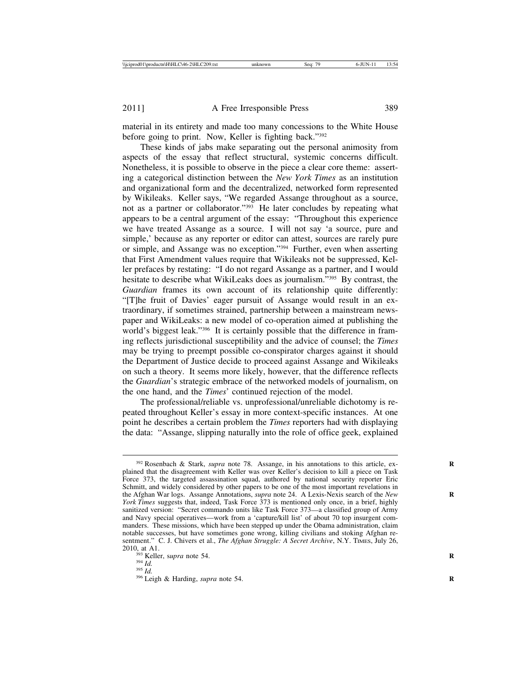material in its entirety and made too many concessions to the White House before going to print. Now, Keller is fighting back."392

These kinds of jabs make separating out the personal animosity from aspects of the essay that reflect structural, systemic concerns difficult. Nonetheless, it is possible to observe in the piece a clear core theme: asserting a categorical distinction between the *New York Times* as an institution and organizational form and the decentralized, networked form represented by Wikileaks. Keller says, "We regarded Assange throughout as a source, not as a partner or collaborator."393 He later concludes by repeating what appears to be a central argument of the essay: "Throughout this experience we have treated Assange as a source. I will not say 'a source, pure and simple,' because as any reporter or editor can attest, sources are rarely pure or simple, and Assange was no exception."394 Further, even when asserting that First Amendment values require that Wikileaks not be suppressed, Keller prefaces by restating: "I do not regard Assange as a partner, and I would hesitate to describe what WikiLeaks does as journalism."395 By contrast, the *Guardian* frames its own account of its relationship quite differently: "[T]he fruit of Davies' eager pursuit of Assange would result in an extraordinary, if sometimes strained, partnership between a mainstream newspaper and WikiLeaks: a new model of co-operation aimed at publishing the world's biggest leak."<sup>396</sup> It is certainly possible that the difference in framing reflects jurisdictional susceptibility and the advice of counsel; the *Times* may be trying to preempt possible co-conspirator charges against it should the Department of Justice decide to proceed against Assange and Wikileaks on such a theory. It seems more likely, however, that the difference reflects the *Guardian*'s strategic embrace of the networked models of journalism, on the one hand, and the *Times*' continued rejection of the model.

The professional/reliable vs. unprofessional/unreliable dichotomy is repeated throughout Keller's essay in more context-specific instances. At one point he describes a certain problem the *Times* reporters had with displaying the data: "Assange, slipping naturally into the role of office geek, explained

<sup>&</sup>lt;sup>392</sup> Rosenbach & Stark, *supra* note 78. Assange, in his annotations to this article, explained that the disagreement with Keller was over Keller's decision to kill a piece on Task Force 373, the targeted assassination squad, authored by national security reporter Eric Schmitt, and widely considered by other papers to be one of the most important revelations in the Afghan War logs. Assange Annotations, *supra* note 24. A Lexis-Nexis search of the *New York Times* suggests that, indeed, Task Force 373 is mentioned only once, in a brief, highly sanitized version: "Secret commando units like Task Force 373—a classified group of Army and Navy special operatives—work from a 'capture/kill list' of about 70 top insurgent commanders. These missions, which have been stepped up under the Obama administration, claim notable successes, but have sometimes gone wrong, killing civilians and stoking Afghan resentment." C. J. Chivers et al., *The Afghan Struggle: A Secret Archive*, N.Y. TIMES, July 26, 2010, at A1.<br><sup>393</sup> Keller, supra note 54.<br><sup>394</sup> *Id.* 395 *Id.* 396 Leigh & Harding, *supra* note 54.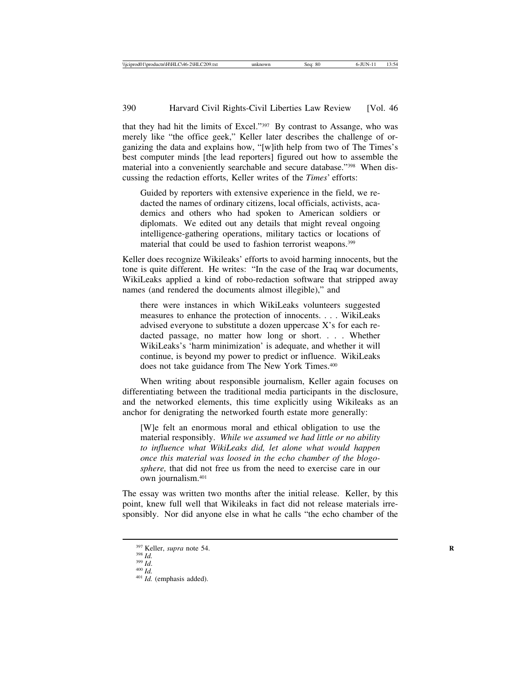that they had hit the limits of Excel."397 By contrast to Assange, who was merely like "the office geek," Keller later describes the challenge of organizing the data and explains how, "[w]ith help from two of The Times's best computer minds [the lead reporters] figured out how to assemble the material into a conveniently searchable and secure database."398 When discussing the redaction efforts, Keller writes of the *Times*' efforts:

Guided by reporters with extensive experience in the field, we redacted the names of ordinary citizens, local officials, activists, academics and others who had spoken to American soldiers or diplomats. We edited out any details that might reveal ongoing intelligence-gathering operations, military tactics or locations of material that could be used to fashion terrorist weapons.399

Keller does recognize Wikileaks' efforts to avoid harming innocents, but the tone is quite different. He writes: "In the case of the Iraq war documents, WikiLeaks applied a kind of robo-redaction software that stripped away names (and rendered the documents almost illegible)," and

there were instances in which WikiLeaks volunteers suggested measures to enhance the protection of innocents. . . . WikiLeaks advised everyone to substitute a dozen uppercase X's for each redacted passage, no matter how long or short. . . . Whether WikiLeaks's 'harm minimization' is adequate, and whether it will continue, is beyond my power to predict or influence. WikiLeaks does not take guidance from The New York Times.<sup>400</sup>

When writing about responsible journalism, Keller again focuses on differentiating between the traditional media participants in the disclosure, and the networked elements, this time explicitly using Wikileaks as an anchor for denigrating the networked fourth estate more generally:

[W]e felt an enormous moral and ethical obligation to use the material responsibly. *While we assumed we had little or no ability to influence what WikiLeaks did, let alone what would happen once this material was loosed in the echo chamber of the blogosphere,* that did not free us from the need to exercise care in our own journalism.401

The essay was written two months after the initial release. Keller, by this point, knew full well that Wikileaks in fact did not release materials irresponsibly. Nor did anyone else in what he calls "the echo chamber of the

<sup>&</sup>lt;sup>397</sup> Keller, *supra* note 54.<br><sup>398</sup> *Id.*<br><sup>499</sup> *Id.* 400 *Id.* (emphasis added).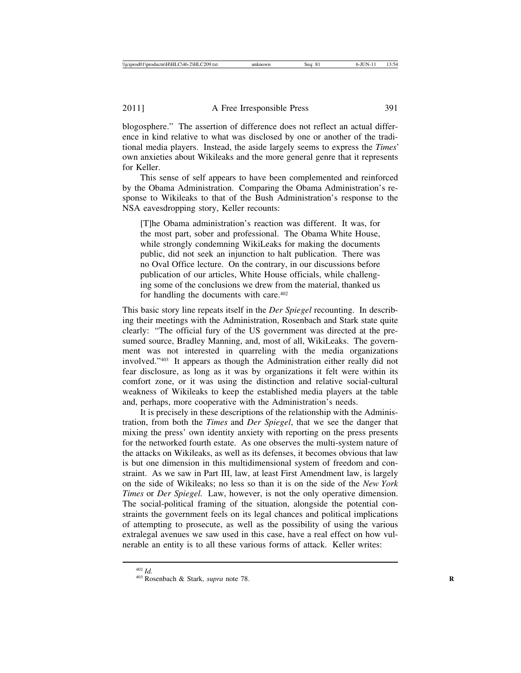blogosphere." The assertion of difference does not reflect an actual difference in kind relative to what was disclosed by one or another of the traditional media players. Instead, the aside largely seems to express the *Times*' own anxieties about Wikileaks and the more general genre that it represents for Keller.

This sense of self appears to have been complemented and reinforced by the Obama Administration. Comparing the Obama Administration's response to Wikileaks to that of the Bush Administration's response to the NSA eavesdropping story, Keller recounts:

[T]he Obama administration's reaction was different. It was, for the most part, sober and professional. The Obama White House, while strongly condemning WikiLeaks for making the documents public, did not seek an injunction to halt publication. There was no Oval Office lecture. On the contrary, in our discussions before publication of our articles, White House officials, while challenging some of the conclusions we drew from the material, thanked us for handling the documents with care.402

This basic story line repeats itself in the *Der Spiegel* recounting. In describing their meetings with the Administration, Rosenbach and Stark state quite clearly: "The official fury of the US government was directed at the presumed source, Bradley Manning, and, most of all, WikiLeaks. The government was not interested in quarreling with the media organizations involved."403 It appears as though the Administration either really did not fear disclosure, as long as it was by organizations it felt were within its comfort zone, or it was using the distinction and relative social-cultural weakness of Wikileaks to keep the established media players at the table and, perhaps, more cooperative with the Administration's needs.

It is precisely in these descriptions of the relationship with the Administration, from both the *Times* and *Der Spiegel*, that we see the danger that mixing the press' own identity anxiety with reporting on the press presents for the networked fourth estate. As one observes the multi-system nature of the attacks on Wikileaks, as well as its defenses, it becomes obvious that law is but one dimension in this multidimensional system of freedom and constraint. As we saw in Part III, law, at least First Amendment law, is largely on the side of Wikileaks; no less so than it is on the side of the *New York Times* or *Der Spiegel.* Law, however, is not the only operative dimension. The social-political framing of the situation, alongside the potential constraints the government feels on its legal chances and political implications of attempting to prosecute, as well as the possibility of using the various extralegal avenues we saw used in this case, have a real effect on how vulnerable an entity is to all these various forms of attack. Keller writes:

<sup>402</sup> *Id.* <sup>403</sup> Rosenbach & Stark, *supra* note 78. **<sup>R</sup>**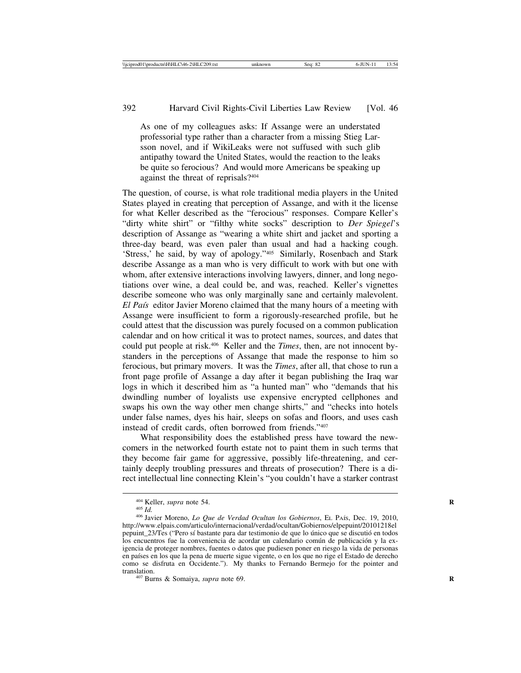As one of my colleagues asks: If Assange were an understated professorial type rather than a character from a missing Stieg Larsson novel, and if WikiLeaks were not suffused with such glib antipathy toward the United States, would the reaction to the leaks be quite so ferocious? And would more Americans be speaking up against the threat of reprisals?404

The question, of course, is what role traditional media players in the United States played in creating that perception of Assange, and with it the license for what Keller described as the "ferocious" responses. Compare Keller's "dirty white shirt" or "filthy white socks" description to *Der Spiegel*'s description of Assange as "wearing a white shirt and jacket and sporting a three-day beard, was even paler than usual and had a hacking cough. 'Stress,' he said, by way of apology."405 Similarly, Rosenbach and Stark describe Assange as a man who is very difficult to work with but one with whom, after extensive interactions involving lawyers, dinner, and long negotiations over wine, a deal could be, and was, reached. Keller's vignettes describe someone who was only marginally sane and certainly malevolent. *El País* editor Javier Moreno claimed that the many hours of a meeting with Assange were insufficient to form a rigorously-researched profile, but he could attest that the discussion was purely focused on a common publication calendar and on how critical it was to protect names, sources, and dates that could put people at risk.406 Keller and the *Times*, then, are not innocent bystanders in the perceptions of Assange that made the response to him so ferocious, but primary movers. It was the *Times*, after all, that chose to run a front page profile of Assange a day after it began publishing the Iraq war logs in which it described him as "a hunted man" who "demands that his dwindling number of loyalists use expensive encrypted cellphones and swaps his own the way other men change shirts," and "checks into hotels under false names, dyes his hair, sleeps on sofas and floors, and uses cash instead of credit cards, often borrowed from friends."407

What responsibility does the established press have toward the newcomers in the networked fourth estate not to paint them in such terms that they become fair game for aggressive, possibly life-threatening, and certainly deeply troubling pressures and threats of prosecution? There is a direct intellectual line connecting Klein's "you couldn't have a starker contrast

<sup>&</sup>lt;sup>404</sup> Keller, *supra* note 54.<br><sup>405</sup> *Id.* 406 *Iavier Moreno, <i>Lo Que de Verdad Ocultan los Gobiernos*, EL PAís, Dec. 19, 2010, http://www.elpais.com/articulo/internacional/verdad/ocultan/Gobiernos/elpepuint/20101218el pepuint\_23/Tes ("Pero sí bastante para dar testimonio de que lo único que se discutió en todos los encuentros fue la conveniencia de acordar un calendario común de publicación y la exigencia de proteger nombres, fuentes o datos que pudiesen poner en riesgo la vida de personas en pa´ıses en los que la pena de muerte sigue vigente, o en los que no rige el Estado de derecho como se disfruta en Occidente."). My thanks to Fernando Bermejo for the pointer and translation.<br><sup>407</sup> Burns & Somaiya, *supra* note 69.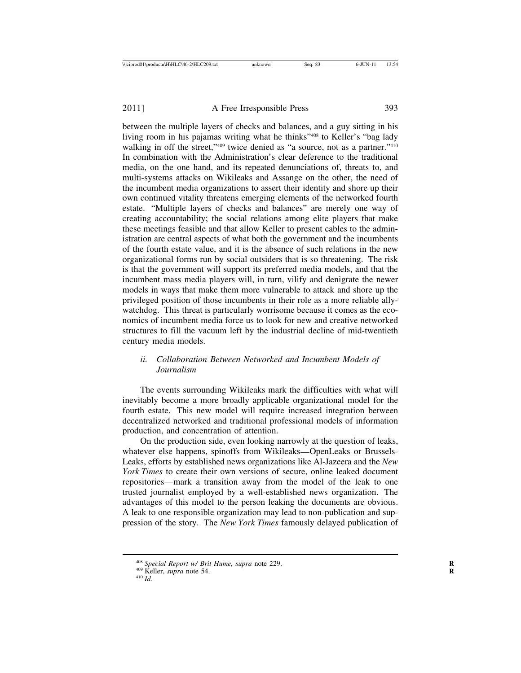between the multiple layers of checks and balances, and a guy sitting in his living room in his pajamas writing what he thinks"408 to Keller's "bag lady walking in off the street,"<sup>409</sup> twice denied as "a source, not as a partner."<sup>410</sup> In combination with the Administration's clear deference to the traditional media, on the one hand, and its repeated denunciations of, threats to, and multi-systems attacks on Wikileaks and Assange on the other, the need of the incumbent media organizations to assert their identity and shore up their own continued vitality threatens emerging elements of the networked fourth estate. "Multiple layers of checks and balances" are merely one way of creating accountability; the social relations among elite players that make these meetings feasible and that allow Keller to present cables to the administration are central aspects of what both the government and the incumbents of the fourth estate value, and it is the absence of such relations in the new organizational forms run by social outsiders that is so threatening. The risk is that the government will support its preferred media models, and that the incumbent mass media players will, in turn, vilify and denigrate the newer models in ways that make them more vulnerable to attack and shore up the privileged position of those incumbents in their role as a more reliable allywatchdog. This threat is particularly worrisome because it comes as the economics of incumbent media force us to look for new and creative networked structures to fill the vacuum left by the industrial decline of mid-twentieth century media models.

## *ii. Collaboration Between Networked and Incumbent Models of Journalism*

The events surrounding Wikileaks mark the difficulties with what will inevitably become a more broadly applicable organizational model for the fourth estate. This new model will require increased integration between decentralized networked and traditional professional models of information production, and concentration of attention.

On the production side, even looking narrowly at the question of leaks, whatever else happens, spinoffs from Wikileaks—OpenLeaks or Brussels-Leaks, efforts by established news organizations like Al-Jazeera and the *New York Times* to create their own versions of secure, online leaked document repositories—mark a transition away from the model of the leak to one trusted journalist employed by a well-established news organization. The advantages of this model to the person leaking the documents are obvious. A leak to one responsible organization may lead to non-publication and suppression of the story. The *New York Times* famously delayed publication of

<sup>&</sup>lt;sup>408</sup> *Special Report w/ Brit Hume, supra* note 229.<br><sup>409</sup> Keller, *supra* note 54. <sup>410</sup> *Id*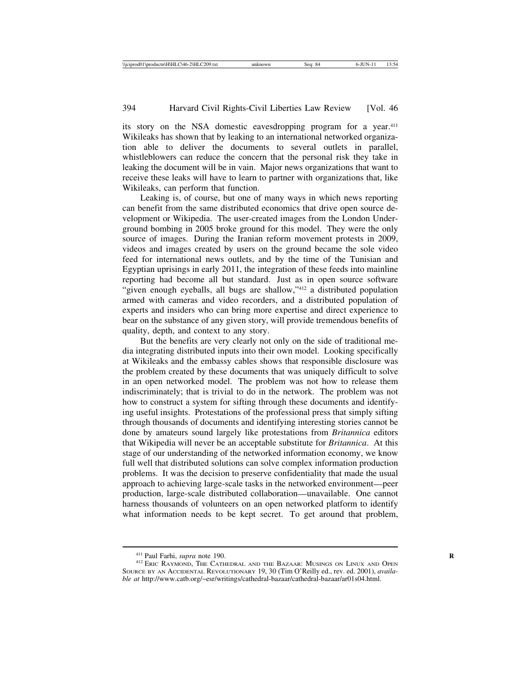its story on the NSA domestic eavesdropping program for a year.411 Wikileaks has shown that by leaking to an international networked organization able to deliver the documents to several outlets in parallel, whistleblowers can reduce the concern that the personal risk they take in leaking the document will be in vain. Major news organizations that want to receive these leaks will have to learn to partner with organizations that, like Wikileaks, can perform that function.

Leaking is, of course, but one of many ways in which news reporting can benefit from the same distributed economics that drive open source development or Wikipedia. The user-created images from the London Underground bombing in 2005 broke ground for this model. They were the only source of images. During the Iranian reform movement protests in 2009, videos and images created by users on the ground became the sole video feed for international news outlets, and by the time of the Tunisian and Egyptian uprisings in early 2011, the integration of these feeds into mainline reporting had become all but standard. Just as in open source software "given enough eyeballs, all bugs are shallow,"<sup>412</sup> a distributed population armed with cameras and video recorders, and a distributed population of experts and insiders who can bring more expertise and direct experience to bear on the substance of any given story, will provide tremendous benefits of quality, depth, and context to any story.

But the benefits are very clearly not only on the side of traditional media integrating distributed inputs into their own model. Looking specifically at Wikileaks and the embassy cables shows that responsible disclosure was the problem created by these documents that was uniquely difficult to solve in an open networked model. The problem was not how to release them indiscriminately; that is trivial to do in the network. The problem was not how to construct a system for sifting through these documents and identifying useful insights. Protestations of the professional press that simply sifting through thousands of documents and identifying interesting stories cannot be done by amateurs sound largely like protestations from *Britannica* editors that Wikipedia will never be an acceptable substitute for *Britannica*. At this stage of our understanding of the networked information economy, we know full well that distributed solutions can solve complex information production problems. It was the decision to preserve confidentiality that made the usual approach to achieving large-scale tasks in the networked environment—peer production, large-scale distributed collaboration—unavailable. One cannot harness thousands of volunteers on an open networked platform to identify what information needs to be kept secret. To get around that problem,

<sup>&</sup>lt;sup>411</sup> Paul Farhi, *supra* note 190.<br><sup>412</sup> Eric Raymond, The Cathedral and the Bazaar: Musings on Linux and Open SOURCE BY AN ACCIDENTAL REVOLUTIONARY 19, 30 (Tim O'Reilly ed., rev. ed. 2001), *available at* http://www.catb.org/~esr/writings/cathedral-bazaar/cathedral-bazaar/ar01s04.html.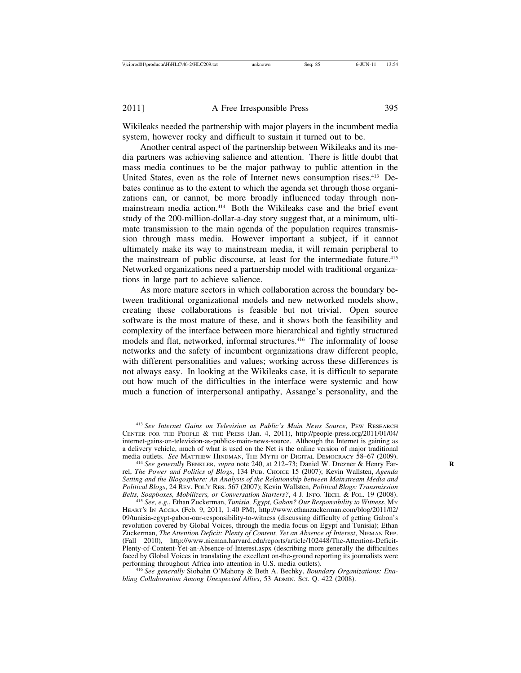Wikileaks needed the partnership with major players in the incumbent media system, however rocky and difficult to sustain it turned out to be.

Another central aspect of the partnership between Wikileaks and its media partners was achieving salience and attention. There is little doubt that mass media continues to be the major pathway to public attention in the United States, even as the role of Internet news consumption rises.413 Debates continue as to the extent to which the agenda set through those organizations can, or cannot, be more broadly influenced today through nonmainstream media action.414 Both the Wikileaks case and the brief event study of the 200-million-dollar-a-day story suggest that, at a minimum, ultimate transmission to the main agenda of the population requires transmission through mass media. However important a subject, if it cannot ultimately make its way to mainstream media, it will remain peripheral to the mainstream of public discourse, at least for the intermediate future.<sup>415</sup> Networked organizations need a partnership model with traditional organizations in large part to achieve salience.

As more mature sectors in which collaboration across the boundary between traditional organizational models and new networked models show, creating these collaborations is feasible but not trivial. Open source software is the most mature of these, and it shows both the feasibility and complexity of the interface between more hierarchical and tightly structured models and flat, networked, informal structures.<sup>416</sup> The informality of loose networks and the safety of incumbent organizations draw different people, with different personalities and values; working across these differences is not always easy. In looking at the Wikileaks case, it is difficult to separate out how much of the difficulties in the interface were systemic and how much a function of interpersonal antipathy, Assange's personality, and the

<sup>416</sup> See generally Siobahn O'Mahony & Beth A. Bechky, *Boundary Organizations: Ena*bling Collaboration Among Unexpected Allies, 53 ADMIN. Sci. Q. 422 (2008).

<sup>413</sup> *See Internet Gains on Television as Public's Main News Source*, PEW RESEARCH CENTER FOR THE PEOPLE & THE PRESS (Jan. 4, 2011), http://people-press.org/2011/01/04/ internet-gains-on-television-as-publics-main-news-source. Although the Internet is gaining as a delivery vehicle, much of what is used on the Net is the online version of major traditional media outlets. *See* MATTHEW HINDMAN, THE MYTH OF DIGITAL DEMOCRACY 58–67 (2009). <sup>414</sup> *See generally* BENKLER, *supra* note 240, at 212–73; Daniel W. Drezner & Henry Far- **<sup>R</sup>**

rel, *The Power and Politics of Blogs*, 134 PUB. CHOICE 15 (2007); Kevin Wallsten, *Agenda Setting and the Blogosphere: An Analysis of the Relationship between Mainstream Media and Political Blogs*, 24 REV. POL'Y RES. 567 (2007); Kevin Wallsten, *Political Blogs: Transmission Belts, Soapboxes, Mobilizers, or Conversation Starters?*, 4 J. INFO. TECH. & POL. 19 (2008). <sup>415</sup> *See, e.g.*, Ethan Zuckerman, *Tunisia, Egypt, Gabon? Our Responsibility to Witness*, MY

HEART'S IN ACCRA (Feb. 9, 2011, 1:40 PM), http://www.ethanzuckerman.com/blog/2011/02/ 09/tunisia-egypt-gabon-our-responsibility-to-witness (discussing difficulty of getting Gabon's revolution covered by Global Voices, through the media focus on Egypt and Tunisia); Ethan Zuckerman, *The Attention Deficit: Plenty of Content, Yet an Absence of Interest*, NIEMAN REP. (Fall 2010), http://www.nieman.harvard.edu/reports/article/102448/The-Attention-Deficit-Plenty-of-Content-Yet-an-Absence-of-Interest.aspx (describing more generally the difficulties faced by Global Voices in translating the excellent on-the-ground reporting its journalists were performing throughout Africa into attention in U.S. media outlets).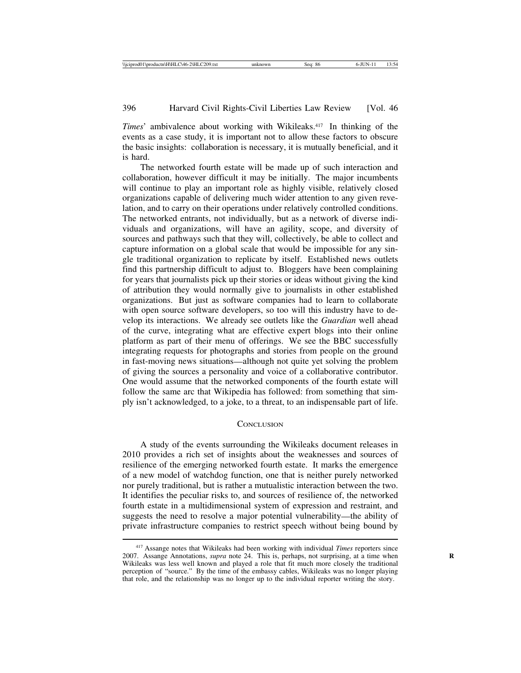*Times*' ambivalence about working with Wikileaks.417 In thinking of the events as a case study, it is important not to allow these factors to obscure the basic insights: collaboration is necessary, it is mutually beneficial, and it is hard.

The networked fourth estate will be made up of such interaction and collaboration, however difficult it may be initially. The major incumbents will continue to play an important role as highly visible, relatively closed organizations capable of delivering much wider attention to any given revelation, and to carry on their operations under relatively controlled conditions. The networked entrants, not individually, but as a network of diverse individuals and organizations, will have an agility, scope, and diversity of sources and pathways such that they will, collectively, be able to collect and capture information on a global scale that would be impossible for any single traditional organization to replicate by itself. Established news outlets find this partnership difficult to adjust to. Bloggers have been complaining for years that journalists pick up their stories or ideas without giving the kind of attribution they would normally give to journalists in other established organizations. But just as software companies had to learn to collaborate with open source software developers, so too will this industry have to develop its interactions. We already see outlets like the *Guardian* well ahead of the curve, integrating what are effective expert blogs into their online platform as part of their menu of offerings. We see the BBC successfully integrating requests for photographs and stories from people on the ground in fast-moving news situations—although not quite yet solving the problem of giving the sources a personality and voice of a collaborative contributor. One would assume that the networked components of the fourth estate will follow the same arc that Wikipedia has followed: from something that simply isn't acknowledged, to a joke, to a threat, to an indispensable part of life.

### **CONCLUSION**

A study of the events surrounding the Wikileaks document releases in 2010 provides a rich set of insights about the weaknesses and sources of resilience of the emerging networked fourth estate. It marks the emergence of a new model of watchdog function, one that is neither purely networked nor purely traditional, but is rather a mutualistic interaction between the two. It identifies the peculiar risks to, and sources of resilience of, the networked fourth estate in a multidimensional system of expression and restraint, and suggests the need to resolve a major potential vulnerability—the ability of private infrastructure companies to restrict speech without being bound by

<sup>417</sup> Assange notes that Wikileaks had been working with individual *Times* reporters since 2007. Assange Annotations, *supra* note 24. This is, perhaps, not surprising, at a time when **R** Wikileaks was less well known and played a role that fit much more closely the traditional perception of "source." By the time of the embassy cables, Wikileaks was no longer playing that role, and the relationship was no longer up to the individual reporter writing the story.